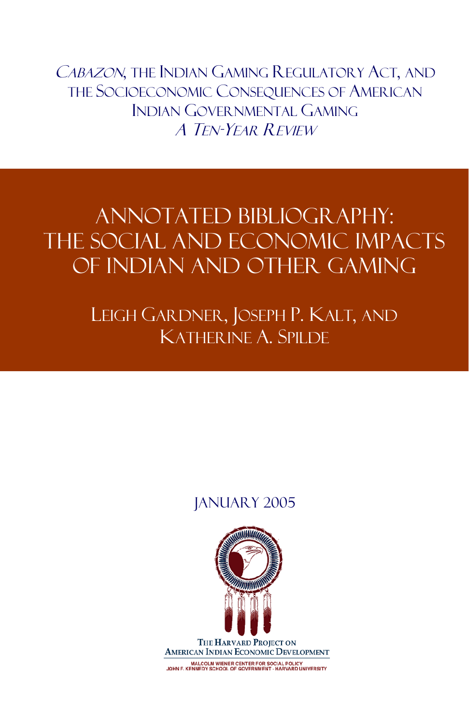CABAZON, THE INDIAN GAMING REGULATORY ACT, AND THE SOCIOECONOMIC CONSEQUENCES OF AMERICAN INDIAN GOVERNMENTAL GAMING A TEN-YEAR REVIEW

# ANNOTATED BIBLIOGRAPHY: THE SOCIAL AND ECONOMIC IMPACTS OF INDIAN AND OTHER GAMING

LEIGH GARDNER, JOSEPH P. KALT, AND KATHERINE A. SPILDE

# JANUARY 2005

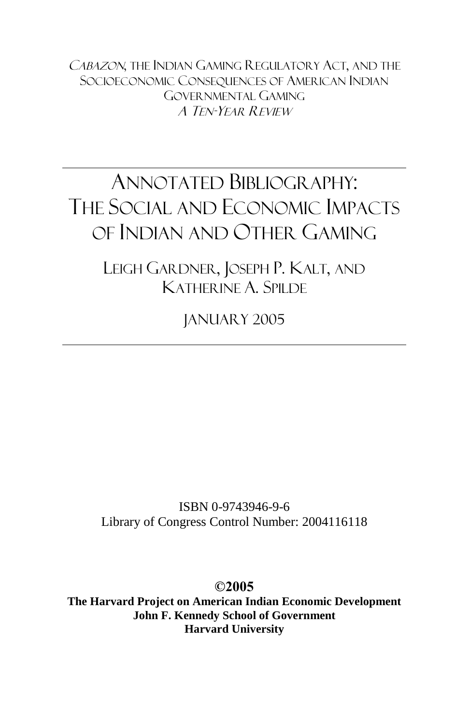CABAZON, THE INDIAN GAMING REGULATORY ACT, AND THE SOCIOECONOMIC CONSEQUENCES OF AMERICAN INDIAN GOVERNMENTAL GAMING A TEN-YEAR REVIEW

# ANNOTATED BIBLIOGRAPHY: THE SOCIAL AND ECONOMIC IMPACTS OF INDIAN AND OTHER GAMING

LEIGH GARDNER, JOSEPH P. KALT, AND KATHERINE A. SPILDE

JANUARY 2005

ISBN 0-9743946-9-6 Library of Congress Control Number: 2004116118

**©2005**

**The Harvard Project on American Indian Economic Development John F. Kennedy School of Government Harvard University**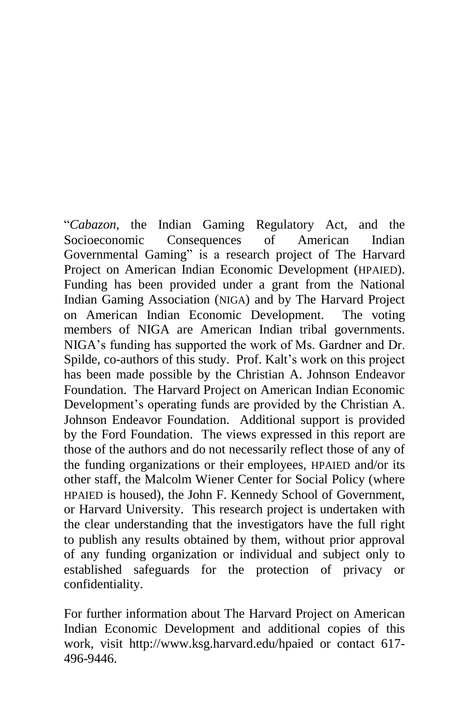ì*Cabazon*, the Indian Gaming Regulatory Act, and the Socioeconomic Consequences of American Indian Governmental Gaming" is a research project of The Harvard Project on American Indian Economic Development (HPAIED). Funding has been provided under a grant from the National Indian Gaming Association (NIGA) and by The Harvard Project on American Indian Economic Development. The voting members of NIGA are American Indian tribal governments. NIGA's funding has supported the work of Ms. Gardner and Dr. Spilde, co-authors of this study. Prof. Kalt's work on this project has been made possible by the Christian A. Johnson Endeavor Foundation. The Harvard Project on American Indian Economic Development's operating funds are provided by the Christian A. Johnson Endeavor Foundation. Additional support is provided by the Ford Foundation. The views expressed in this report are those of the authors and do not necessarily reflect those of any of the funding organizations or their employees, HPAIED and/or its other staff, the Malcolm Wiener Center for Social Policy (where HPAIED is housed), the John F. Kennedy School of Government, or Harvard University. This research project is undertaken with the clear understanding that the investigators have the full right to publish any results obtained by them, without prior approval of any funding organization orindividual and subject only to established safeguards for the protection of privacy or confidentiality.

For further information about The Harvard Project on American Indian Economic Development and additional copies of this work, visit http://www.ksg.harvard.edu/hpaied or contact 617- 496-9446.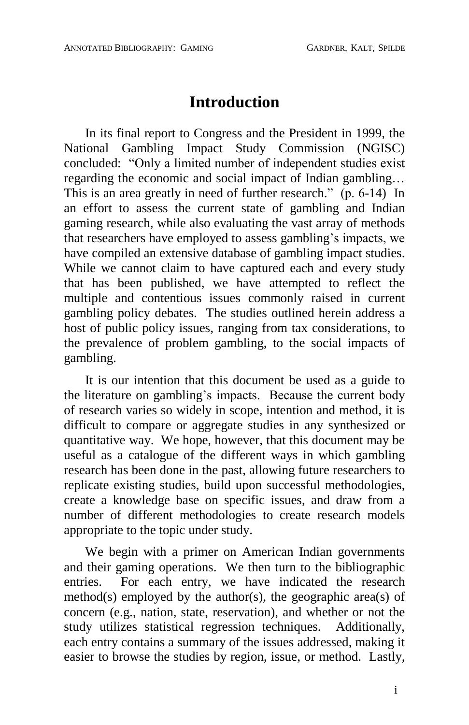# **Introduction**

In its final report to Congress and the President in 1999, the National Gambling Impact Study Commission (NGISC) concluded: "Only a limited number of independent studies exist regarding the economic and social impact of Indian gambling... This is an area greatly in need of further research."  $(p. 6-14)$  In an effort to assess the current state of gambling and Indian gaming research, while also evaluating the vast array of methods that researchers have employed to assess gambling's impacts, we have compiled an extensive database of gambling impact studies. While we cannot claim to have captured each and every study that has been published, we have attempted to reflect the multiple and contentious issues commonly raised in current gambling policy debates. The studies outlined herein address a host of public policy issues, ranging from tax considerations, to the prevalence of problem gambling, to the social impacts of gambling.

It is our intention that this document be used as a guide to the literature on gambling's impacts. Because the current body of research varies so widely in scope, intention and method, it is difficult to compare or aggregate studies in any synthesized or quantitative way. We hope, however, that this document may be useful as a catalogue of the different ways in which gambling research has been done in the past, allowing future researchers to replicate existing studies, build upon successful methodologies, create a knowledge base on specific issues, and draw from a number of different methodologies to create research models appropriate to the topic under study.

We begin with a primer on American Indian governments and their gaming operations. We then turn to the bibliographic entries. For each entry, we have indicated the research method(s) employed by the author(s), the geographic area(s) of concern (e.g., nation, state, reservation), and whether or not the study utilizes statistical regression techniques. Additionally, each entry contains a summary of the issues addressed, making it easier to browse the studies by region, issue, or method. Lastly,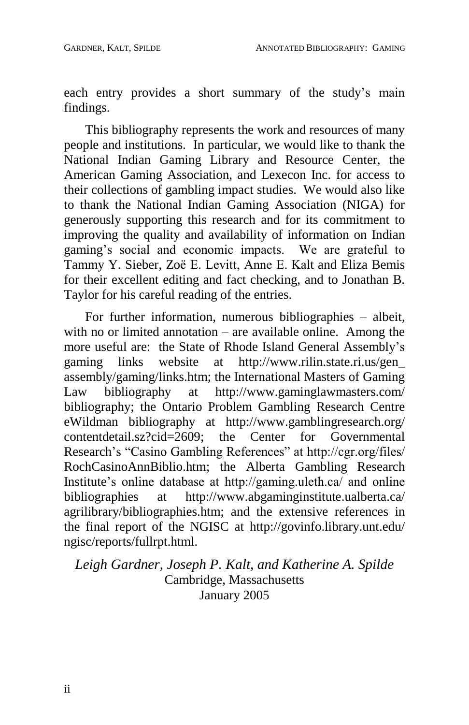each entry provides a short summary of the study's main findings.

This bibliography represents the work and resources of many people and institutions. In particular, we would like to thank the National Indian Gaming Library and Resource Center, the American Gaming Association, and Lexecon Inc. for access to their collections of gambling impact studies. We would also like to thank the National Indian Gaming Association (NIGA) for generously supporting this research and for its commitment to improving the quality and availability of information on Indian gaming's social and economic impacts. We are grateful to Tammy Y. Sieber, Zoë E. Levitt, Anne E. Kalt and Eliza Bemis for their excellent editing and fact checking, and to Jonathan B. Taylor for his careful reading of the entries.

For further information, numerous bibliographies  $-$  albeit, with no or limited annotation  $-$  are available online. Among the more useful are: the State of Rhode Island General Assembly's gaming links website at http://www.rilin.state.ri.us/gen http://www.rilin.state.ri.us/gen\_ assembly/gaming/links.htm; the International Masters of Gaming<br>Law bibliography at http://www.gaminglawmasters.com/ Law bibliography at http://www.gaminglawmasters.com/ bibliography; the Ontario Problem Gambling Research Centre eWildman bibliography at http://www.gamblingresearch.org/<br>contentdetail.sz?cid=2609; the Center for Governmental the Center for Governmental Research's "Casino Gambling References" at http://cgr.org/files/ RochCasinoAnnBiblio.htm; the Alberta Gambling Research Institute's online database at http://gaming.uleth.ca/ and online bibliographies at http://www.abgaminginstitute.ualberta.ca/ at http://www.abgaminginstitute.ualberta.ca/ agrilibrary/bibliographies.htm; and the extensive references in the final report of the NGISC at http://govinfo.library.unt.edu/ ngisc/reports/fullrpt.html.

*Leigh Gardner, Joseph P. Kalt, and Katherine A. Spilde* Cambridge, Massachusetts January 2005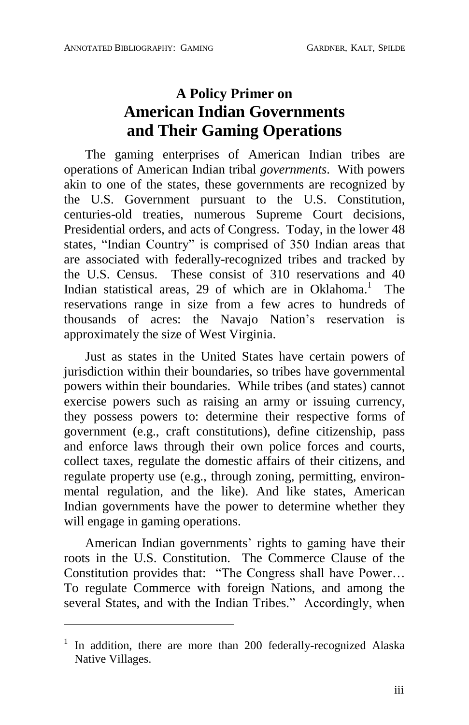## **A Policy Primer on American Indian Governments and Their Gaming Operations**

The gaming enterprises of American Indian tribes are operations of American Indian tribal *governments*. With powers akin to one of the states, these governments are recognized by the U.S. Government pursuant to the U.S. Constitution, centuries-old treaties, numerous Supreme Court decisions, Presidential orders, and acts of Congress. Today, in the lower 48 states, "Indian Country" is comprised of 350 Indian areas that are associated with federally-recognized tribes and tracked by the U.S. Census. These consist of 310 reservations and 40 Indian statistical areas, 29 of which are in Oklahoma.<sup>1</sup> The reservations range in size from a few acres to hundreds of thousands of acres: the Navajo Nation's reservation is approximately the size of West Virginia.

Just as states in the United States have certain powers of jurisdiction within their boundaries, so tribes have governmental powers within their boundaries. While tribes (and states) cannot exercise powers such as raising an army or issuing currency, they possess powers to: determine their respective forms of government (e.g., craft constitutions), define citizenship, pass and enforce laws through their own police forces and courts, collect taxes, regulate the domestic affairs of their citizens, and regulate property use (e.g., through zoning, permitting, environ mental regulation, and the like). And like states, American Indian governments have the power to determine whether they will engage in gaming operations.

American Indian governments' rights to gaming have their roots in the U.S. Constitution. The Commerce Clause of the Constitution provides that: "The Congress shall have Power... To regulate Commerce with foreign Nations, and among the several States, and with the Indian Tribes." Accordingly, when

 $\overline{a}$ 

 $1$  In addition, there are more than 200 federally-recognized Alaska Native Villages.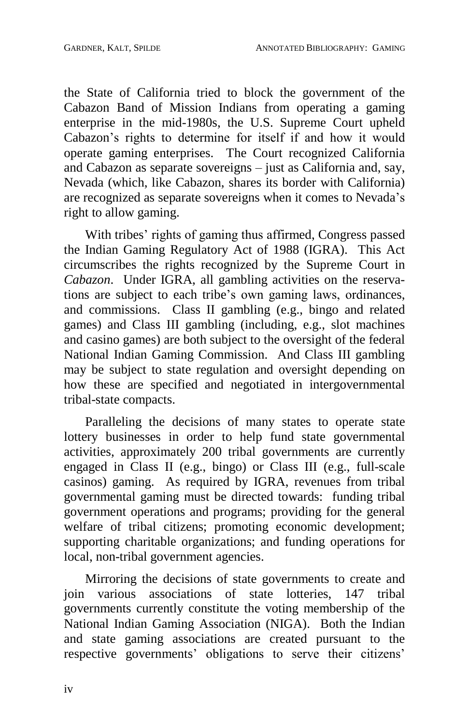the State of California tried to block the government of the Cabazon Band of Mission Indians from operating a gaming enterprise in the mid-1980s, the U.S. Supreme Court upheld Cabazon's rights to determine for itself if and how it would operate gaming enterprises. The Court recognized California and Cabazon as separate sovereigns  $-$  just as California and, say, Nevada (which, like Cabazon, shares its border with California) are recognized as separate sovereigns when it comes to Nevada's right to allow gaming.

With tribes' rights of gaming thus affirmed, Congress passed the Indian Gaming Regulatory Act of 1988 (IGRA). This Act circumscribes the rights recognized by the Supreme Court in *Cabazon*. Under IGRA, all gambling activities on the reservations are subject to each tribe's own gaming laws, ordinances, and commissions. Class II gambling (e.g., bingo and related games) and Class III gambling (including, e.g., slot machines and casino games) are both subject to the oversight of the federal National Indian Gaming Commission. And Class III gambling may be subject to state regulation and oversight depending on how these are specified and negotiated in intergovernmental tribal-state compacts.

Paralleling the decisions of many states to operate state lottery businesses in order to help fund state governmental activities, approximately 200 tribal governments are currently engaged in Class II (e.g., bingo) or Class III (e.g., full-scale casinos) gaming. As required by IGRA, revenues from tribal governmental gaming must be directed towards: funding tribal government operations and programs; providing for the general welfare of tribal citizens; promoting economic development; supporting charitable organizations; and funding operations for local, non-tribal government agencies.

Mirroring the decisions of state governments to create and join various associations of state lotteries, 147 tribal governments currently constitute the voting membership of the National Indian Gaming Association (NIGA). Both the Indian and state gaming associations are created pursuant to the respective governments' obligations to serve their citizens'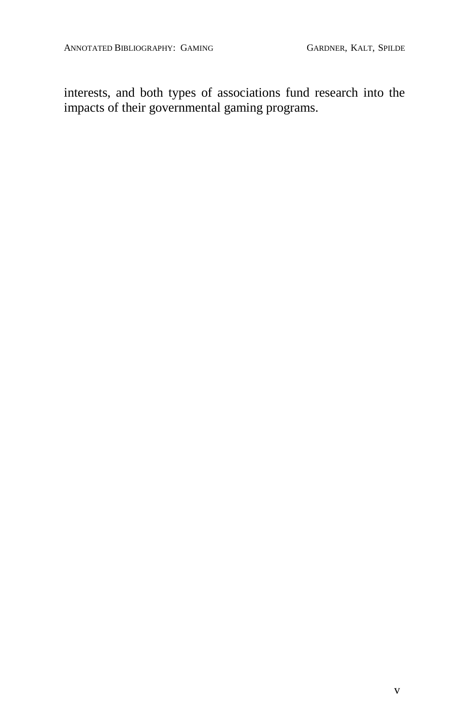interests, and both types of associations fund research into the impacts of their governmental gaming programs.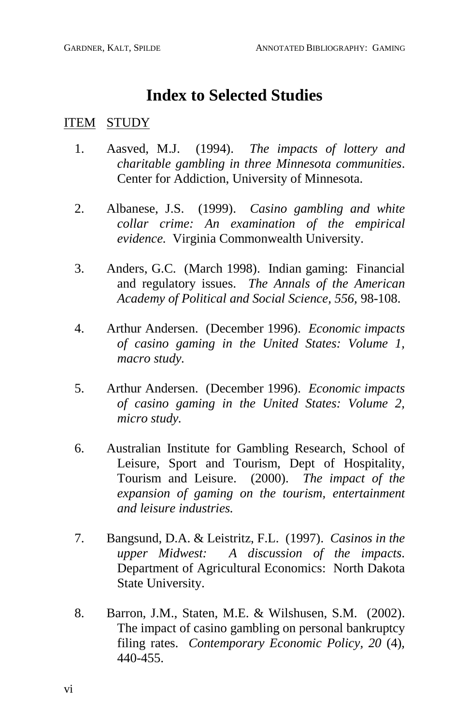## **Index to Selected Studies**

#### ITEM STUDY

- 1. Aasved, M.J. (1994). *The impacts of lottery and charitable gambling in three Minnesota communities*. Center for Addiction, University of Minnesota.
- 2. Albanese, J.S. (1999). *Casino gambling and white collar crime:* An *examination of the empirical evidence.* Virginia Commonwealth University.
- 3. Anders, G.C. (March 1998). Indian gaming: Financial and regulatory issues. *The Annals of the American Academy of Political and Social Science, 556,* 98-108.
- 4. Arthur Andersen. (December 1996). *Economic impacts of casino gaming in the United States: Volume 1, macro study.*
- 5. Arthur Andersen. (December 1996). *Economic impacts of casino gaming in the United States: Volume 2, micro study.*
- 6. Australian Institute for Gambling Research, School of Leisure, Sport and Tourism, Dept of Hospitality, Tourism andLeisure. (2000). *The impact of the expansion of gaming on the tourism, entertainment and leisure industries.*
- 7. Bangsund, D.A. & Leistritz,F.L. (1997). *Casinos in the upper Midwest:* A *discussion of the impacts.* Department of Agricultural Economics: North Dakota State University.
- 8. Barron, J.M., Staten, M.E. & Wilshusen, S.M. (2002). The impact of casino gambling on personal bankruptcy filing rates. *Contemporary Economic Policy, 20* (4)*,* 440-455.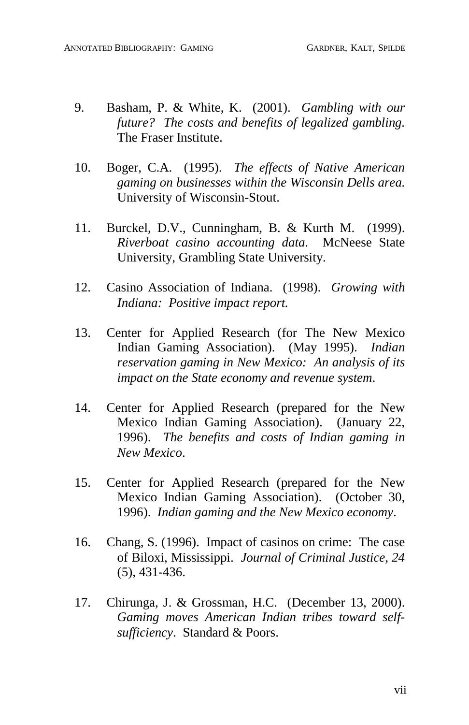- 9. Basham, P. & White, K. (2001). *Gambling with our future? The costs and benefits of legalized gambling.* The Fraser Institute.
- 10. Boger, C.A. (1995). *The effects of Native American gaming on businesses within the Wisconsin Dells area.* University of Wisconsin-Stout.
- 11. Burckel, D.V., Cunningham, B. & Kurth M. (1999). *Riverboat casino accounting data.* McNeese State University, Grambling State University.
- 12. Casino Association of Indiana. (1998). *Growing with Indiana: Positive impact report.*
- 13. Center for Applied Research (for The New Mexico Indian Gaming Association). (May 1995). *Indian reservation gaming in New Mexico: An analysis of its impact on the State economy and revenue system*.
- 14. Center for Applied Research (prepared for the New Mexico Indian Gaming Association). (January 22, 1996). *The benefits and costs of Indian gaming in New Mexico*.
- 15. Center for Applied Research (prepared for the New Mexico Indian Gaming Association). (October 30, 1996). *Indian gaming and the New Mexico economy*.
- 16. Chang, S. (1996). Impact of casinos on crime: The case of Biloxi, Mississippi. *Journal of Criminal Justice*, *24* (5), 431-436.
- 17. Chirunga, J. & Grossman, H.C. (December 13, 2000). *Gaming moves American Indian tribes toward self* sufficiency. Standard & Poors.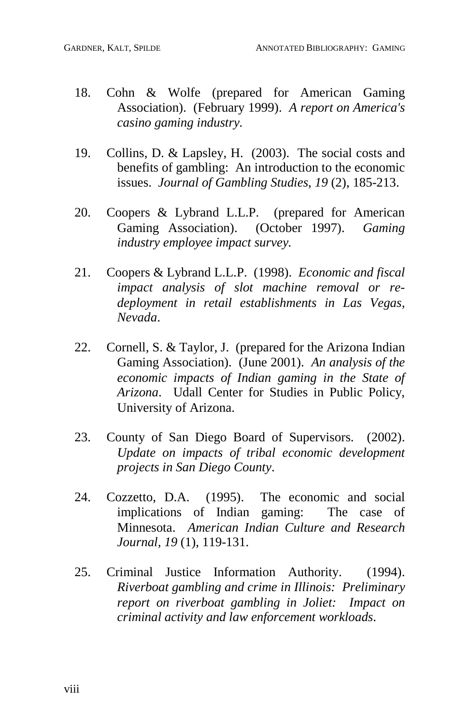- 18. Cohn & Wolfe (prepared for American Gaming Association). (February 1999). *A report on America's casino gaming industry.*
- 19. Collins, D. & Lapsley, H. (2003). The social costs and benefits of gambling: An introduction to the economic issues. *Journal of Gambling Studies*, *19* (2), 185-213.
- 20. Coopers & Lybrand L.L.P. (prepared for American Gaming Association). (October 1997). *Gaming industry employee impact survey.*
- 21. Coopers & Lybrand L.L.P. (1998). *Economic and fiscal impact analysis of slot machine removal or re deployment in retail establishments in Las Vegas, Nevada*.
- 22. Cornell, S. & Taylor, J. (prepared for the Arizona Indian Gaming Association). (June 2001). *An analysis of the economic impacts of Indian gaming in the State of Arizona*. Udall Center for Studies in Public Policy, University of Arizona.
- 23. County of San Diego Board of Supervisors. (2002). *Update on impacts of tribal economic development projects in San Diego County*.
- 24. Cozzetto, D.A. (1995). The economic and social implications of Indian gaming: The case of Minnesota. *American Indian Culture and Research Journal, 19* (1), 119-131.
- 25. Criminal Justice Information Authority. (1994). *Riverboat gambling and crime in Illinois: Preliminary report on riverboat gambling in Joliet: Impact on criminal activity and law enforcement workloads*.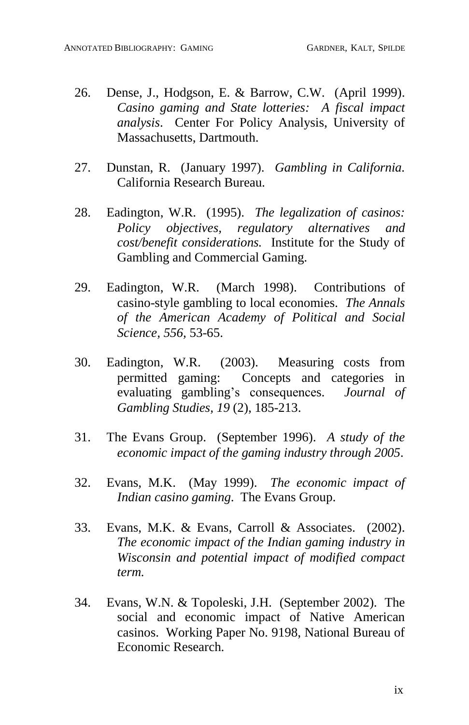- 26. Dense, J., Hodgson, E. & Barrow, C.W. (April 1999). *Casino gaming and State lotteries: A fiscal impact analysis*. Center For Policy Analysis, University of Massachusetts, Dartmouth.
- 27. Dunstan, R. (January 1997). *Gambling in California.* California Research Bureau.
- 28. Eadington, W.R. (1995). *The legalization of casinos: Policy objectives, regulatory alternatives and cost/benefit considerations.* Institute for the Study of Gambling and Commercial Gaming.
- 29. Eadington, W.R. (March 1998). Contributions of casino-style gambling to local economies. *The Annals of the American Academy of Political and Social Science, 556,* 53-65.
- 30. Eadington, W.R. (2003). Measuring costs from permitted gaming: Concepts and categories in evaluating gambling's consequences. *Journal of Gambling Studies, 19* (2), 185-213.
- 31. The Evans Group. (September 1996). *A study of the economic impact of the gaming industry through 2005*.
- 32. Evans, M.K. (May 1999). *The economic impact of Indian casino gaming*. The Evans Group.
- 33. Evans, M.K. & Evans, Carroll & Associates. (2002). *The economic impact of the Indian gaming industry in Wisconsin and potential impact of modified compact term.*
- 34. Evans, W.N. & Topoleski, J.H. (September 2002). The social and economic impact of Native American casinos. Working Paper No. 9198, National Bureau of Economic Research.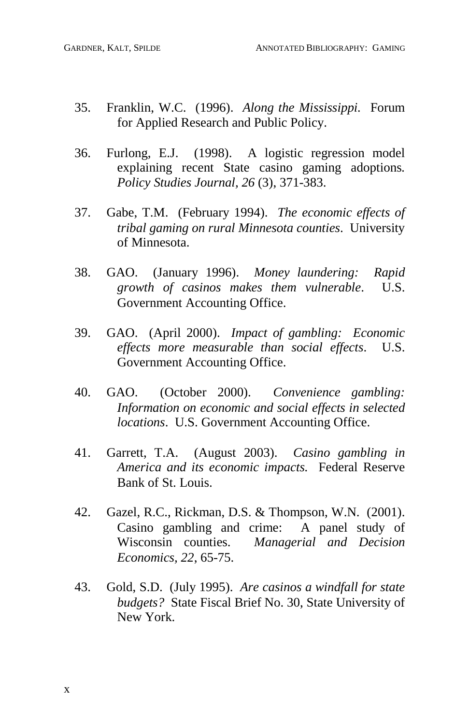- 35. Franklin, W.C. (1996). *Along the Mississippi.* Forum for Applied Research and Public Policy.
- 36. Furlong, E.J. (1998). A logistic regression model explaining recent State casino gaming adoptions*. Policy Studies Journal, 26* (3), 371-383.
- 37. Gabe, T.M. (February 1994). *The economic ef ects of tribal gaming on rural Minnesota counties*. University of Minnesota.
- 38. GAO. (January 1996). *Money laundering: Rapid growth of casinos makes them vulnerable*. U.S. Government Accounting Office.
- 39. GAO. (April 2000). *Impact of gambling: Economic ef ects more measurable than social ef ects*. U.S. Government Accounting Office.
- 40. GAO. (October 2000). *Convenience gambling: Information on economic and social ef ects in selected locations*. U.S. Government Accounting Office.
- 41. Garrett, T.A. (August 2003). *Casino gambling in America and its economic impacts.* Federal Reserve Bank of St. Louis.
- 42. Gazel, R.C., Rickman, D.S. & Thompson, W.N. (2001). Casino gambling and crime: A panel study of Wisconsin counties. *Managerial and Decision Economics, 22*, 65-75.
- 43. Gold, S.D. (July 1995). *Are casinos a windfall for state budgets?* State Fiscal Brief No. 30, State University of New York.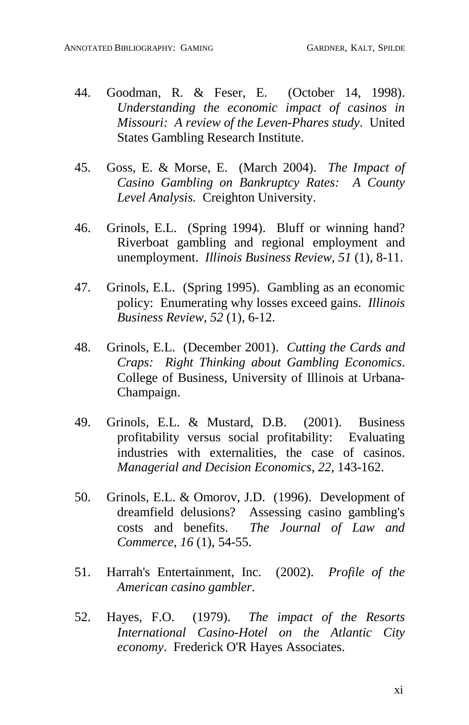- 44. Goodman, R. & Feser, E. (October 14, 1998). *Understanding the economic impact of casinos in Missouri: A review of the Leven-Phares study*. United States Gambling Research Institute.
- 45. Goss, E. & Morse, E. (March 2004). *The Impact of Casino Gambling on Bankruptcy Rates: A County Level Analysis.* Creighton University.
- 46. Grinols, E.L. (Spring 1994). Bluff or winning hand? Riverboat gambling and regional employment and unemployment. *Illinois Business Review, 51* (1), 8-11.
- 47. Grinols, E.L. (Spring 1995). Gambling as an economic policy: Enumerating why losses exceed gains. *Illinois Business Review, 52* (1), 6-12.
- 48. Grinols, E.L. (December 2001). *Cutting the Cards and Craps: Right Thinking about Gambling Economics*. College of Business, University of Illinois at Urbana- Champaign.
- 49. Grinols, E.L. & Mustard, D.B. (2001). Business profitability versus social profitability: Evaluating industries with externalities, the case of casinos. *Managerial and Decision Economics, 22,* 143-162.
- 50. Grinols, E.L. & Omorov, J.D. (1996). Development of dreamfield delusions? Assessing casino gambling's costs and benefits. *The Journal of Law and Commerce, 16* (1), 54-55.
- 51. Harrah's Entertainment, Inc. (2002). *Profile of the American casino gambler*.
- 52. Hayes, F.O. (1979). *The impact of the Resorts International Casino-Hotel on the Atlantic City economy*. Frederick O'R Hayes Associates.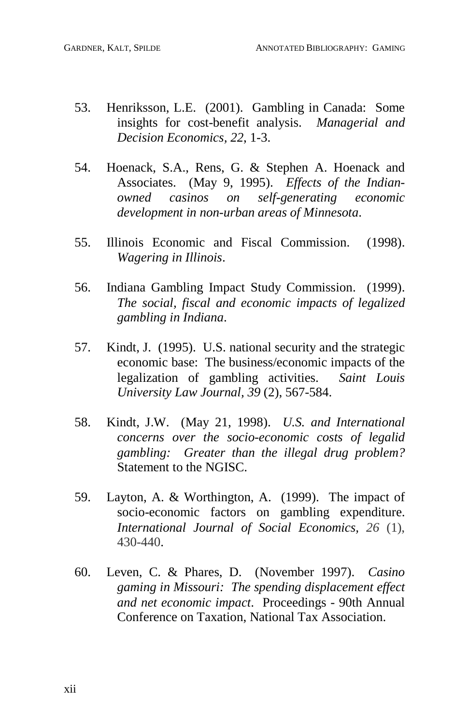- 53. Henriksson, L.E. (2001). Gambling in Canada: Some insights for cost-benefit analysis. *Managerial and Decision Economics, 22*, 1-3.
- 54. Hoenack, S.A., Rens, G. & Stephen A. Hoenack and Associates. (May 9, 1995). *Effects of the Indianowned casinos on self-generating economic development in non-urban areas of Minnesota*.
- 55. Illinois Economic and Fiscal Commission. (1998). *Wagering in Illinois*.
- 56. Indiana Gambling Impact Study Commission. (1999). *The social, fiscal and economic impacts of legalized gambling in Indiana*.
- 57. Kindt, J. (1995). U.S. national security and the strategic economic base: The business/economic impacts of the legalization of gambling activities. *Saint Louis University Law Journal, 39* (2), 567-584.
- 58. Kindt, J.W. (May 21, 1998). *U.S. and International concerns over the socio-economic costs of legalid gambling: Greater than the illegal drug problem?* Statement to the NGISC.
- 59. Layton, A. & Worthington, A. (1999). The impact of socio-economic factors on gambling expenditure. *International Journal of Social Economics, 26* (1), 430-440.
- 60. Leven, C. & Phares, D. (November 1997). *Casino gaming in Missouri: The spending displacement ef ect and net economic impact*. Proceedings - 90th Annual Conference on Taxation, National Tax Association.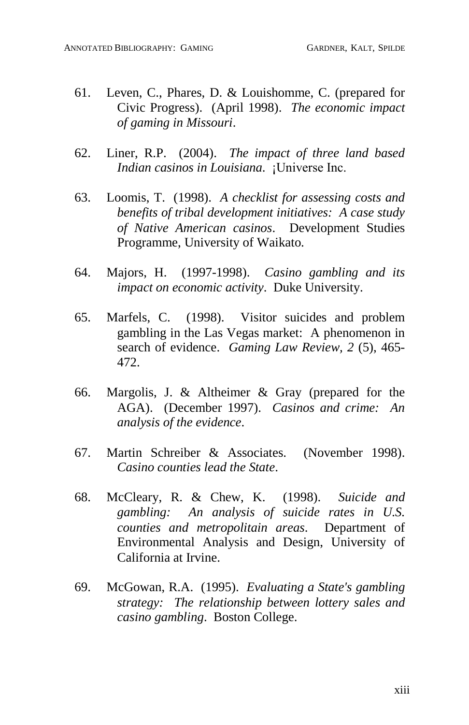- 61. Leven, C., Phares, D. & Louishomme, C. (prepared for Civic Progress). (April 1998). *The economic impact of gaming in Missouri*.
- 62. Liner, R.P. (2004). *The impact of three land based Indian casinos in Louisiana.* ¡Universe Inc.
- 63. Loomis, T. (1998). *A checklist for assessing costs and benefits of tribal development initiatives: A case study of Native American casinos*. Development Studies Programme, University of Waikato.
- 64. Majors, H. (1997-1998). *Casino gambling and its impact on economic activity*. Duke University.
- 65. Marfels, C. (1998). Visitor suicides and problem gambling in the Las Vegas market: A phenomenon in search of evidence. *Gaming Law Review, 2* (5), 465- 472.
- 66. Margolis, J. & Altheimer & Gray (prepared for the AGA). (December 1997). *Casinos and crime: An analysis of the evidence*.
- 67. Martin Schreiber & Associates. (November 1998). *Casino counties lead the State*.
- 68. McCleary, R. & Chew, K. (1998). *Suicide and gambling: An analysis of suicide rates in U.S. counties and metropolitain areas*. Department of Environmental Analysis and Design, University of California at Irvine.
- 69. McGowan, R.A. (1995). *Evaluating a State's gambling strategy: The relationship between lottery sales and casino gambling*. Boston College.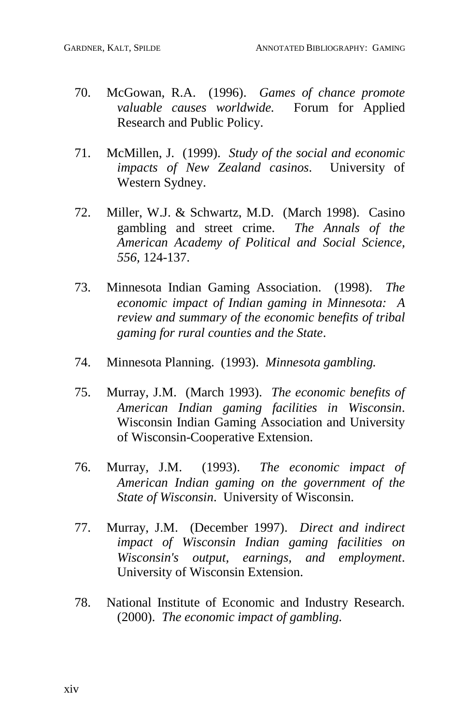- 70. McGowan, R.A. (1996). *Games of chance promote valuable causes worldwide.* Forum for Applied Research and Public Policy.
- 71. McMillen, J. (1999). *Study of the social and economic impacts of New Zealand casinos*. University of Western Sydney.
- 72. Miller, W.J. & Schwartz, M.D. (March 1998). Casino gambling and street crime. *The Annals of the American Academy ofPolitical and Social Science, 556,* 124-137.
- 73. Minnesota Indian Gaming Association. (1998). *The economic impact of Indian gaming in Minnesota: A review and summary of the economic benefits of tribal gaming for rural counties and the State*.
- 74. Minnesota Planning. (1993). *Minnesota gambling.*
- 75. Murray, J.M. (March 1993). *The economic benefits of American Indian gaming facilities in Wisconsin*. Wisconsin Indian Gaming Association and University of Wisconsin-Cooperative Extension.
- 76. Murray, J.M. (1993). *The economic impact of American Indian gaming on the government of the State of Wisconsin*. University of Wisconsin.
- 77. Murray, J.M. (December 1997). *Direct and indirect impact of Wisconsin Indian gaming facilities on Wisconsin's output, earnings, and employment*. University of Wisconsin Extension.
- 78. National Institute of Economic and Industry Research. (2000). *The economic impact of gambling.*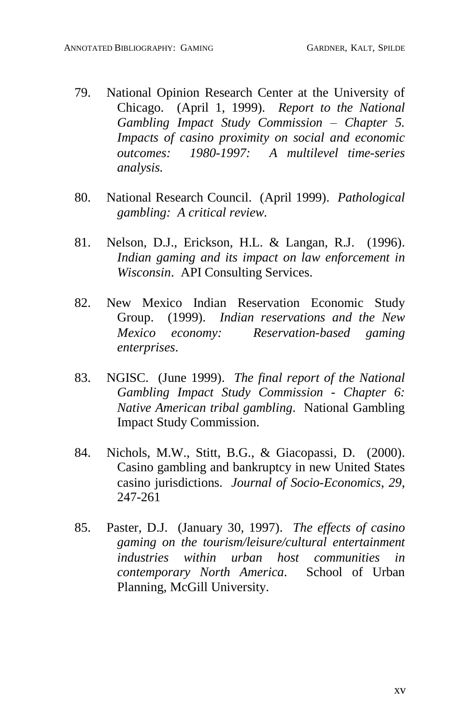- 79. National Opinion Research Center at the University of Chicago. (April 1, 1999). *Report to the National Gambling Impact Study Commission – Chapter 5. Impacts of casino proximity on social and economic outcomes: 1980-1997: A multilevel time-series analysis.*
- 80. National Research Council. (April 1999). *Pathological gambling: A critical review.*
- 81. Nelson, D.J., Erickson, H.L. & Langan, R.J. (1996). *Indian gaming and its impact on law enforcement in Wisconsin*. API Consulting Services.
- 82. New Mexico Indian Reservation Economic Study Group. (1999). *Indian reservations and the New Mexico economy: Reservation-based gaming enterprises*.
- 83. NGISC. (June 1999). *The final report of the National Gambling Impact Study Commission - Chapter 6: Native American tribal gambling*. National Gambling Impact Study Commission.
- 84. Nichols, M.W., Stitt, B.G., & Giacopassi, D. (2000). Casino gambling and bankruptcy in new United States casino jurisdictions. *Journal of Socio-Economics*, *29*, 247-261
- 85. Paster, D.J. (January 30, 1997). *The effects of casino gaming on the tourism/leisure/cultural entertainment industries within urban host communities in contemporary North America*. School of Urban Planning, McGill University.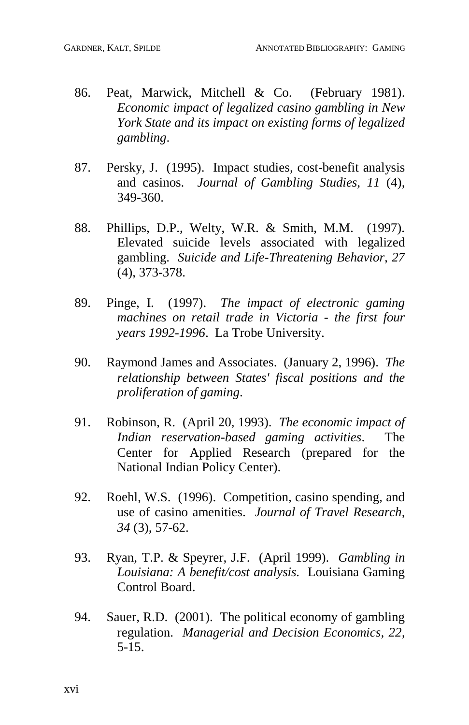- 86. Peat, Marwick, Mitchell & Co. (February 1981). *Economic impact of legalized casino gambling in New York State and its impact on existing forms of legalized gambling*.
- 87. Persky, J. (1995). Impact studies, cost-benefit analysis and casinos. *Journal of Gambling Studies, 11* (4), 349-360.
- 88. Phillips, D.P., Welty, W.R. & Smith, M.M. (1997). Elevated suicide levels associated with legalized gambling. *Suicide and Life-Threatening Behavior, 27* (4), 373-378.
- 89. Pinge, I. (1997). *The impact of electronic gaming machines on retail trade in Victoria - the first four years 1992-1996*. La Trobe University.
- 90. Raymond James and Associates. (January 2, 1996). *The relationship between States' fiscal positions and the proliferation of gaming*.
- 91. Robinson, R. (April 20, 1993). *The economic impact of Indian reservation-based gaming activities*. The Center for Applied Research (prepared for the National Indian Policy Center).
- 92. Roehl, W.S. (1996). Competition, casino spending, and use of casino amenities. *Journal of Travel Research, 34* (3), 57-62.
- 93. Ryan, T.P. & Speyrer, J.F. (April 1999). *Gambling in Louisiana: A benefit/cost analysis.* Louisiana Gaming Control Board.
- 94. Sauer, R.D. (2001). The political economy of gambling regulation. *Managerial and Decision Economics, 22,* 5-15.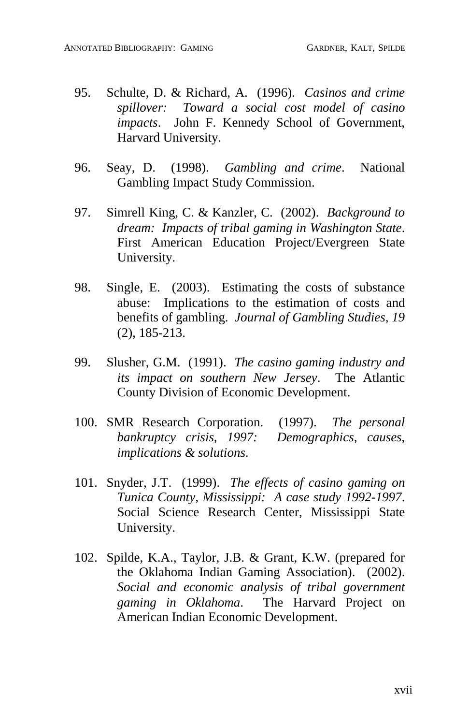- 95. Schulte, D. & Richard, A. (1996). *Casinos and crime spillover: Toward a social cost model of casino impacts*. John F. Kennedy School of Government, Harvard University.
- 96. Seay, D. (1998). *Gambling and crime*. National Gambling Impact Study Commission.
- 97. Simrell King, C. & Kanzler, C. (2002). *Background to dream: Impacts of tribal gaming in Washington State*. First American Education Project/Evergreen State University.
- 98. Single, E. (2003). Estimating the costs of substance abuse: Implications to the estimation of costs and benefits of gambling. *Journal of Gambling Studies, 19* (2), 185-213.
- 99. Slusher, G.M. (1991). *The casino gaming industry and its impact on southern New Jersey*. The Atlantic County Division of Economic Development.
- 100. SMR Research Corporation. (1997). *The personal bankruptcy crisis, 1997: Demographics, causes, implications & solutions*.
- 101. Snyder, J.T. (1999). *The effects of casino gaming on Tunica County, Mississippi: A case study 1992-1997*. Social Science Research Center, Mississippi State University.
- 102. Spilde, K.A., Taylor, J.B. & Grant, K.W. (prepared for the Oklahoma Indian Gaming Association). (2002). *Social and economic analysis of tribal government gaming in Oklahoma*. The Harvard Project on American Indian Economic Development.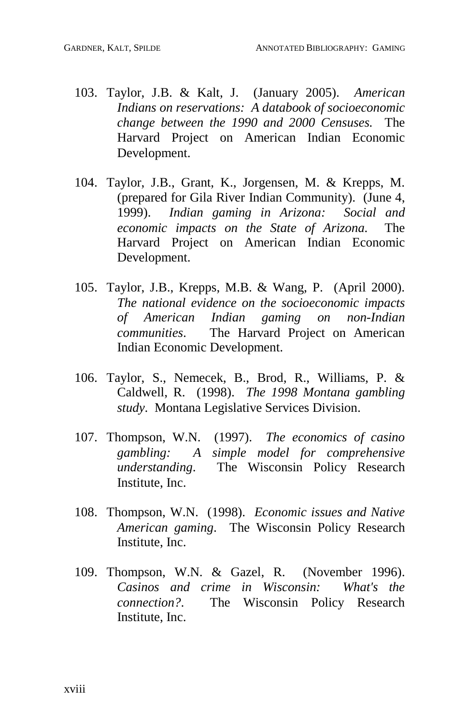- 103. Taylor, J.B. & Kalt, J. (January 2005). *American Indians on reservations: A databook of socioeconomic change between the 1990 and 2000 Censuses.* The Harvard Project on American Indian Economic Development.
- 104. Taylor, J.B., Grant, K., Jorgensen, M. & Krepps, M. (prepared for Gila River Indian Community). (June 4, 1999). *Indian gaming in Arizona: Social and economic impacts on the State of Arizona.* The Harvard Project on American Indian Economic Development.
- 105. Taylor, J.B., Krepps, M.B. & Wang, P. (April 2000). *The national evidence on the socioeconomic impacts of American Indian gaming on non-Indian communities*. The Harvard Project on American Indian Economic Development.
- 106. Taylor, S., Nemecek, B., Brod, R., Williams, P. & Caldwell, R. (1998). *The 1998 Montana gambling study*. Montana Legislative Services Division.
- 107. Thompson, W.N. (1997). *The economics of casino gambling: A simple model for comprehensive understanding*. The Wisconsin Policy Research Institute, Inc.
- 108. Thompson, W.N. (1998). *Economic issues and Native American gaming*. The Wisconsin Policy Research Institute, Inc.
- 109. Thompson, W.N. & Gazel, R. (November 1996). *Casinos and crime in Wisconsin: What's the connection?*. The Wisconsin Policy Research Institute, Inc.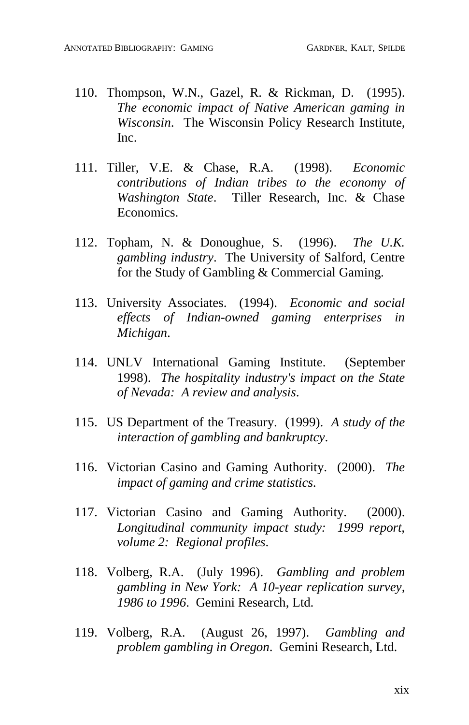- 110. Thompson, W.N., Gazel, R. & Rickman, D. (1995). *The economic impact of Native American gaming in Wisconsin*. The Wisconsin Policy Research Institute, Inc.
- 111. Tiller, V.E. & Chase, R.A. (1998). *Economic contributions of Indian tribes to the economy of Washington State*. Tiller Research, Inc. & Chase Economics.
- 112. Topham, N. & Donoughue, S. (1996). *The U.K. gambling industry*. The University of Salford, Centre for the Study of Gambling & Commercial Gaming.
- 113. University Associates. (1994). *Economic and social ef ects of Indian-owned gaming enterprises in Michigan*.
- 114. UNLV International Gaming Institute. (September 1998). *The hospitality industry's impact on the State of Nevada: A review and analysis*.
- 115. US Department of the Treasury. (1999). *A study of the interaction of gambling and bankruptcy*.
- 116. Victorian Casino and Gaming Authority. (2000). *The impact of gaming and crime statistics*.
- 117. Victorian Casino and Gaming Authority. (2000). *Longitudinal community impact study: 1999 report, volume 2: Regional profiles*.
- 118. Volberg, R.A. (July 1996). *Gambling and problem gambling in New York: A 10-year replication survey, 1986 to 1996*. Gemini Research, Ltd.
- 119. Volberg, R.A. (August 26, 1997). *Gambling and problem gambling in Oregon*. Gemini Research, Ltd.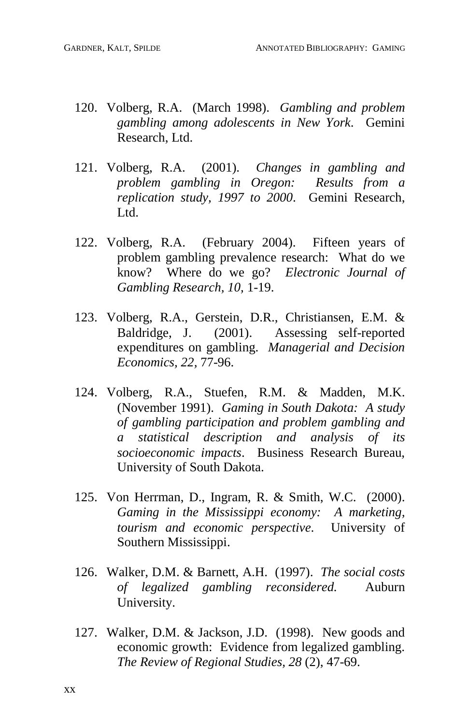- 120. Volberg, R.A. (March 1998). *Gambling and problem gambling among adolescents in New York*. Gemini Research, Ltd.
- 121. Volberg, R.A. (2001). *Changes in gambling and problem gambling in Oregon: Results from a replication study, 1997 to 2000*. Gemini Research, Ltd.
- 122. Volberg, R.A. (February 2004). Fifteen years of problem gambling prevalence research: What do we know? Where do we go? *Electronic Journal of Gambling Research, 10,* 1-19.
- 123. Volberg, R.A., Gerstein, D.R., Christiansen, E.M. & Baldridge, J. (2001). Assessing self-reported expenditures on gambling. *Managerial and Decision Economics, 22,* 77-96.
- 124. Volberg, R.A., Stuefen, R.M. & Madden, M.K. (November 1991). *Gaming in South Dakota: A study of gambling participation and problem gambling and a statistical description and analysis of its socioeconomic impacts*. Business Research Bureau, University of South Dakota.
- 125. Von Herrman, D., Ingram, R. & Smith, W.C. (2000). *Gaming in the Mississippi economy: A marketing, tourism and economic perspective*. University of Southern Mississippi.
- 126. Walker, D.M. & Barnett, A.H. (1997). *The social costs of legalized gambling reconsidered.* Auburn University.
- 127. Walker, D.M. & Jackson, J.D. (1998). New goods and economic growth: Evidence from legalized gambling. *The Review of Regional Studies, 28* (2), 47-69.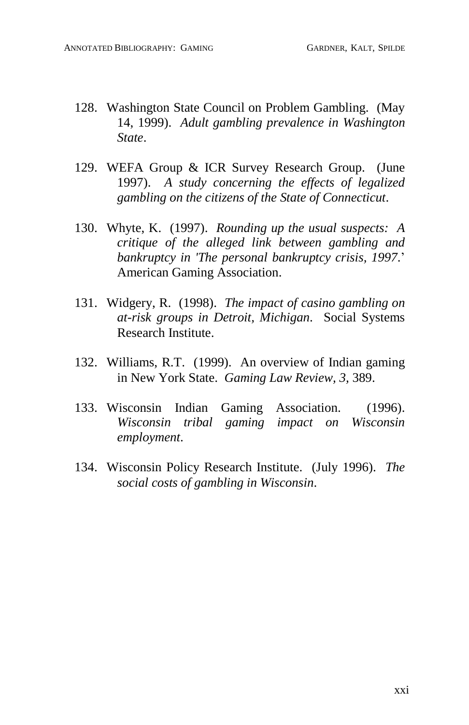- 128. Washington State Council on Problem Gambling. (May 14, 1999). *Adult gambling prevalence in Washington State*.
- 129. WEFA Group & ICR Survey Research Group. (June 1997). *A study concerning the efects of legalized gambling on the citizens of the State of Connecticut*.
- 130. Whyte, K. (1997). *Rounding up the usual suspects: A critique of the alleged link between gambling and bankruptcy in 'The personal bankruptcy crisis, 1997*.í American Gaming Association.
- 131. Widgery, R. (1998). *The impact of casino gambling on at-risk groups in Detroit, Michigan*. Social Systems Research Institute.
- 132. Williams, R.T. (1999). An overview of Indian gaming in New York State. *Gaming Law Review, 3,* 389.
- 133. Wisconsin Indian Gaming Association. (1996). *Wisconsin tribal gaming impact on Wisconsin employment*.
- 134. Wisconsin Policy Research Institute. (July 1996). *The social costs of gambling in Wisconsin*.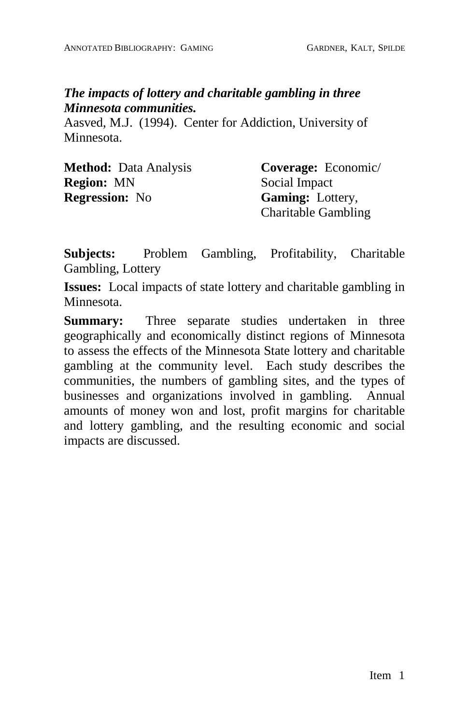## *The impacts of lottery and charitable gambling in three Minnesota communities.*

Aasved, M.J. (1994). Center for Addiction, University of Minnesota.

| <b>Method:</b> Data Analysis | Coverage: Economic/        |
|------------------------------|----------------------------|
| <b>Region:</b> MN            | Social Impact              |
| <b>Regression:</b> No        | <b>Gaming:</b> Lottery,    |
|                              | <b>Charitable Gambling</b> |

**Subjects:** Problem Gambling, Profitability, Charitable Gambling, Lottery

**Issues:** Local impacts of state lottery and charitable gambling in Minnesota.

**Summary:** Three separate studies undertaken in three geographically and economically distinct regions of Minnesota to assess the effects of the Minnesota State lottery and charitable gambling at the community level. Each study describes the communities, the numbers of gambling sites, and the types of businesses and organizations involved in gambling. Annual amounts of money won and lost, profit margins for charitable and lottery gambling, and the resulting economic and social impacts are discussed.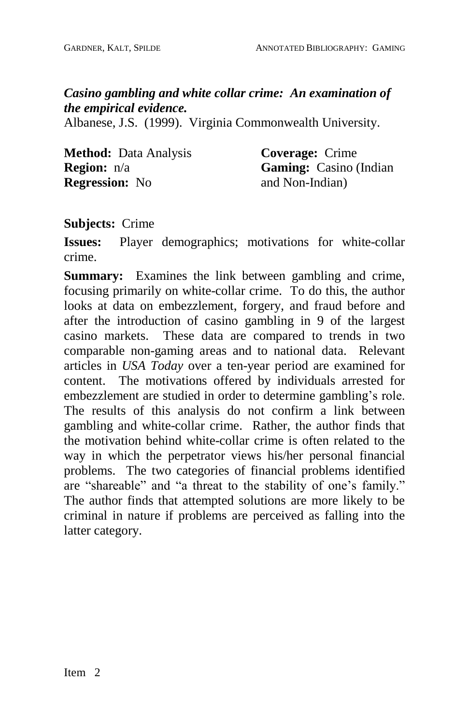*Casino gambling and white collar crime: An examination of the empirical evidence.*

Albanese, J.S. (1999). Virginia Commonwealth University.

| <b>Method:</b> Data Analysis |  |
|------------------------------|--|
| <b>Region:</b> $n/a$         |  |
| <b>Regression:</b> No        |  |

**Coverage:** Crime **Gaming:** Casino (Indian and Non-Indian)

**Subjects:** Crime

**Issues:** Player demographics; motivations for white-collar crime.

**Summary:** Examines the link between gambling and crime, focusing primarily on white-collar crime. To do this, the author looks at data on embezzlement, forgery, and fraud before and after the introduction of casino gambling in 9 of the largest casino markets. These data are compared to trends in two comparable non-gaming areas and to national data. Relevant articles in *USA Today* over a ten-year period are examined for content. The motivations offered by individuals arrested for embezzlement are studied in order to determine gambling's role. The results of this analysis do not confirm a link between gambling and white-collar crime. Rather, the author finds that the motivation behind white-collar crime is often related to the way in which the perpetrator views his/her personal financial problems. The two categories of financial problems identified are "shareable" and "a threat to the stability of one's family." The author finds that attempted solutions are more likely to be criminal in nature if problems are perceived as falling into the latter category.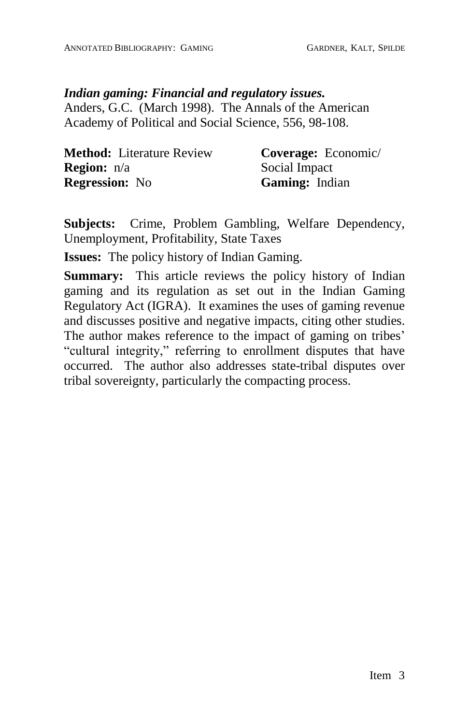#### *Indian gaming: Financial and regulatory issues.*

Anders, G.C. (March 1998). The Annals of the American Academy of Political and Social Science, 556, 98-108.

| <b>Method:</b> Literature Review | Coverage: Economic/ |
|----------------------------------|---------------------|
| <b>Region:</b> n/a               | Social Impact       |
| <b>Regression:</b> No            | Gaming: Indian      |

**Subjects:** Crime, Problem Gambling, Welfare Dependency, Unemployment, Profitability, State Taxes

**Issues:** The policy history of Indian Gaming.

**Summary:** This article reviews the policy history of Indian gaming and its regulation as set out in the Indian Gaming Regulatory Act (IGRA). It examines the uses of gaming revenue and discusses positive and negative impacts, citing other studies. The author makes reference to the impact of gaming on tribes' "cultural integrity," referring to enrollment disputes that have occurred. The author also addresses state-tribal disputes over tribal sovereignty, particularly the compacting process.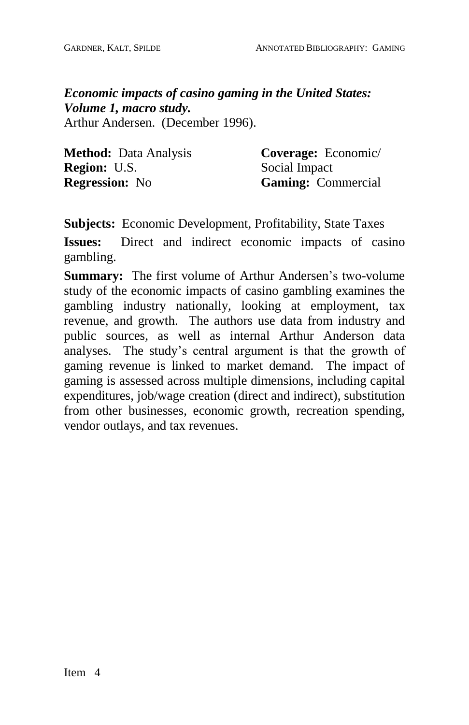*Economic impacts of casino gaming in the United States: Volume 1, macro study.* Arthur Andersen. (December 1996).

| <b>Method:</b> Data Analysis | Coverage: Economic/       |
|------------------------------|---------------------------|
| <b>Region: U.S.</b>          | Social Impact             |
| <b>Regression:</b> No        | <b>Gaming:</b> Commercial |

**Subjects:** Economic Development, Profitability, State Taxes

**Issues:** Direct and indirect economic impacts of casino gambling.

**Summary:** The first volume of Arthur Andersen's two-volume study of the economic impacts of casino gambling examines the gambling industry nationally, looking at employment, tax revenue, and growth. The authors use data from industry and public sources, as well as internal Arthur Anderson data analyses. The study's central argument is that the growth of gaming revenue is linked to market demand. The impact of gaming is assessed across multiple dimensions, including capital expenditures, job/wage creation (direct and indirect), substitution from other businesses, economic growth, recreation spending, vendor outlays, and tax revenues.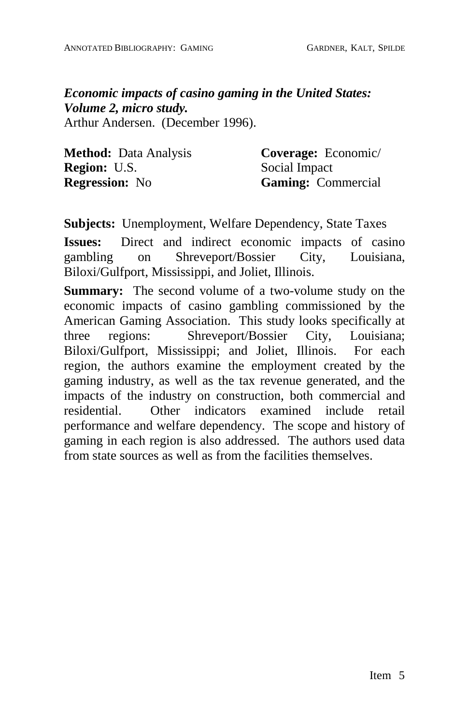*Economic impacts of casino gaming in the United States: Volume 2, micro study.* Arthur Andersen. (December 1996).

| <b>Method:</b> Data Analysis | Coverage: Economic/       |
|------------------------------|---------------------------|
| <b>Region: U.S.</b>          | Social Impact             |
| <b>Regression:</b> No        | <b>Gaming:</b> Commercial |

**Subjects:** Unemployment, Welfare Dependency, State Taxes

**Issues:** Direct and indirect economic impacts of casino gambling on Shreveport/Bossier City, Louisiana, Biloxi/Gulfport, Mississippi, and Joliet, Illinois.

**Summary:** The second volume of a two-volume study on the economic impacts of casino gambling commissioned by the American Gaming Association. This study looks specifically at three regions: Shreveport/Bossier City, Louisiana; Biloxi/Gulfport, Mississippi; and Joliet, Illinois. For each region, the authors examine the employment created by the gaming industry, as well as the tax revenue generated, and the impacts of the industry on construction, both commercial and residential. Other indicators examined include retail performance and welfare dependency. The scope and history of gaming in each region is also addressed. The authors used data from state sources as well as from the facilities themselves.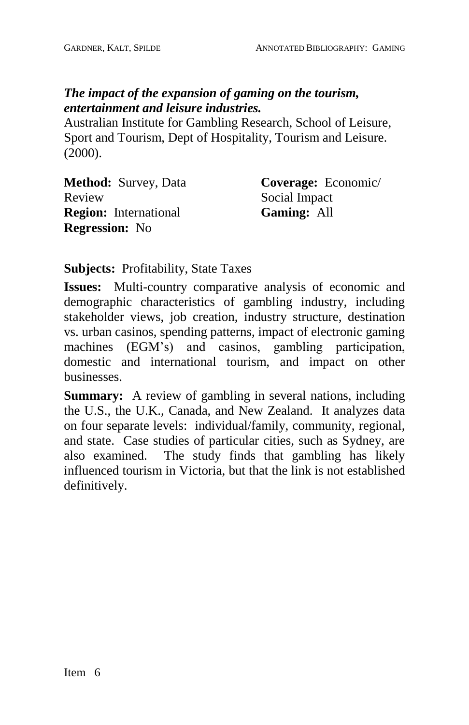## *The impact of the expansion of gaming on the tourism, entertainment and leisure industries.*

Australian Institute for Gambling Research, School of Leisure, Sport and Tourism, Dept of Hospitality, Tourism and Leisure. (2000).

| <b>Method:</b> Survey, Data  | Coverage: Economic/ |
|------------------------------|---------------------|
| Review                       | Social Impact       |
| <b>Region:</b> International | <b>Gaming: All</b>  |
| <b>Regression:</b> No        |                     |

**Subjects:** Profitability, State Taxes

**Issues:** Multi-country comparative analysis of economic and demographic characteristics of gambling industry, including stakeholder views, job creation, industry structure, destination vs. urban casinos, spending patterns, impact of electronic gaming machines (EGM's) and casinos, gambling participation, domestic and international tourism, and impact on other businesses.

**Summary:** A review of gambling in several nations, including the U.S., the U.K., Canada, and New Zealand. It analyzes data on four separate levels: individual/family, community, regional, and state. Case studies of particular cities, such as Sydney, are also examined. The study finds that gambling has likely influenced tourism in Victoria, but that the link is not established definitively.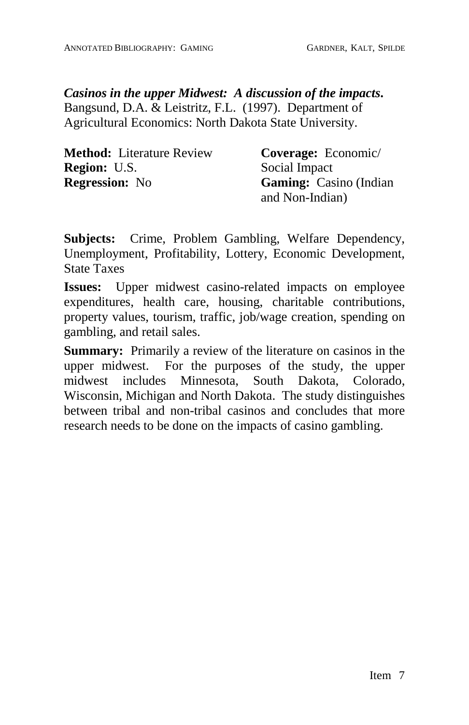*Casinos in the upper Midwest: A discussion of the impacts***.** Bangsund, D.A. & Leistritz,F.L. (1997). Department of Agricultural Economics: North Dakota State University.

| <b>Method:</b> Literature Review | Coverage: Economic/            |
|----------------------------------|--------------------------------|
| <b>Region:</b> U.S.              | Social Impact                  |
| <b>Regression:</b> No            | <b>Gaming:</b> Casino (Indian) |
|                                  | and Non-Indian)                |

**Subjects:** Crime, Problem Gambling, Welfare Dependency, Unemployment, Profitability, Lottery, Economic Development, State Taxes

**Issues:** Upper midwest casino-related impacts on employee expenditures, health care, housing, charitable contributions, property values, tourism, traffic, job/wage creation, spending on gambling, and retail sales.

**Summary:** Primarily a review of the literature on casinos in the upper midwest. For the purposes of the study, the upper midwest includes Minnesota, South Dakota, Colorado, Wisconsin, Michigan and North Dakota. The study distinguishes between tribal and non-tribal casinos and concludes that more research needs to be done on the impacts of casino gambling.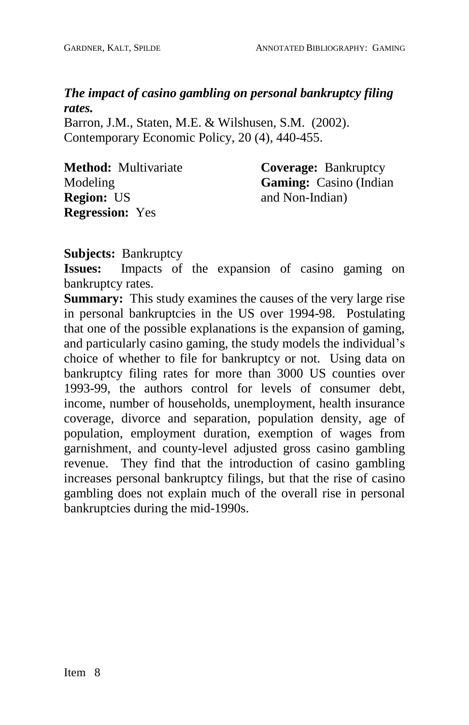*The impact of casino gambling on personal bankruptcy filing rates.*

Barron, J.M., Staten, M.E. & Wilshusen, S.M. (2002). Contemporary Economic Policy, 20 (4)*,* 440-455.

| <b>Method:</b> Multivariate | <b>Coverage: Bankruptcy</b>   |
|-----------------------------|-------------------------------|
| Modeling                    | <b>Gaming:</b> Casino (Indian |
| <b>Region: US</b>           | and Non-Indian)               |
| <b>Regression:</b> Yes      |                               |

**Subjects:** Bankruptcy

**Issues:** Impacts of the expansion of casino gaming on bankruptcy rates.

**Summary:** This study examines the causes of the very large rise in personal bankruptcies in the US over 1994-98. Postulating that one of the possible explanations is the expansion of gaming, and particularly casino gaming, the study models the individual's choice of whether to file for bankruptcy or not. Using data on bankruptcy filing rates for more than 3000 US counties over 1993-99, the authors control for levels of consumer debt, income, number of households, unemployment, health insurance coverage, divorce and separation, population density, age of population, employment duration, exemption of wages from garnishment, and county-level adjusted gross casino gambling revenue. They find that the introduction of casino gambling increases personal bankruptcy filings, but that the rise of casino gambling does not explain much of the overall rise in personal bankruptcies during the mid-1990s.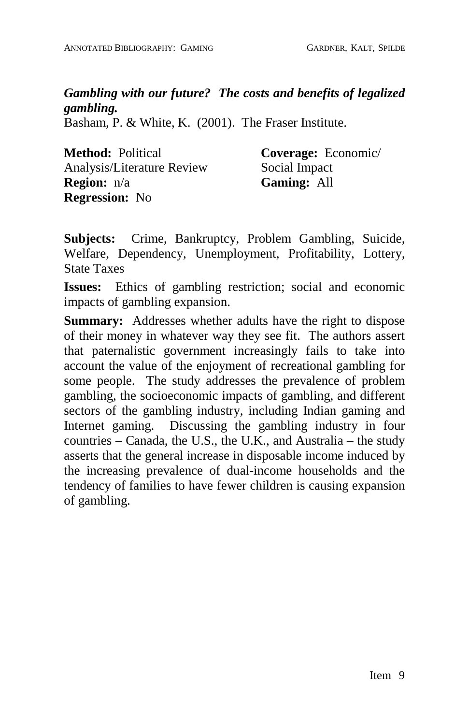*Gambling with our future? The costs and benefits of legalized gambling.*

Basham, P. & White, K. (2001). The Fraser Institute.

| <b>Method: Political</b>   | Coverage: Economic/ |
|----------------------------|---------------------|
| Analysis/Literature Review | Social Impact       |
| <b>Region:</b> n/a         | <b>Gaming: All</b>  |
| <b>Regression:</b> No      |                     |

**Subjects:** Crime, Bankruptcy, Problem Gambling, Suicide, Welfare, Dependency, Unemployment, Profitability, Lottery, State Taxes

**Issues:** Ethics of gambling restriction; social and economic impacts of gambling expansion.

**Summary:** Addresses whether adults have the right to dispose of their money in whatever way they see fit. The authors assert that paternalistic government increasingly fails to take into account the value of the enjoyment of recreational gambling for some people. The study addresses the prevalence of problem gambling, the socioeconomic impacts of gambling, and different sectors of the gambling industry, including Indian gaming and Internet gaming. Discussing the gambling industry in four countries  $-$  Canada, the U.S., the U.K., and Australia  $-$  the study asserts that the general increase in disposable income induced by the increasing prevalence of dual-income households and the tendency of families to have fewer children is causing expansion of gambling.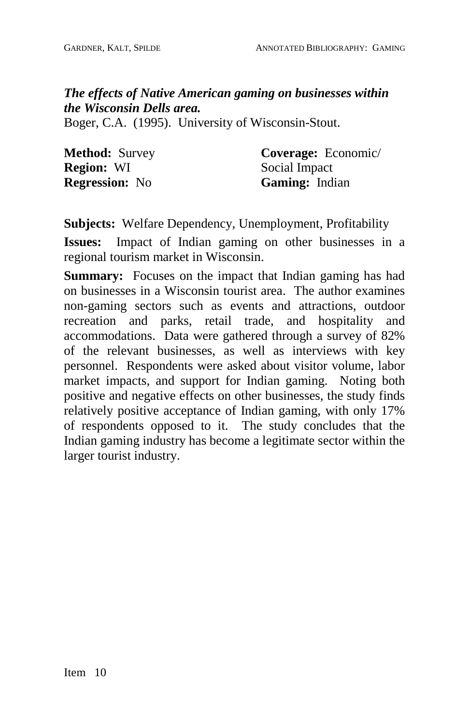### *The effects of Native American gaming on businesses within the Wisconsin Dells area.*

Boger, C.A. (1995). University of Wisconsin-Stout.

| <b>Method: Survey</b> | Coverage: Economic/   |
|-----------------------|-----------------------|
| <b>Region: WI</b>     | Social Impact         |
| <b>Regression:</b> No | <b>Gaming:</b> Indian |

**Subjects:** Welfare Dependency, Unemployment, Profitability

**Issues:** Impact of Indian gaming on other businesses in a regional tourism market in Wisconsin.

**Summary:** Focuses on the impact that Indian gaming has had on businesses in a Wisconsin tourist area. The author examines non-gaming sectors such as events and attractions, outdoor recreation and parks, retail trade, and hospitality and accommodations. Data were gathered through a survey of 82% of the relevant businesses, as well as interviews with key personnel. Respondents were asked about visitor volume, labor market impacts, and support for Indian gaming. Noting both positive and negative effects on other businesses, the study finds relatively positive acceptance of Indian gaming, with only 17% of respondents opposed to it. The study concludes that the Indian gaming industry has become a legitimate sector within the larger tourist industry.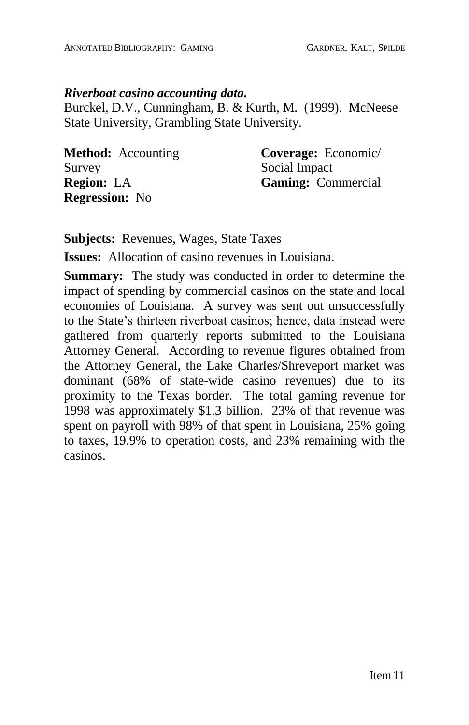### *Riverboat casino accounting data.*

Burckel, D.V., Cunningham, B. & Kurth, M. (1999). McNeese State University, Grambling State University.

| <b>Method:</b> Accounting | Coverage: Economic/ |
|---------------------------|---------------------|
| Survey                    | Social Impact       |
| <b>Region:</b> LA         | Gaming: Commercial  |
| <b>Regression:</b> No     |                     |

**Subjects:** Revenues, Wages, State Taxes

**Issues:** Allocation of casino revenues in Louisiana.

**Summary:** The study was conducted in order to determine the impact of spending by commercial casinos on the state and local economies of Louisiana. A survey was sent out unsuccessfully to the State's thirteen riverboat casinos; hence, data instead were gathered from quarterly reports submitted to the Louisiana Attorney General. According to revenue figures obtained from the Attorney General, the Lake Charles/Shreveport market was dominant (68% of state-wide casino revenues) due to its proximity to the Texas border. The total gaming revenue for 1998 was approximately \$1.3 billion. 23% of that revenue was spent on payroll with 98% of that spent in Louisiana, 25% going to taxes, 19.9% to operation costs, and 23% remaining with the casinos.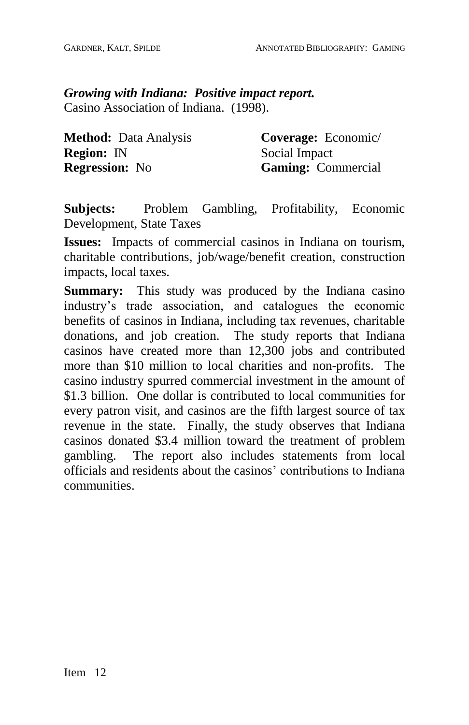## *Growing with Indiana: Positive impact report.* Casino Association of Indiana. (1998).

**Method:** Data Analysis **Region:** IN **Regression:** No

**Coverage:** Economic/ Social Impact **Gaming:** Commercial

**Subjects:** Problem Gambling, Profitability, Economic Development, State Taxes

**Issues:** Impacts of commercial casinos in Indiana on tourism, charitable contributions, job/wage/benefit creation, construction impacts, local taxes.

**Summary:** This study was produced by the Indiana casino industry's trade association, and catalogues the economic benefits of casinos in Indiana, including tax revenues, charitable donations, and job creation. The study reports that Indiana casinos have created more than 12,300 jobs and contributed more than \$10 million to local charities and non-profits. The casino industry spurred commercial investment in the amount of \$1.3 billion. One dollar is contributed to local communities for every patron visit, and casinos are the fifth largest source of tax revenue in the state. Finally, the study observes that Indiana casinos donated \$3.4 million toward the treatment of problem gambling. The report also includes statements from local officials and residents about the casinos' contributions to Indiana communities.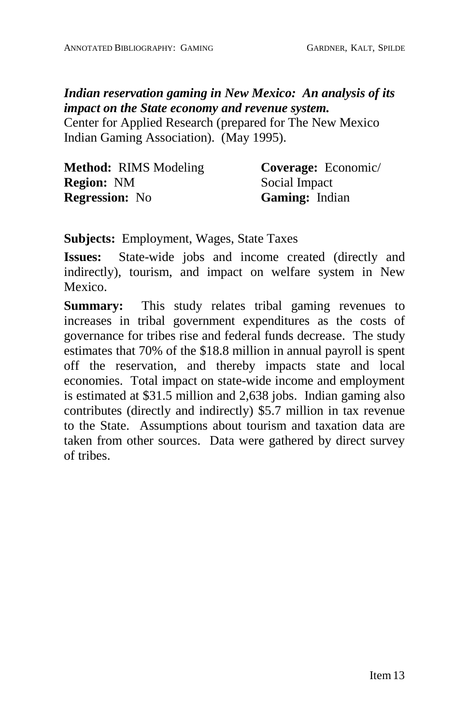## *Indian reservation gaming in New Mexico: An analysis of its impact on the State economy and revenue system.*

Center for Applied Research (prepared for The New Mexico Indian Gaming Association). (May 1995).

| <b>Method: RIMS Modeling</b> | Coverage: Economic/   |
|------------------------------|-----------------------|
| <b>Region: NM</b>            | Social Impact         |
| <b>Regression:</b> No        | <b>Gaming:</b> Indian |

**Subjects:** Employment, Wages, State Taxes

**Issues:** State-wide jobs and income created (directly and indirectly), tourism, and impact on welfare system in New Mexico.

**Summary:** This study relates tribal gaming revenues to increases in tribal government expenditures as the costs of governance for tribes rise and federal funds decrease. The study estimates that 70% of the \$18.8 million in annual payroll is spent off the reservation, and thereby impacts state and local economies. Total impact on state-wide income and employment is estimated at \$31.5 million and 2,638 jobs. Indian gaming also contributes (directly and indirectly) \$5.7 million in tax revenue to the State. Assumptions about tourism and taxation data are taken from other sources. Data were gathered by direct survey of tribes.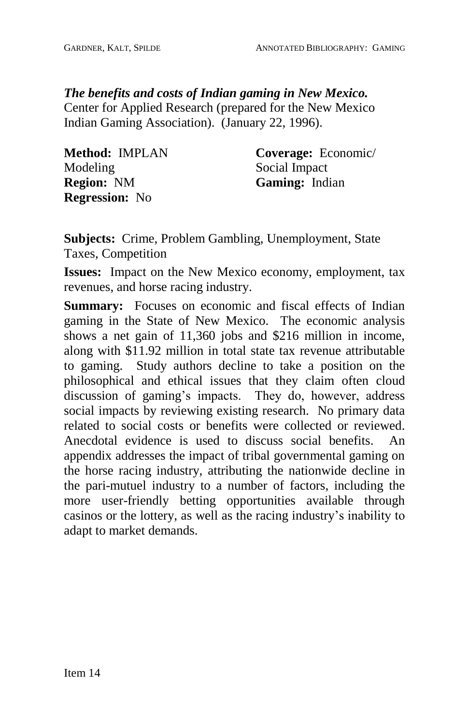*The benefits and costs of Indian gaming in New Mexico.*

Center for Applied Research (prepared for the New Mexico Indian Gaming Association). (January 22, 1996).

| Method: IMPLAN        | Coverage: Economic/   |
|-----------------------|-----------------------|
| <b>Modeling</b>       | Social Impact         |
| <b>Region: NM</b>     | <b>Gaming:</b> Indian |
| <b>Regression:</b> No |                       |

**Subjects:** Crime, Problem Gambling, Unemployment, State Taxes, Competition

**Issues:** Impact on the New Mexico economy, employment, tax revenues, and horse racing industry.

**Summary:** Focuses on economic and fiscal effects of Indian gaming in the State of New Mexico. The economic analysis shows a net gain of 11,360 jobs and \$216 million in income, along with \$11.92 million in total state tax revenue attributable to gaming. Study authors decline to take a position on the philosophical and ethical issues that they claim often cloud discussion of gaming's impacts. They do, however, address social impacts by reviewing existing research. No primary data related to social costs or benefits were collected or reviewed. Anecdotal evidence is used to discuss social benefits. An appendix addresses the impact of tribal governmental gaming on the horse racing industry, attributing the nationwide decline in the pari-mutuel industry to a number of factors, including the more user-friendly betting opportunities available through casinos or the lottery, as well as the racing industry's inability to adapt to market demands.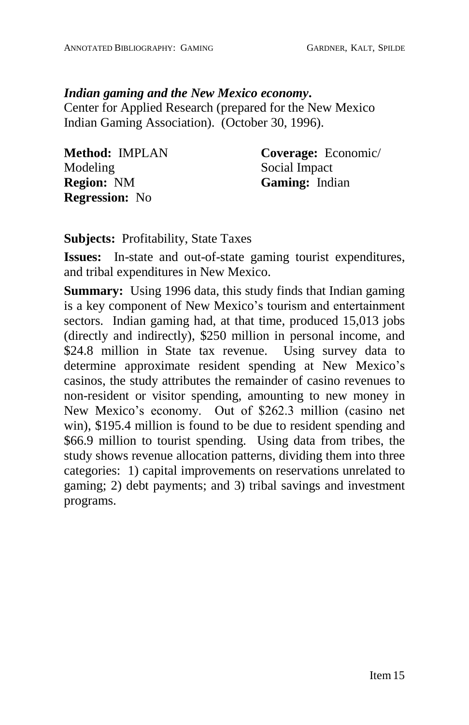## *Indian gaming and the New Mexico economy***.**

Center for Applied Research (prepared for the New Mexico Indian Gaming Association). (October 30, 1996).

| Method: IMPLAN        | Coverage: Economic/ |
|-----------------------|---------------------|
| Modeling              | Social Impact       |
| <b>Region: NM</b>     | Gaming: Indian      |
| <b>Regression:</b> No |                     |

**Subjects:** Profitability, State Taxes

**Issues:** In-state and out-of-state gaming tourist expenditures, and tribal expenditures in New Mexico.

**Summary:** Using 1996 data, this study finds that Indian gaming is a key component of New Mexico's tourism and entertainment sectors. Indian gaming had, at that time, produced 15,013 jobs (directly and indirectly), \$250 million in personal income, and \$24.8 million in State tax revenue. Using survey data to determine approximate resident spending at New Mexico's casinos, the study attributes the remainder of casino revenues to non-resident or visitor spending, amounting to new money in New Mexico's economy. Out of \$262.3 million (casino net win), \$195.4 million is found to be due to resident spending and \$66.9 million to tourist spending. Using data from tribes, the study shows revenue allocation patterns, dividing them into three categories: 1) capital improvements on reservations unrelated to gaming; 2) debt payments; and 3) tribal savings and investment programs.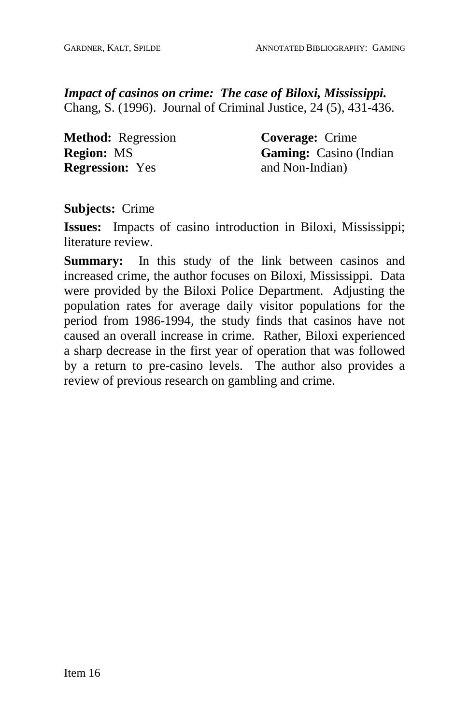*Impact of casinos on crime: The case of Biloxi, Mississippi.* Chang, S. (1996). Journal of Criminal Justice, 24 (5), 431-436.

**Method:** Regression **Region:** MS **Regression:** Yes

**Coverage:** Crime **Gaming:** Casino (Indian and Non-Indian)

**Subjects:** Crime

**Issues:** Impacts of casino introduction in Biloxi, Mississippi; literature review.

**Summary:** In this study of the link between casinos and increased crime, the author focuses on Biloxi, Mississippi. Data were provided by the Biloxi Police Department. Adjusting the population rates for average daily visitor populations for the period from 1986-1994, the study finds that casinos have not caused an overall increase in crime. Rather, Biloxi experienced a sharp decrease in the first year of operation that was followed by a return to pre-casino levels. The author also provides a review of previous research on gambling and crime.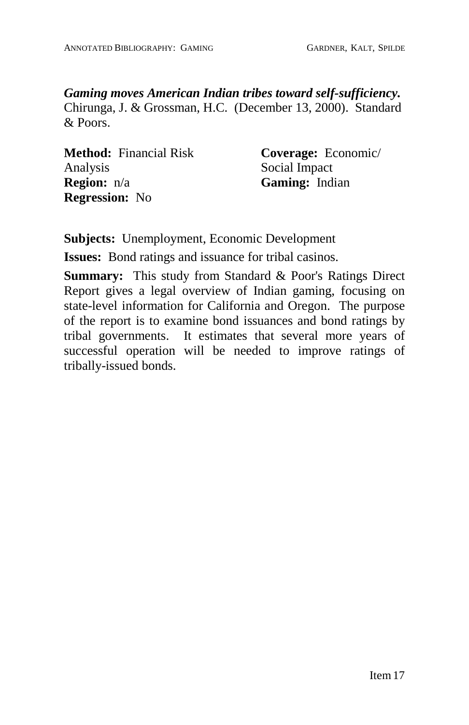*Gaming moves American Indian tribes toward self-sufficiency.* Chirunga, J. & Grossman, H.C. (December 13, 2000). Standard & Poors.

**Method:** Financial Risk Analysis **Region:** n/a **Regression:** No

**Coverage:** Economic/ Social Impact **Gaming:** Indian

**Subjects:** Unemployment, Economic Development

**Issues:** Bond ratings and issuance for tribal casinos.

**Summary:** This study from Standard & Poor's Ratings Direct Report gives a legal overview of Indian gaming, focusing on state-level information for California and Oregon. The purpose of the report is to examine bond issuances and bond ratings by tribal governments. It estimates that several more years of successful operation will be needed to improve ratings of tribally-issued bonds.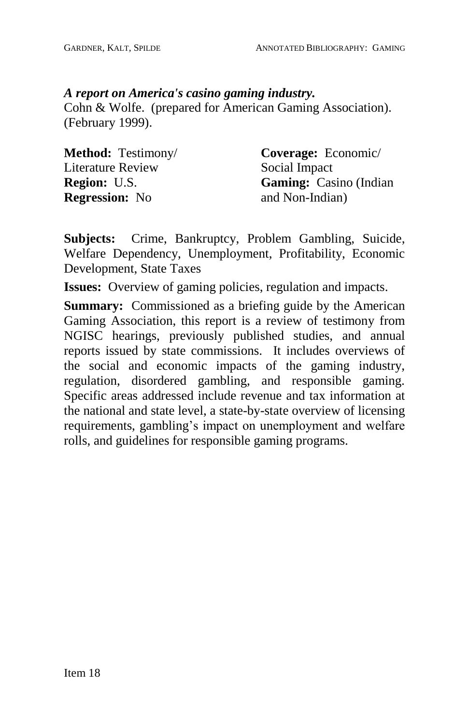## *A report on America's casino gaming industry.*

Cohn & Wolfe. (prepared for American Gaming Association). (February 1999).

| <b>Method:</b> Testimony/ | Coverage: Economic/           |
|---------------------------|-------------------------------|
| Literature Review         | Social Impact                 |
| <b>Region:</b> U.S.       | <b>Gaming:</b> Casino (Indian |
| <b>Regression:</b> No     | and Non-Indian)               |

**Subjects:** Crime, Bankruptcy, Problem Gambling, Suicide, Welfare Dependency, Unemployment, Profitability, Economic Development, State Taxes

**Issues:** Overview of gaming policies, regulation and impacts.

**Summary:** Commissioned as a briefing guide by the American Gaming Association, this report is a review of testimony from NGISC hearings, previously published studies, and annual reports issued by state commissions. It includes overviews of the social and economic impacts of the gaming industry, regulation, disordered gambling, and responsible gaming. Specific areas addressed include revenue and tax information at the national and state level, a state-by-state overview of licensing requirements, gambling's impact on unemployment and welfare rolls, and guidelines for responsible gaming programs.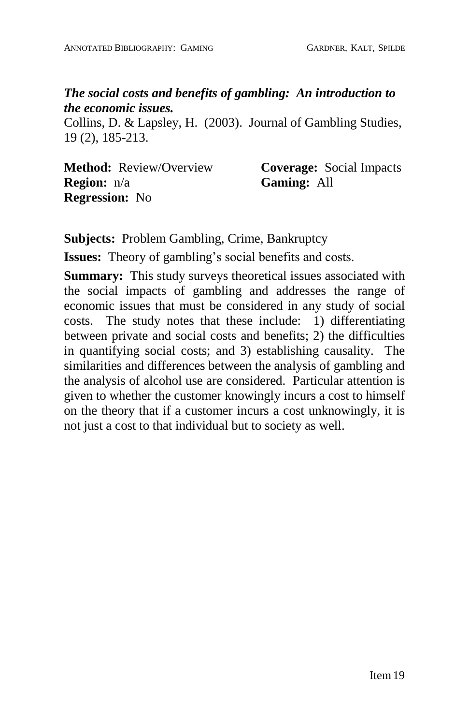## *The social costs and benefits of gambling: An introduction to the economic issues.*

Collins, D. & Lapsley, H. (2003). Journal of Gambling Studies, 19 (2), 185-213.

**Method:** Review/Overview **Region:** n/a **Regression:** No

**Coverage:** Social Impacts **Gaming:** All

**Subjects:** Problem Gambling, Crime, Bankruptcy

**Issues:** Theory of gambling's social benefits and costs.

**Summary:** This study surveys theoretical issues associated with the social impacts of gambling and addresses the range of economic issues that must be considered in any study of social costs. The study notes that these include: 1) differentiating between private and social costs and benefits; 2) the difficulties in quantifying social costs; and 3) establishing causality. The similarities and differences between the analysis of gambling and the analysis of alcohol use are considered. Particular attention is given to whether the customer knowingly incurs a cost to himself on the theory that if a customer incurs a cost unknowingly, it is not just a cost to that individual but to society as well.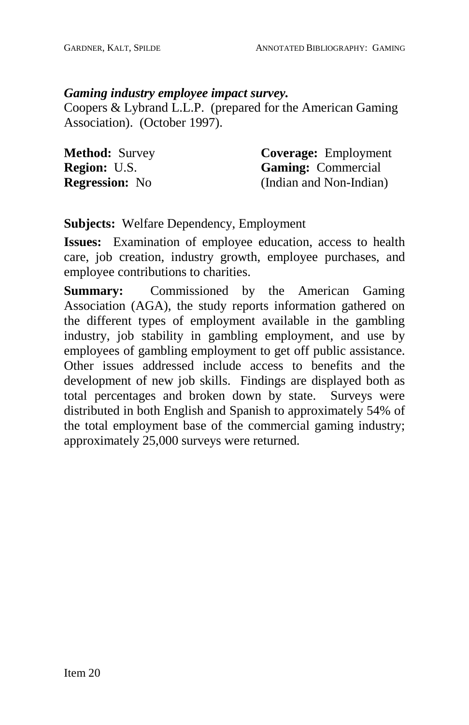## *Gaming industry employee impact survey.*

Coopers & Lybrand L.L.P. (prepared for the American Gaming Association). (October 1997).

| <b>Method: Survey</b> | <b>Coverage:</b> Employment |
|-----------------------|-----------------------------|
| <b>Region: U.S.</b>   | <b>Gaming:</b> Commercial   |
| <b>Regression:</b> No | (Indian and Non-Indian)     |

# **Subjects:** Welfare Dependency, Employment

**Issues:** Examination of employee education, access to health care, job creation, industry growth, employee purchases, and employee contributions to charities.

**Summary:** Commissioned by the American Gaming Association (AGA), the study reports information gathered on the different types of employment available in the gambling industry, job stability in gambling employment, and use by employees of gambling employment to get off public assistance. Other issues addressed include access to benefits and the development of new job skills. Findings are displayed both as total percentages and broken down by state. Surveys were distributed in both English and Spanish to approximately 54% of the total employment base of the commercial gaming industry; approximately 25,000 surveys were returned.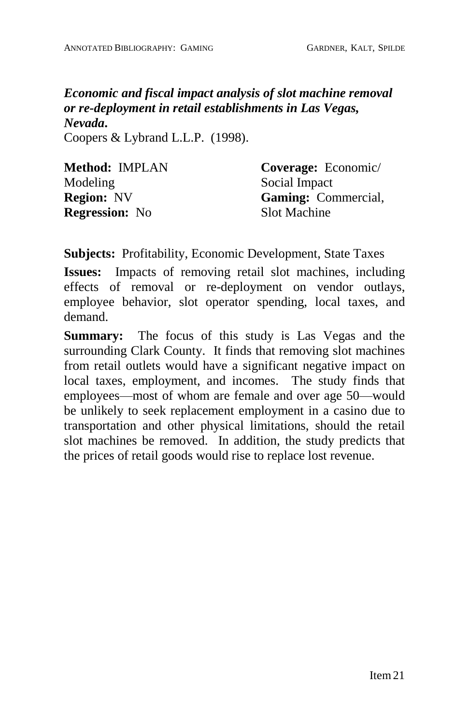*Economic and fiscal impact analysis of slot machine removal or re-deployment in retail establishments in Las Vegas, Nevada***.** Coopers & Lybrand L.L.P. (1998).

| Method: IMPLAN        | Coverage: Economic/        |
|-----------------------|----------------------------|
| Modeling              | Social Impact              |
| <b>Region: NV</b>     | <b>Gaming:</b> Commercial, |
| <b>Regression:</b> No | Slot Machine               |

**Subjects:** Profitability, Economic Development, State Taxes

**Issues:** Impacts of removing retail slot machines, including effects of removal or re-deployment on vendor outlays, employee behavior, slot operator spending, local taxes, and demand.

**Summary:** The focus of this study is Las Vegas and the surrounding Clark County. It finds that removing slot machines from retail outlets would have a significant negative impact on local taxes, employment, and incomes. The study finds that employees—most of whom are female and over age 50—would be unlikely to seek replacement employment in a casino due to transportation and other physical limitations, should the retail slot machines be removed. In addition, the study predicts that the prices of retail goods would rise to replace lost revenue.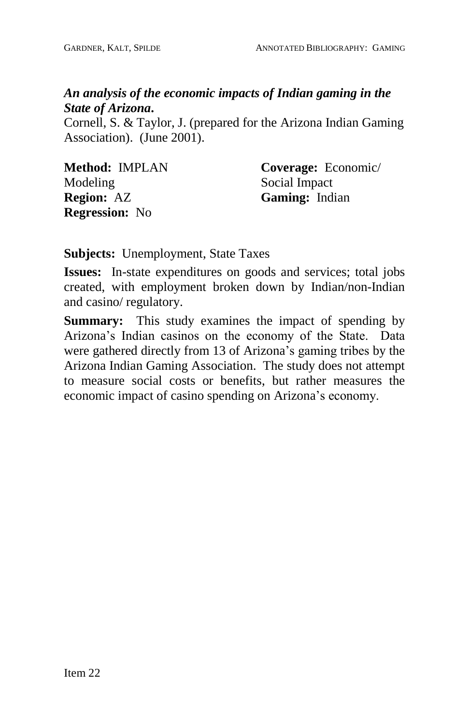# *An analysis of the economic impacts of Indian gaming in the State of Arizona***.**

Cornell, S. & Taylor, J. (prepared for the Arizona Indian Gaming Association). (June 2001).

| Method: IMPLAN        | Coverage: Economic/ |
|-----------------------|---------------------|
| Modeling              | Social Impact       |
| <b>Region: AZ</b>     | Gaming: Indian      |
| <b>Regression:</b> No |                     |

**Subjects:** Unemployment, State Taxes

**Issues:** In-state expenditures on goods and services; total jobs created, with employment broken down by Indian/non-Indian and casino/ regulatory.

**Summary:** This study examines the impact of spending by Arizona's Indian casinos on the economy of the State. Data were gathered directly from 13 of Arizona's gaming tribes by the Arizona Indian Gaming Association. The study does not attempt to measure social costs or benefits, but rather measures the economic impact of casino spending on Arizona's economy.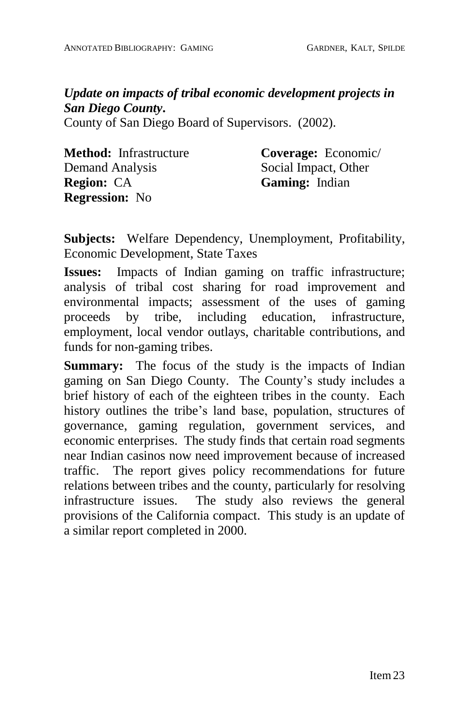*Update on impacts of tribal economic development projects in San Diego County***.**

County of San Diego Board of Supervisors. (2002).

**Method:** Infrastructure Demand Analysis **Region:** CA **Regression:** No

**Coverage:** Economic/ Social Impact, Other **Gaming:** Indian

**Subjects:** Welfare Dependency, Unemployment, Profitability, Economic Development, State Taxes

**Issues:** Impacts of Indian gaming on traffic infrastructure; analysis of tribal cost sharing for road improvement and environmental impacts; assessment of the uses of gaming proceeds by tribe, including education, infrastructure, employment, local vendor outlays, charitable contributions, and funds for non-gaming tribes.

**Summary:** The focus of the study is the impacts of Indian gaming on San Diego County. The County's study includes a brief history of each of the eighteen tribes in the county. Each history outlines the tribe's land base, population, structures of governance, gaming regulation, government services, and economic enterprises. The study finds that certain road segments near Indian casinos now need improvement because of increased traffic. The report gives policy recommendations for future relations between tribes and the county, particularly for resolving infrastructure issues. The study also reviews the general provisions of the California compact. This study is an update of a similar report completed in 2000.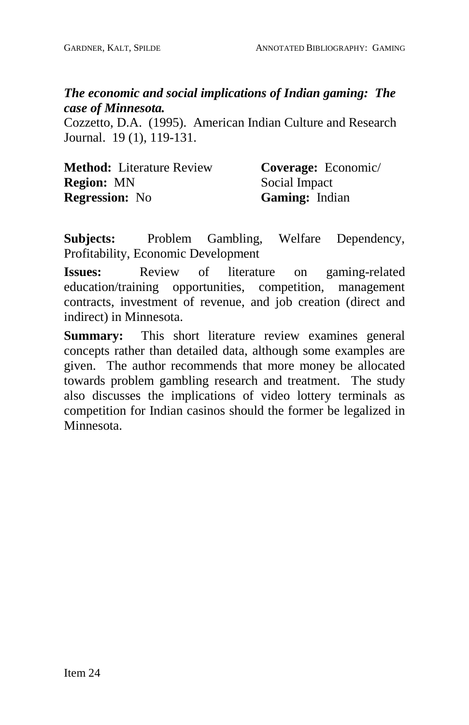# *The economic and social implications of Indian gaming: The case of Minnesota.*

Cozzetto, D.A. (1995). American Indian Culture and Research Journal. 19 (1), 119-131.

| <b>Method:</b> Literature Review | Coverage: Economic/ |
|----------------------------------|---------------------|
| <b>Region: MN</b>                | Social Impact       |
| <b>Regression:</b> No            | Gaming: Indian      |

**Subjects:** Problem Gambling, Welfare Dependency, Profitability, Economic Development

**Issues:** Review of literature on gaming-related education/training opportunities, competition, management contracts, investment of revenue, and job creation (direct and indirect) in Minnesota.

**Summary:** This short literature review examines general concepts rather than detailed data, although some examples are given. The author recommends that more money be allocated towards problem gambling research and treatment. The study also discusses the implications of video lottery terminals as competition for Indian casinos should the former be legalized in Minnesota.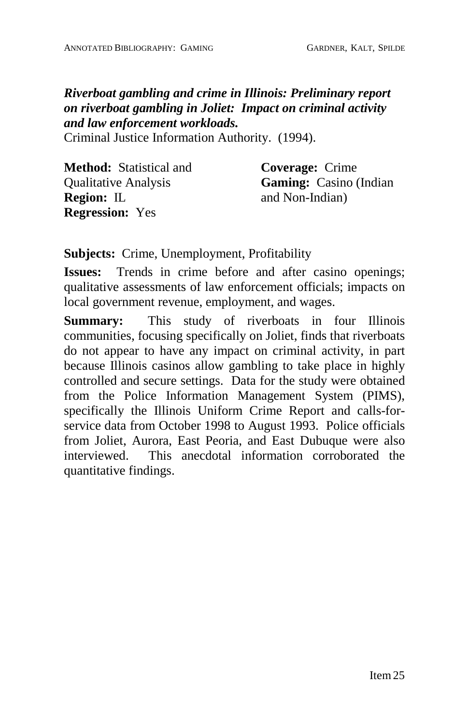*Riverboat gambling and crime in Illinois: Preliminary report on riverboat gambling in Joliet: Impact on criminal activity and law enforcement workloads.*

Criminal Justice Information Authority. (1994).

| <b>Method:</b> Statistical and | <b>Coverage:</b> Crime        |
|--------------------------------|-------------------------------|
| <b>Qualitative Analysis</b>    | <b>Gaming:</b> Casino (Indian |
| <b>Region:</b> IL              | and Non-Indian)               |
| <b>Regression:</b> Yes         |                               |

**Subjects:** Crime, Unemployment, Profitability

**Issues:** Trends in crime before and after casino openings; qualitative assessments of law enforcement officials; impacts on local government revenue, employment, and wages.

**Summary:** This study of riverboats in four Illinois communities, focusing specifically on Joliet, finds that riverboats do notappear to have any impact on criminal activity, in part because Illinois casinos allow gambling to take place in highly controlled and secure settings. Data for the study were obtained from the Police Information Management System (PIMS), specifically the Illinois Uniform Crime Report and calls-for service data from October 1998 to August 1993. Police officials from Joliet, Aurora, East Peoria, and East Dubuque were also interviewed. This anecdotal information corroborated the quantitative findings.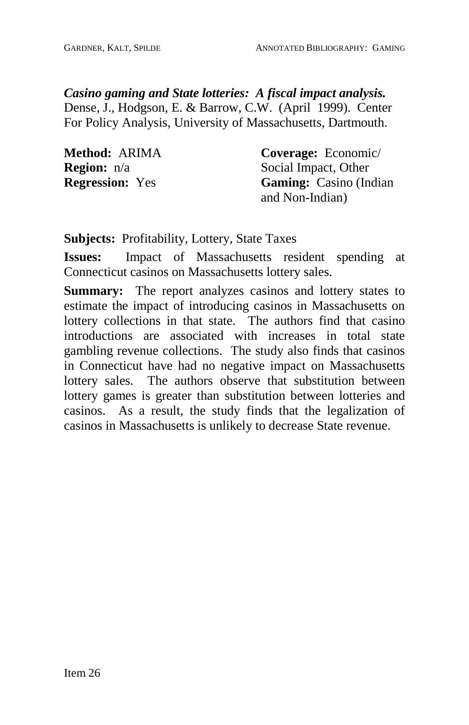*Casino gaming and State lotteries: A fiscal impact analysis.* Dense, J., Hodgson, E. & Barrow, C.W. (April 1999). Center For Policy Analysis, University of Massachusetts, Dartmouth.

| Method: ARIMA          | <b>Coverage:</b> Economic/    |
|------------------------|-------------------------------|
| <b>Region:</b> n/a     | Social Impact, Other          |
| <b>Regression:</b> Yes | <b>Gaming:</b> Casino (Indian |
|                        | and Non-Indian)               |

**Subjects:** Profitability, Lottery, State Taxes

**Issues:** Impact of Massachusetts resident spending at Connecticut casinos on Massachusetts lottery sales.

**Summary:** The report analyzes casinos and lottery states to estimate the impact of introducing casinos in Massachusetts on lottery collections in that state. The authors find that casino introductions are associated with increases in total state gambling revenue collections. The study also finds that casinos in Connecticut have had no negative impact on Massachusetts lottery sales. The authors observe that substitution between lottery games is greater than substitution between lotteries and casinos. As a result, the study finds that the legalization of casinos in Massachusetts is unlikely to decrease State revenue.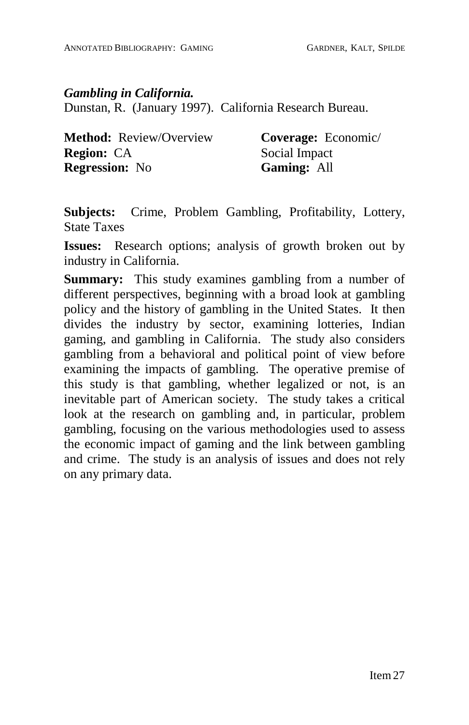#### *Gambling in California.*

Dunstan, R. (January 1997). California Research Bureau.

| <b>Method:</b> Review/Overview | Coverage: Economic/ |
|--------------------------------|---------------------|
| <b>Region: CA</b>              | Social Impact       |
| <b>Regression:</b> No          | <b>Gaming: All</b>  |

**Subjects:** Crime, Problem Gambling, Profitability, Lottery, State Taxes

**Issues:** Research options; analysis of growth broken out by industry in California.

**Summary:** This study examines gambling from a number of different perspectives, beginning with a broad look at gambling policy and the history of gambling in the United States. It then divides the industry by sector, examining lotteries, Indian gaming, and gambling in California. The study also considers gambling from a behavioral and political point of view before examining the impacts of gambling. The operative premise of this study is that gambling, whether legalized or not, is an inevitable part of American society. The study takes a critical look at the research on gambling and, in particular, problem gambling, focusing on the various methodologies used to assess the economic impact of gaming and the link between gambling and crime. The study is an analysis of issues and does not rely on any primary data.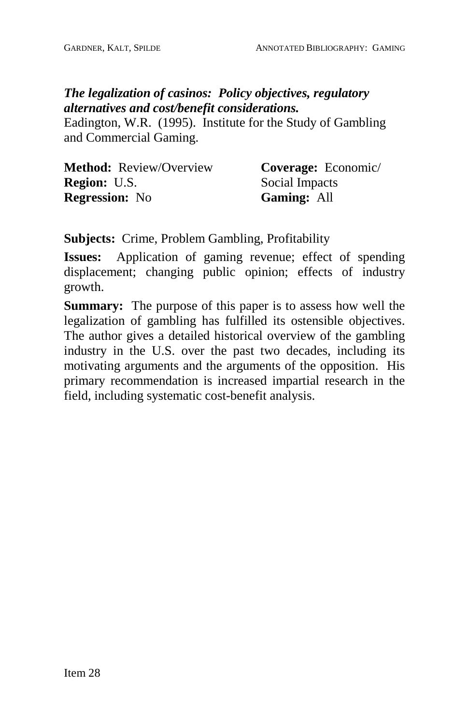## *The legalization of casinos: Policy objectives, regulatory alternatives and cost/benefit considerations.*

Eadington, W.R. (1995). Institute for the Study of Gambling and Commercial Gaming.

| <b>Method:</b> Review/Overview | Coverage: Economic/ |
|--------------------------------|---------------------|
| <b>Region:</b> U.S.            | Social Impacts      |
| <b>Regression:</b> No          | <b>Gaming: All</b>  |

**Subjects:** Crime, Problem Gambling, Profitability

**Issues:** Application of gaming revenue; effect of spending displacement; changing public opinion; effects of industry growth.

**Summary:** The purpose of this paper is to assess how well the legalization of gambling has fulfilled its ostensible objectives. The author gives a detailed historical overview of the gambling industry in the U.S. over the past two decades, including its motivating arguments and the arguments of the opposition. His primary recommendation is increased impartial research in the field, including systematic cost-benefit analysis.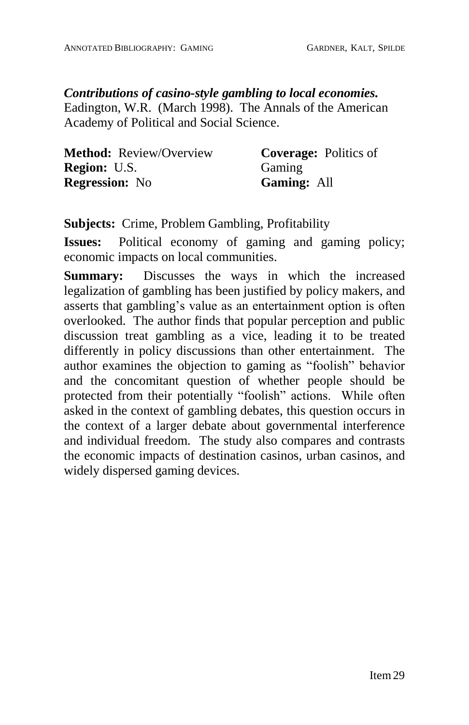*Contributions of casino-style gambling to local economies.* Eadington, W.R. (March 1998). The Annals of the American Academy of Political and Social Science.

| <b>Method:</b> Review/Overview | <b>Coverage:</b> Politics of |
|--------------------------------|------------------------------|
| <b>Region: U.S.</b>            | Gaming                       |
| <b>Regression:</b> No          | <b>Gaming: All</b>           |

**Subjects:** Crime, Problem Gambling, Profitability

**Issues:** Political economy of gaming and gaming policy; economic impacts on local communities.

**Summary:** Discusses the ways in which the increased legalization of gambling has been justified by policy makers, and asserts that gambling's value as an entertainment option is often overlooked. The author finds that popular perception and public discussion treat gambling as a vice, leading it to be treated differently in policy discussions than other entertainment. The author examines the objection to gaming as "foolish" behavior and the concomitant question of whether people should be protected from their potentially "foolish" actions. While often asked in the context of gambling debates, this question occurs in the context of a larger debate about governmental interference and individual freedom. The study also compares and contrasts the economic impacts of destination casinos, urban casinos, and widely dispersed gaming devices.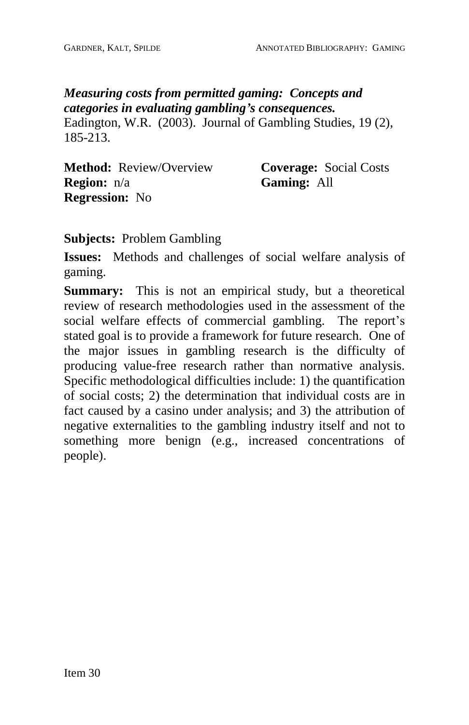*Measuring costs from permitted gaming: Concepts and categories in evaluating gamblingís consequences.* Eadington, W.R. (2003). Journal of Gambling Studies, 19 (2), 185-213.

**Method:** Review/Overview **Region:** n/a **Regression:** No

**Coverage:** Social Costs **Gaming:** All

**Subjects:** Problem Gambling

**Issues:** Methods and challenges of social welfare analysis of gaming.

**Summary:** This is not an empirical study, but a theoretical review of research methodologies used in the assessment of the social welfare effects of commercial gambling. The report's stated goal is to provide a framework for future research. One of the major issues in gambling research is the difficulty of producing value-free research rather than normative analysis. Specific methodological difficulties include: 1) the quantification of social costs; 2) the determination that individual costs are in fact caused by a casino under analysis; and 3) the attribution of negative externalities to the gambling industry itself and not to something more benign (e.g., increased concentrations of people).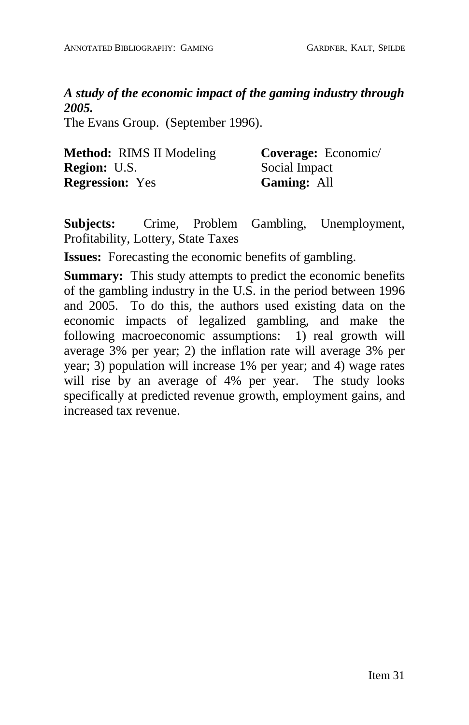*A study of the economic impact of the gaming industry through 2005.*

The Evans Group. (September 1996).

| <b>Method:</b> RIMS II Modeling | <b>Coverage:</b> Economic/ |
|---------------------------------|----------------------------|
| <b>Region: U.S.</b>             | Social Impact              |
| <b>Regression:</b> Yes          | <b>Gaming: All</b>         |

**Subjects:** Crime, Problem Gambling, Unemployment, Profitability, Lottery, State Taxes

**Issues:** Forecasting the economic benefits of gambling.

**Summary:** This study attempts to predict the economic benefits of the gambling industry in the U.S. in the period between 1996 and 2005. To do this, the authors used existing data on the economic impacts of legalized gambling, and make the following macroeconomic assumptions: 1) real growth will average 3% per year; 2) the inflation rate will average 3% per year; 3) population will increase 1% per year; and 4) wage rates will rise by an average of 4% per year. The study looks specifically at predicted revenue growth, employment gains, and increased tax revenue.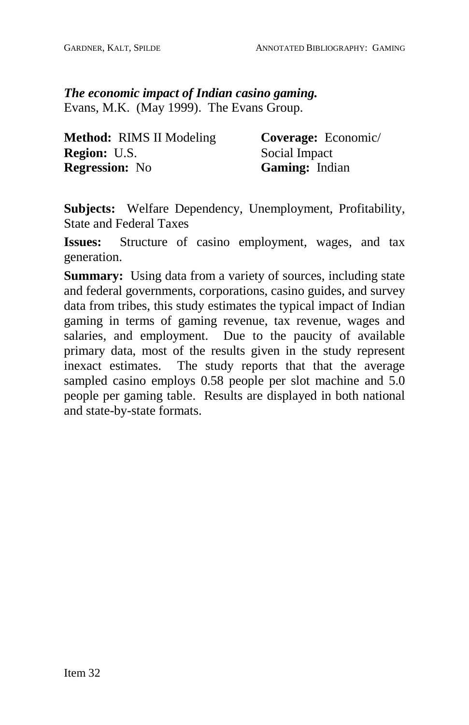*The economic impact of Indian casino gaming.* Evans, M.K. (May 1999). The Evans Group.

| <b>Method:</b> RIMS II Modeling | Coverage: Economic/   |
|---------------------------------|-----------------------|
| <b>Region: U.S.</b>             | Social Impact         |
| <b>Regression:</b> No           | <b>Gaming:</b> Indian |

**Subjects:** Welfare Dependency, Unemployment, Profitability, State and Federal Taxes

**Issues:** Structure of casino employment, wages, and tax generation.

**Summary:** Using data from a variety of sources, including state and federal governments, corporations, casino guides, and survey data from tribes, this study estimates the typical impact of Indian gaming in terms of gaming revenue, tax revenue, wages and salaries, and employment. Due to the paucity of available primary data, most of the results given in the study represent inexact estimates. The study reports that that the average sampled casino employs 0.58 people per slot machine and 5.0 people per gaming table. Results are displayed in both national and state-by-state formats.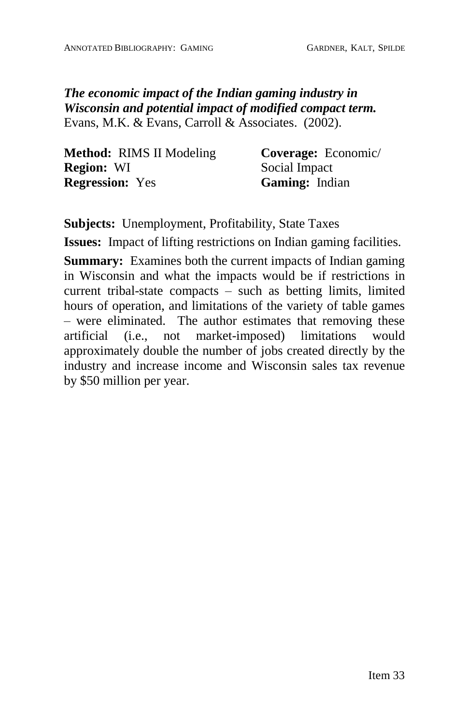*The economic impact of the Indian gaming industry in Wisconsin and potential impact of modified compact term.* Evans, M.K. & Evans, Carroll & Associates. (2002).

| <b>Method:</b> RIMS II Modeling | <b>Coverage:</b> Economic/ |
|---------------------------------|----------------------------|
| <b>Region: WI</b>               | Social Impact              |
| <b>Regression:</b> Yes          | Gaming: Indian             |

**Subjects:** Unemployment, Profitability, State Taxes

**Issues:** Impact of lifting restrictions on Indian gaming facilities.

**Summary:** Examines both the current impacts of Indian gaming in Wisconsin and what the impacts would be if restrictions in current tribal-state compacts  $\overline{\phantom{a}}$  such as betting limits, limited hours of operation, and limitations of the variety of table games  $-$  were eliminated. The author estimates that removing these artificial (i.e., not market-imposed) limitations would approximately double the number of jobs created directly by the industry and increase income and Wisconsin sales tax revenue by \$50 million per year.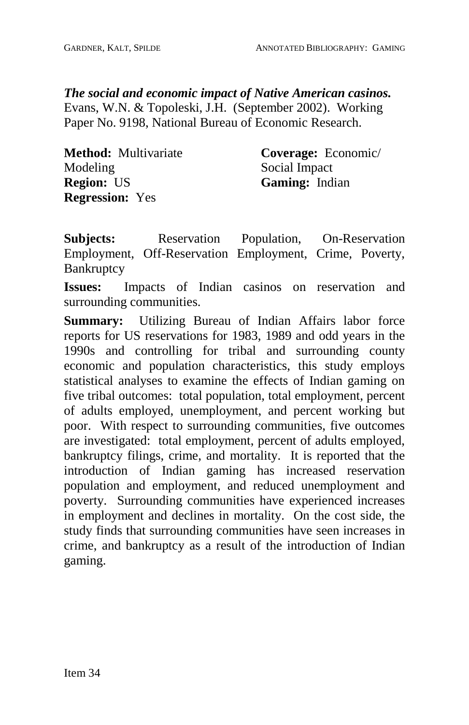*The social and economic impact of Native American casinos.* Evans, W.N. & Topoleski, J.H. (September 2002). Working Paper No. 9198, National Bureau of Economic Research.

| Method: Multivariate   | Coverage: Economic/ |
|------------------------|---------------------|
| Modeling               | Social Impact       |
| <b>Region: US</b>      | Gaming: Indian      |
| <b>Regression:</b> Yes |                     |

**Subjects:** Reservation Population, On-Reservation Employment, Off-Reservation Employment, Crime, Poverty, **Bankruptcy** 

**Issues:** Impacts of Indian casinos on reservation and surrounding communities.

**Summary:** Utilizing Bureau of Indian Affairs labor force reports for US reservations for 1983, 1989 and odd years in the 1990s and controlling for tribal and surrounding county economic and population characteristics, this study employs statistical analyses to examine the effects of Indian gaming on five tribal outcomes: total population, total employment, percent of adults employed, unemployment, and percent working but poor. With respect to surrounding communities, five outcomes are investigated: total employment, percent of adults employed, bankruptcy filings, crime, and mortality. It is reported that the introduction of Indian gaming has increased reservation population and employment, and reduced unemployment and poverty. Surrounding communities have experienced increases in employment and declines in mortality. On the cost side, the study finds that surrounding communities have seen increases in crime, and bankruptcy as a result of the introduction of Indian gaming.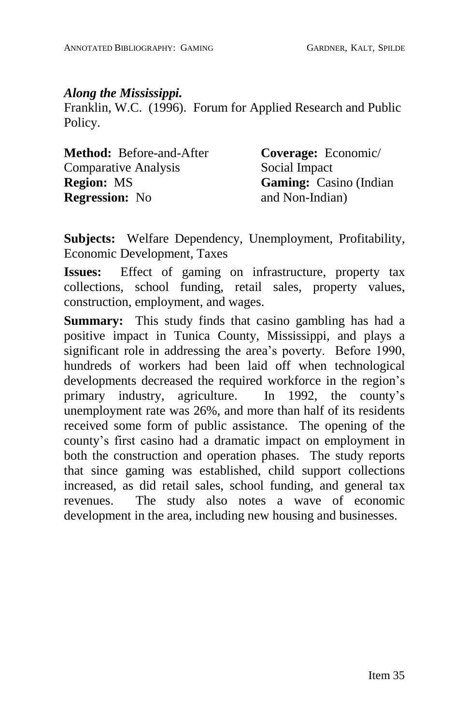#### *Along the Mississippi.*

Franklin, W.C. (1996). Forum for Applied Research and Public Policy.

| <b>Method:</b> Before-and-After | Coverage: Economic/           |
|---------------------------------|-------------------------------|
| <b>Comparative Analysis</b>     | Social Impact                 |
| <b>Region:</b> MS               | <b>Gaming:</b> Casino (Indian |
| <b>Regression:</b> No           | and Non-Indian)               |

**Subjects:** Welfare Dependency, Unemployment, Profitability, Economic Development, Taxes

**Issues:** Effect of gaming on infrastructure, property tax collections, school funding, retail sales, property values, construction, employment, and wages.

**Summary:** This study finds that casino gambling has had a positive impact in Tunica County, Mississippi, and plays a significant role in addressing the area's poverty. Before 1990, hundreds of workers had been laid off when technological developments decreased the required workforce in the region's primary industry, agriculture. In 1992, the county's unemployment rate was 26%, and more than half of its residents received some form of public assistance. The opening of the county's first casino had a dramatic impact on employment in both the construction and operation phases. The study reports that since gaming was established, child support collections increased, as did retail sales, school funding, and general tax revenues. The study also notes a wave of economic development in the area, including new housing and businesses.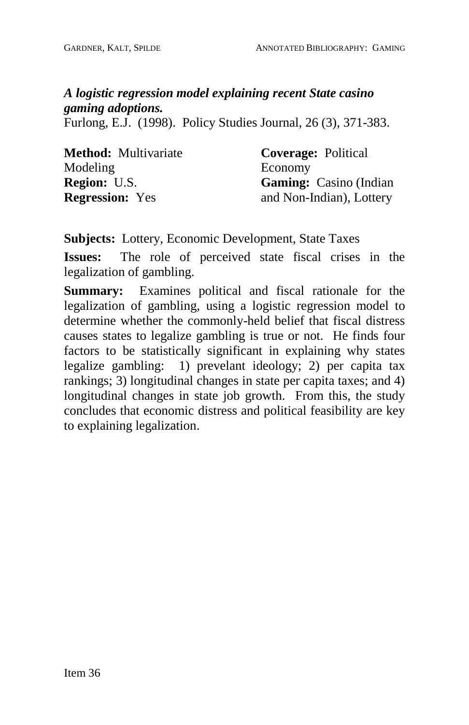# *A logistic regression model explaining recent State casino gaming adoptions.*

Furlong, E.J. (1998). Policy Studies Journal*,* 26 (3), 371-383.

| <b>Method:</b> Multivariate | <b>Coverage:</b> Political     |
|-----------------------------|--------------------------------|
| Modeling                    | Economy                        |
| <b>Region: U.S.</b>         | <b>Gaming:</b> Casino (Indian) |
| <b>Regression:</b> Yes      | and Non-Indian), Lottery       |

**Subjects:** Lottery, Economic Development, State Taxes

**Issues:** The role of perceived state fiscal crises in the legalization of gambling.

**Summary:** Examines political and fiscal rationale for the legalization of gambling, using a logistic regression model to determine whether the commonly-held belief that fiscal distress causes states to legalize gambling is true or not. He finds four factors to be statistically significant in explaining why states legalize gambling: 1) prevelant ideology; 2) per capita tax rankings; 3) longitudinal changes in state per capita taxes; and 4) longitudinal changes in state job growth. From this, the study concludes that economic distress and political feasibility are key to explaining legalization.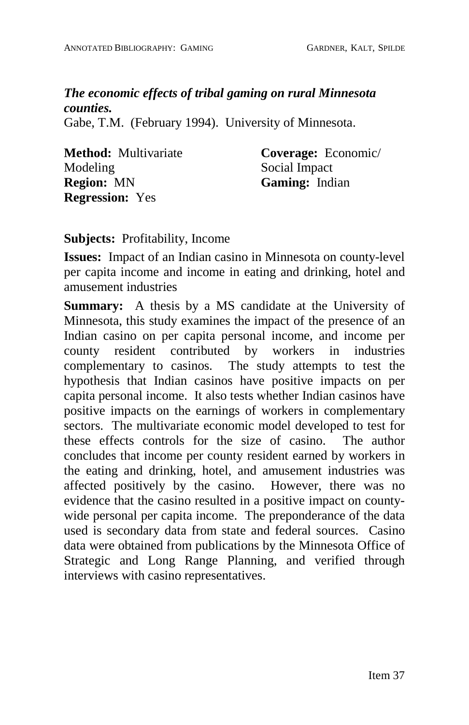# *The economic effects of tribal gaming on rural Minnesota counties.*

Gabe, T.M. (February 1994). University of Minnesota.

| <b>Method:</b> Multivariate |
|-----------------------------|
| Modeling                    |
| <b>Region: MN</b>           |
| <b>Regression:</b> Yes      |

**Coverage:** Economic/ Social Impact **Gaming:** Indian

**Subjects:** Profitability, Income

**Issues:** Impact of an Indian casino in Minnesota on county-level per capita income and income in eating and drinking, hotel and amusement industries

**Summary:** A thesis by a MS candidate at the University of Minnesota, this study examines the impact of the presence of an Indian casino on per capita personal income, and income per county resident contributed by workers in industries complementary to casinos. The study attempts to test the hypothesis that Indian casinos have positive impacts on per capita personal income. It also tests whether Indian casinos have positive impacts on the earnings of workers in complementary sectors. The multivariate economic model developed to test for these effects controls for the size of casino. The author concludes that income per county resident earned by workers in the eating and drinking, hotel, and amusement industries was affected positively by the casino. However, there was no evidence that the casino resulted in a positive impact on county wide personal per capita income. The preponderance of the data used is secondary data from state and federal sources. Casino data were obtained from publications by the Minnesota Office of Strategic and Long Range Planning, and verified through interviews with casino representatives.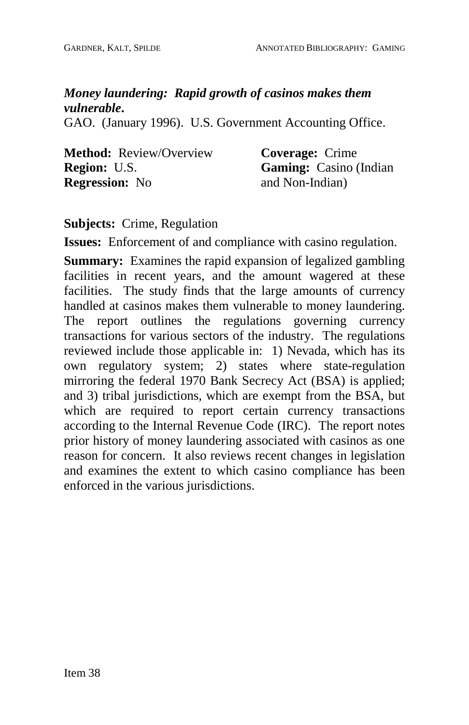# *Money laundering: Rapid growth of casinos makes them vulnerable***.**

GAO. (January 1996). U.S. Government Accounting Office.

| <b>Method:</b> Review/Overview | <b>Coverage:</b> Crime        |
|--------------------------------|-------------------------------|
| <b>Region: U.S.</b>            | <b>Gaming:</b> Casino (Indian |
| <b>Regression:</b> No          | and Non-Indian)               |

### **Subjects:** Crime, Regulation

**Issues:** Enforcement of and compliance with casino regulation.

**Summary:** Examines the rapid expansion of legalized gambling facilities in recent years, and the amount wagered at these facilities. The study finds that the large amounts of currency handled at casinos makes them vulnerable to money laundering. The report outlines the regulations governing currency transactions for various sectors of the industry. The regulations reviewed include those applicable in: 1) Nevada, which has its own regulatory system; 2) states where state-regulation mirroring the federal 1970 Bank Secrecy Act (BSA) is applied; and 3) tribal jurisdictions, which are exempt from the BSA, but which are required to report certain currency transactions according to the Internal Revenue Code (IRC). The report notes prior history of money laundering associated with casinos as one reason for concern. It also reviews recent changes in legislation and examines the extent to which casino compliance has been enforced in the various jurisdictions.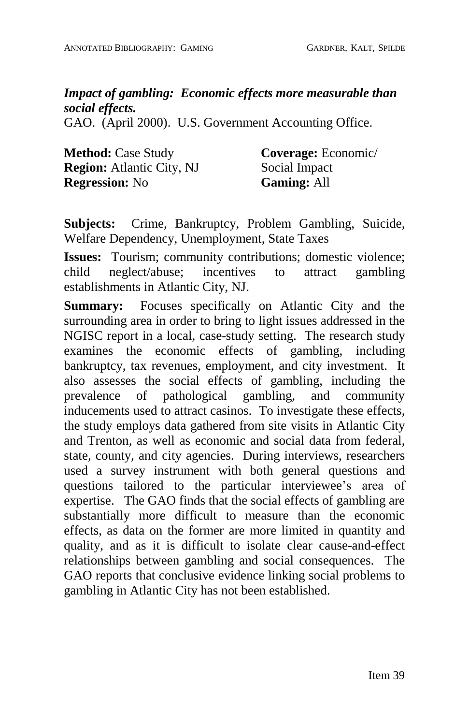# *Impact of gambling: Economic effects more measurable than social effects.*

GAO. (April 2000). U.S. Government Accounting Office.

| <b>Method: Case Study</b>        | Coverage: Economic/ |
|----------------------------------|---------------------|
| <b>Region:</b> Atlantic City, NJ | Social Impact       |
| <b>Regression:</b> No            | <b>Gaming: All</b>  |

**Subjects:** Crime, Bankruptcy, Problem Gambling, Suicide, Welfare Dependency, Unemployment, State Taxes

**Issues:** Tourism; community contributions; domestic violence; child neglect/abuse: incentives to attract gambling child neglect/abuse; incentives to attract gambling establishments in Atlantic City, NJ.

**Summary:** Focuses specifically on Atlantic City and the surrounding area in order to bring to light issues addressed in the NGISC report in a local, case-study setting. The research study examines the economic effects of gambling, including bankruptcy, tax revenues, employment, and city investment. It also assesses the social effects of gambling, including the prevalence of pathological gambling, and community inducements used to attract casinos. To investigate these effects, the study employs data gathered from site visits in Atlantic City and Trenton, as well as economic and social data from federal, state, county, and city agencies. During interviews, researchers used a survey instrument with both general questions and questions tailored to the particular interviewee's area of expertise. The GAO finds that the social effects of gambling are substantially more difficult to measure than the economic effects, as data on the former are more limited in quantity and quality, and as it is difficult to isolate clear cause-and-effect relationships between gambling and social consequences. The GAO reports that conclusive evidence linking social problems to gambling in Atlantic City has not been established.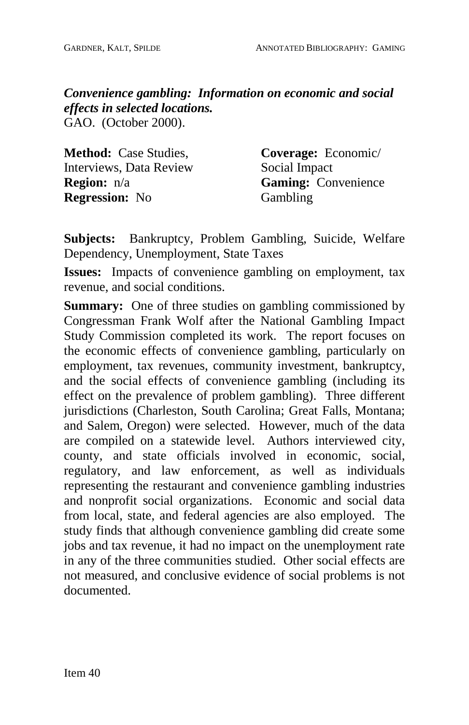*Convenience gambling: Information on economic and social effects in selected locations.* GAO. (October 2000).

| <b>Method:</b> Case Studies, | Coverage: Economic/        |
|------------------------------|----------------------------|
| Interviews, Data Review      | Social Impact              |
| <b>Region:</b> $n/a$         | <b>Gaming:</b> Convenience |
| <b>Regression:</b> No        | Gambling                   |

**Subjects:** Bankruptcy, Problem Gambling, Suicide, Welfare Dependency, Unemployment, State Taxes

**Issues:** Impacts of convenience gambling on employment, tax revenue, and social conditions.

**Summary:** One of three studies on gambling commissioned by Congressman Frank Wolf after the National Gambling Impact Study Commission completed its work. The report focuses on the economic effects of convenience gambling, particularly on employment, tax revenues, community investment, bankruptcy, and the social effects of convenience gambling (including its effect on the prevalence of problem gambling). Three different jurisdictions (Charleston, South Carolina; Great Falls, Montana; and Salem, Oregon) were selected. However, much of the data are compiled on a statewide level. Authors interviewed city, county, and state officials involved in economic, social, regulatory, and law enforcement, as well as individuals representing the restaurant and convenience gambling industries and nonprofit social organizations. Economic and social data from local, state, and federal agencies are also employed. The study finds that although convenience gambling did create some jobs and tax revenue, it had no impact on the unemployment rate in any of the three communities studied. Other social effects are not measured, and conclusive evidence of social problems is not documented.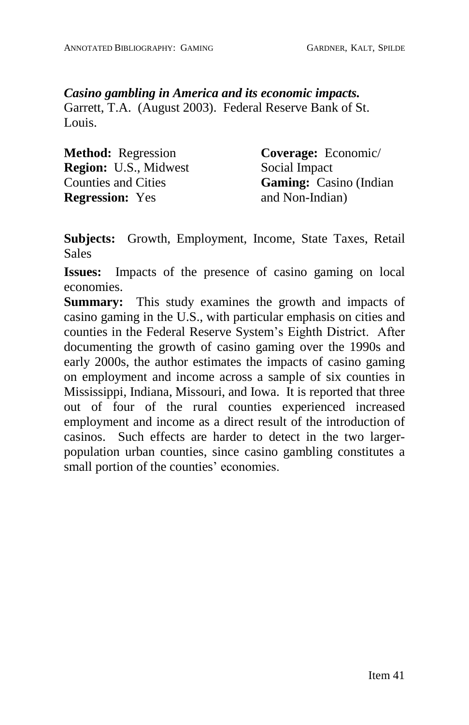### *Casino gambling in America and its economic impacts.*

Garrett, T.A. (August 2003). Federal Reserve Bank of St. Louis.

| <b>Method:</b> Regression    | <b>Coverage:</b> Economic/     |
|------------------------------|--------------------------------|
| <b>Region:</b> U.S., Midwest | Social Impact                  |
| <b>Counties and Cities</b>   | <b>Gaming:</b> Casino (Indian) |
| <b>Regression:</b> Yes       | and Non-Indian)                |

**Subjects:** Growth, Employment, Income, State Taxes, Retail **Sales** 

**Issues:** Impacts of the presence of casino gaming on local economies.

**Summary:** This study examines the growth and impacts of casino gaming in the U.S., with particular emphasis on cities and counties in the Federal Reserve System's Eighth District. After documenting the growth of casino gaming over the 1990s and early 2000s, the author estimates the impacts of casino gaming on employment and income across a sample of six counties in Mississippi, Indiana, Missouri, and Iowa. It is reported that three out of four of the rural counties experienced increased employment and income as a direct result of the introduction of casinos. Such effects are harder to detect in the two larger population urban counties, since casino gambling constitutes a small portion of the counties' economies.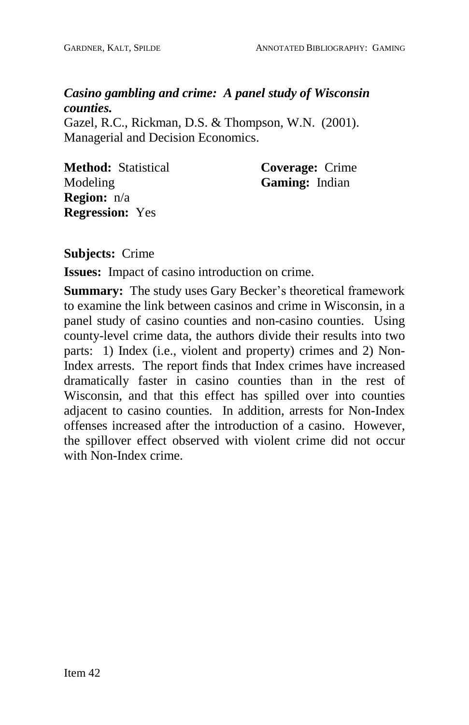# *Casino gambling and crime: A panel study of Wisconsin counties.*

Gazel, R.C., Rickman, D.S. & Thompson, W.N. (2001). Managerial and Decision Economics.

**Method:** Statistical Modeling **Region:** n/a **Regression:** Yes

**Coverage:** Crime **Gaming:** Indian

**Subjects:** Crime

**Issues:** Impact of casino introduction on crime.

**Summary:** The study uses Gary Becker's theoretical framework to examine the link between casinos and crime in Wisconsin, in a panel study of casino counties and non-casino counties. Using county-level crime data, the authors divide their results into two parts: 1) Index (i.e., violent and property) crimes and 2) Non-Index arrests. The report finds that Index crimes have increased dramatically faster in casino counties than in the rest of Wisconsin, and that this effect has spilled over into counties adjacent to casino counties. In addition, arrests for Non-Index offenses increased after the introduction of a casino. However, the spillover effect observed with violent crime did not occur with Non-Index crime.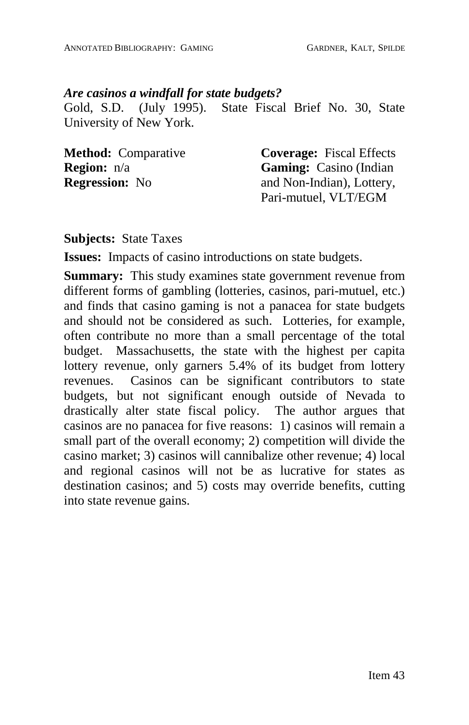#### *Are casinos a windfall for state budgets?*

Gold, S.D. (July 1995). State Fiscal Brief No. 30, State University of New York.

| <b>Method:</b> Comparative | <b>Coverage:</b> Fiscal Effects |
|----------------------------|---------------------------------|
| <b>Region:</b> n/a         | <b>Gaming:</b> Casino (Indian)  |
| <b>Regression:</b> No      | and Non-Indian), Lottery,       |
|                            | Pari-mutuel, VLT/EGM            |

### **Subjects:** State Taxes

**Issues:** Impacts of casino introductions on state budgets.

**Summary:** This study examines state government revenue from different forms of gambling (lotteries, casinos, pari-mutuel, etc.) and finds that casino gaming is not a panacea for state budgets and should not be considered as such. Lotteries, for example, often contribute no more than a small percentage of the total budget. Massachusetts, the state with the highest per capita lottery revenue, only garners 5.4% of its budget from lottery revenues. Casinos can be significant contributors to state budgets, but not significant enough outside of Nevada to drastically alter state fiscal policy. The author argues that casinos are no panacea for five reasons: 1) casinos will remain a small part of the overall economy; 2) competition will divide the casino market; 3) casinos will cannibalize other revenue; 4) local and regional casinos will not be as lucrative for states as destination casinos; and 5) costs may override benefits, cutting into state revenue gains.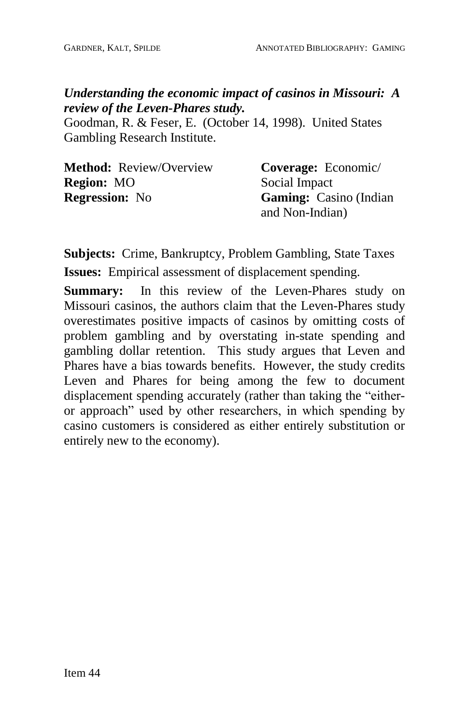## *Understanding the economic impact of casinos in Missouri: A review of the Leven-Phares study.*

Goodman, R. & Feser, E. (October 14, 1998). United States Gambling Research Institute.

| <b>Method:</b> Review/Overview | Coverage: Economic/           |
|--------------------------------|-------------------------------|
| <b>Region:</b> MO              | Social Impact                 |
| <b>Regression:</b> No          | <b>Gaming:</b> Casino (Indian |
|                                | and Non-Indian)               |

**Subjects:** Crime, Bankruptcy, Problem Gambling, State Taxes **Issues:** Empirical assessment of displacement spending.

**Summary:** In this review of the Leven-Phares study on Missouri casinos, the authors claim that the Leven-Phares study overestimates positive impacts of casinos by omitting costs of problem gambling and by overstating in-state spending and gambling dollar retention. This study argues that Leven and Phares have a bias towards benefits. However, the study credits Leven and Phares for being among the few to document displacement spending accurately (rather than taking the "eitheror approach" used by other researchers, in which spending by casino customers is considered as either entirely substitution or entirely new to the economy).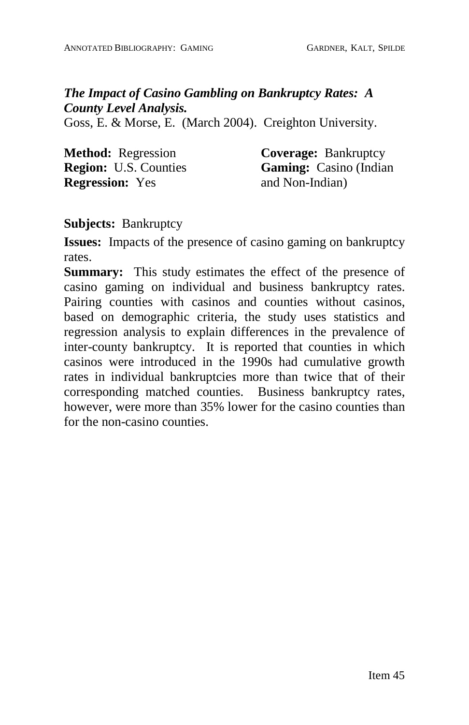*The Impact of Casino Gambling on Bankruptcy Rates: A County Level Analysis.*

Goss, E. & Morse, E. (March 2004). Creighton University.

**Method:** Regression **Region:** U.S. Counties **Regression:** Yes

**Coverage:** Bankruptcy **Gaming:** Casino (Indian and Non-Indian)

**Subjects:** Bankruptcy

**Issues:** Impacts of the presence of casino gaming on bankruptcy rates.

**Summary:** This study estimates the effect of the presence of casino gaming on individual and business bankruptcy rates. Pairing counties with casinos and counties without casinos, based on demographic criteria, the study uses statistics and regression analysis to explain differences in the prevalence of inter-county bankruptcy. It is reported that counties in which casinos were introduced in the 1990s had cumulative growth rates in individual bankruptcies more than twice that of their corresponding matched counties. Business bankruptcy rates, however, were more than 35% lower for the casino counties than for the non-casino counties.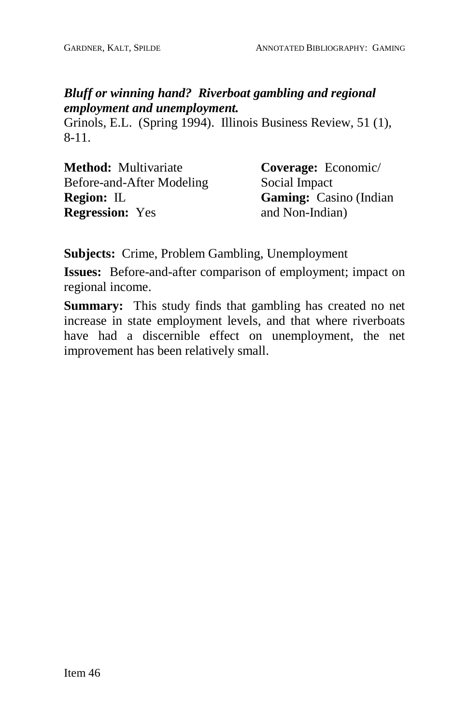## *Bluff or winning hand? Riverboat gambling and regional employment and unemployment.*

Grinols, E.L. (Spring 1994). Illinois Business Review, 51 (1), 8-11.

**Method:** Multivariate Before-and-After Modeling **Region:** IL **Regression:** Yes

**Coverage:** Economic/ Social Impact **Gaming:** Casino (Indian and Non-Indian)

**Subjects:** Crime, Problem Gambling, Unemployment

**Issues:** Before-and-after comparison of employment; impact on regional income.

**Summary:** This study finds that gambling has created no net increase in state employment levels, and that where riverboats have had a discernible effect on unemployment, the net improvement has been relatively small.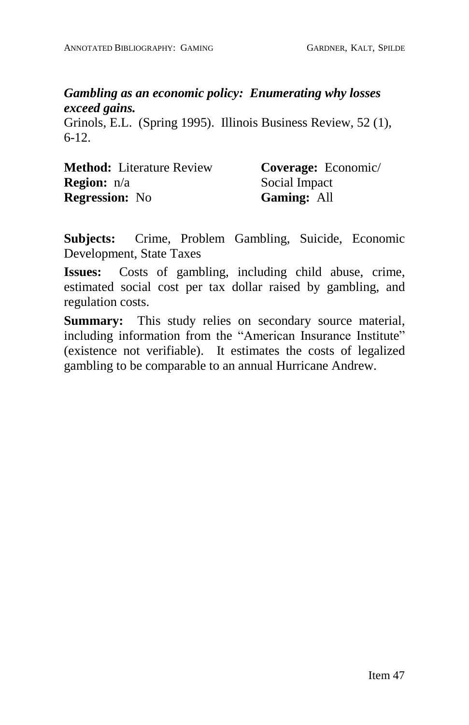#### *Gambling as an economic policy: Enumerating why losses exceed gains.*

Grinols, E.L. (Spring 1995). Illinois Business Review, 52 (1), 6-12.

| <b>Method:</b> Literature Review | Coverage: Economic/ |
|----------------------------------|---------------------|
| <b>Region:</b> n/a               | Social Impact       |
| <b>Regression:</b> No            | <b>Gaming: All</b>  |

**Subjects:** Crime, Problem Gambling, Suicide, Economic Development, State Taxes

**Issues:** Costs of gambling, including child abuse, crime, estimated social cost per tax dollar raised by gambling, and regulation costs.

**Summary:** This study relies on secondary source material, including information from the "American Insurance Institute" (existence not verifiable). It estimates the costs of legalized gambling to be comparable to an annual Hurricane Andrew.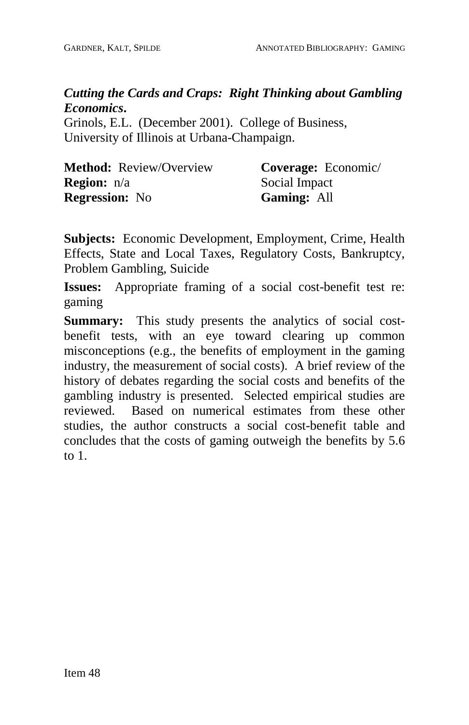# *Cutting the Cards and Craps: Right Thinking about Gambling Economics***.**

Grinols, E.L. (December 2001). College of Business, University of Illinois at Urbana-Champaign.

| <b>Method:</b> Review/Overview | <b>Coverage:</b> Economic/ |
|--------------------------------|----------------------------|
| <b>Region:</b> n/a             | Social Impact              |
| <b>Regression:</b> No          | <b>Gaming: All</b>         |

**Subjects:** Economic Development, Employment, Crime, Health Effects, State and Local Taxes, Regulatory Costs, Bankruptcy, Problem Gambling, Suicide

**Issues:** Appropriate framing of a social cost-benefit test re: gaming

**Summary:** This study presents the analytics of social cost benefit tests, with an eye toward clearing up common misconceptions (e.g., the benefits of employment in the gaming industry, the measurement of social costs). A brief review of the history of debates regarding the social costs and benefits of the gambling industry is presented. Selected empirical studies are reviewed. Based on numerical estimates from these other studies, the author constructs a social cost-benefit table and concludes that the costs of gaming outweigh the benefits by 5.6 to 1.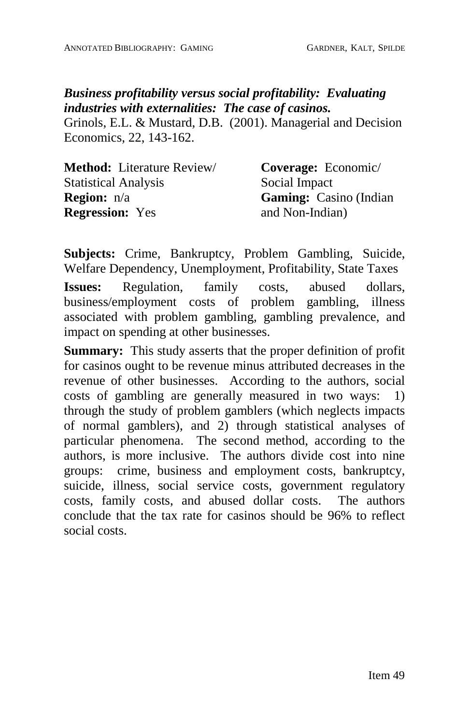# *Business profitability versus social profitability: Evaluating industries with externalities: The case of casinos.*

Grinols, E.L. & Mustard, D.B. (2001). Managerial and Decision Economics, 22, 143-162.

| <b>Method:</b> Literature Review/ | <b>Coverage:</b> Economic/     |
|-----------------------------------|--------------------------------|
| <b>Statistical Analysis</b>       | Social Impact                  |
| <b>Region:</b> $n/a$              | <b>Gaming:</b> Casino (Indian) |
| <b>Regression:</b> Yes            | and Non-Indian)                |

**Subjects:** Crime, Bankruptcy, Problem Gambling, Suicide, Welfare Dependency, Unemployment, Profitability, State Taxes

**Issues:** Regulation, family costs, abused dollars, business/employment costs of problem gambling, illness associated with problem gambling, gambling prevalence, and impact on spending at other businesses.

**Summary:** This study asserts that the proper definition of profit for casinos ought to be revenue minus attributed decreases in the revenue of other businesses. According to the authors, social costs of gambling are generally measured in two ways: 1) through the study of problem gamblers (which neglects impacts of normal gamblers), and 2) through statistical analyses of particular phenomena. The second method, according to the authors, is more inclusive. The authors divide cost into nine groups: crime, business and employment costs, bankruptcy, suicide, illness, social service costs, government regulatory costs, family costs, and abused dollar costs. The authors conclude that the tax rate for casinos should be 96% to reflect social costs.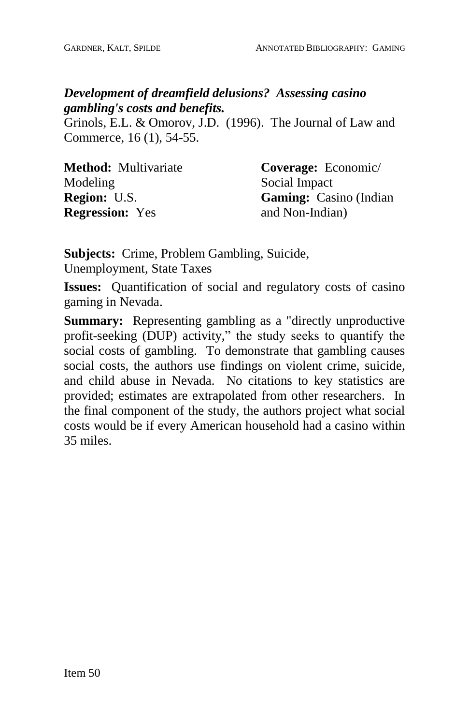# *Development of dreamfield delusions? Assessing casino gambling's costs and benefits.*

Grinols, E.L. & Omorov, J.D. (1996). The Journal of Law and Commerce, 16 (1), 54-55.

| <b>Method:</b> Multivariate | Coverage: Economic/            |
|-----------------------------|--------------------------------|
| Modeling                    | Social Impact                  |
| <b>Region:</b> U.S.         | <b>Gaming:</b> Casino (Indian) |
| <b>Regression:</b> Yes      | and Non-Indian)                |

**Subjects:** Crime, Problem Gambling, Suicide, Unemployment, State Taxes

**Issues:** Quantification of social and regulatory costs of casino gaming in Nevada.

**Summary:** Representing gambling as a "directly unproductive profit-seeking (DUP) activity," the study seeks to quantify the social costs of gambling. To demonstrate that gambling causes social costs, the authors use findings on violent crime, suicide, and child abuse in Nevada. No citations to key statistics are provided; estimates are extrapolated from other researchers. In the final component of the study, the authors project what social costs would be if every American household had a casino within 35 miles.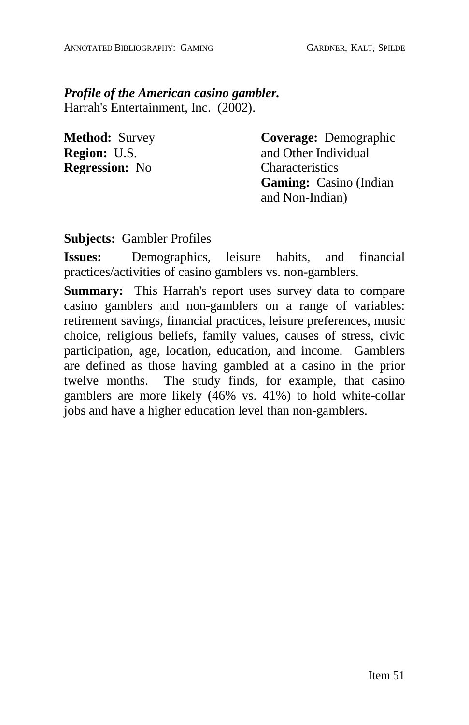*Profile of the American casino gambler.* Harrah's Entertainment, Inc. (2002).

**Method:** Survey **Region:** U.S. **Regression:** No

**Coverage:** Demographic and Other Individual **Characteristics Gaming:** Casino (Indian and Non-Indian)

#### **Subjects:** Gambler Profiles

**Issues:** Demographics, leisure habits, and financial practices/activities of casino gamblers vs. non-gamblers.

**Summary:** This Harrah's report uses survey data to compare casino gamblers and non-gamblers on a range of variables: retirement savings, financial practices, leisure preferences, music choice, religious beliefs, family values, causes of stress, civic participation, age, location, education, and income. Gamblers are defined as those having gambled at a casino in the prior twelve months. The study finds, for example, that casino gamblers are more likely (46% vs. 41%) to hold white-collar jobs and have a higher education level than non-gamblers.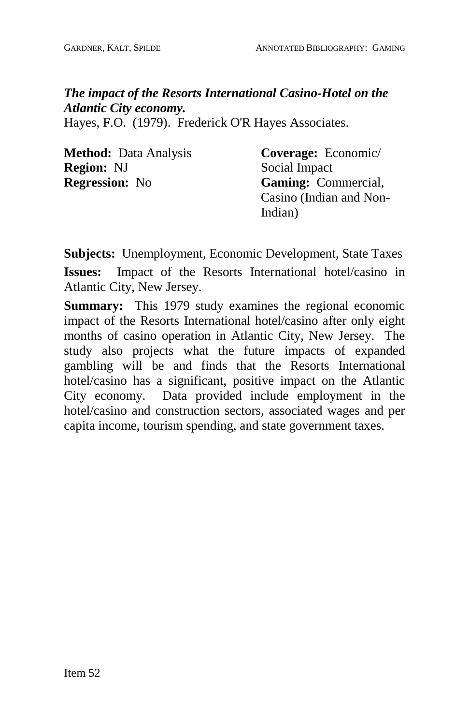# *The impact of the Resorts International Casino-Hotel on the Atlantic City economy.*

Hayes, F.O. (1979). Frederick O'R Hayes Associates.

| <b>Method:</b> Data Analysis | Coverage: Economic/        |
|------------------------------|----------------------------|
| <b>Region: NJ</b>            | Social Impact              |
| <b>Regression:</b> No        | <b>Gaming:</b> Commercial, |
|                              | Casino (Indian and Non-    |
|                              | Indian)                    |

**Subjects:** Unemployment, Economic Development, State Taxes **Issues:** Impact of the Resorts International hotel/casino in Atlantic City, New Jersey.

**Summary:** This 1979 study examines the regional economic impact of the Resorts International hotel/casino after only eight months of casino operation in Atlantic City, New Jersey. The study also projects what the future impacts of expanded gambling will be and finds that the Resorts International hotel/casino has a significant, positive impact on the Atlantic City economy. Data provided include employment in the hotel/casino and construction sectors, associated wages and per capita income, tourism spending, and state government taxes.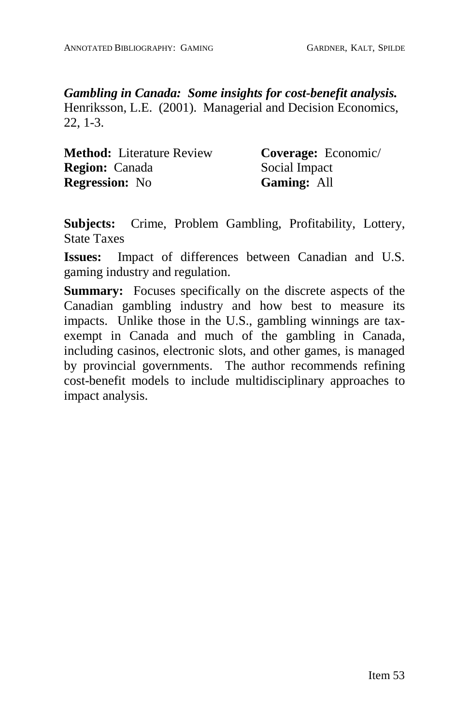*Gambling in Canada: Some insights for cost-benefit analysis.* Henriksson, L.E. (2001). Managerial and Decision Economics, 22, 1-3.

| <b>Method:</b> Literature Review | Coverage: Economic/ |
|----------------------------------|---------------------|
| <b>Region:</b> Canada            | Social Impact       |
| <b>Regression:</b> No            | Gaming: All         |

**Subjects:** Crime, Problem Gambling, Profitability, Lottery, State Taxes

**Issues:** Impact of differences between Canadian and U.S. gaming industry and regulation.

**Summary:** Focuses specifically on the discrete aspects of the Canadian gambling industry and how best to measure its impacts. Unlike those in the U.S., gambling winnings are tax exempt in Canada and much of the gambling in Canada, including casinos, electronic slots, and other games, is managed by provincial governments. The author recommends refining cost-benefit models to include multidisciplinary approaches to impact analysis.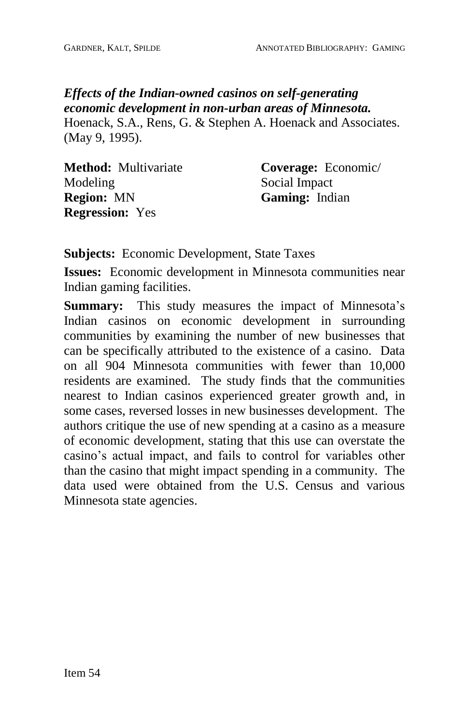# *Effects of the Indian-owned casinos on self-generating economic development in non-urban areas of Minnesota.*

Hoenack, S.A., Rens, G. & Stephen A. Hoenack and Associates. (May 9, 1995).

| <b>Method:</b> Multivariate | Coverage: Economic/   |
|-----------------------------|-----------------------|
| Modeling                    | Social Impact         |
| <b>Region:</b> MN           | <b>Gaming:</b> Indian |
| <b>Regression:</b> Yes      |                       |

**Subjects:** Economic Development, State Taxes

**Issues:** Economic development in Minnesota communities near Indian gaming facilities.

**Summary:** This study measures the impact of Minnesota's Indian casinos on economic development in surrounding communities by examining the number of new businesses that can be specifically attributed to the existence of a casino. Data on all 904 Minnesota communities with fewer than 10,000 residents are examined. The study finds that the communities nearest to Indian casinos experienced greater growth and, in some cases, reversed losses in new businesses development. The authors critique the use of new spending at a casino as a measure of economic development, stating that this use can overstate the casino's actual impact, and fails to control for variables other than the casino that might impact spending in a community. The data used were obtained from the U.S. Census and various Minnesota state agencies.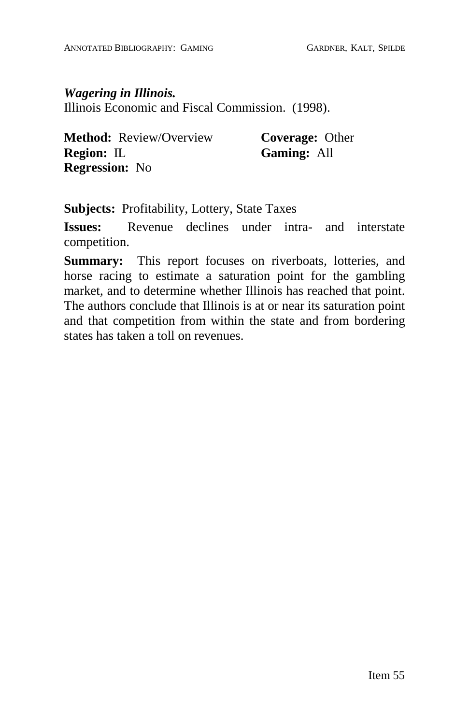*Wagering in Illinois.* Illinois Economic and Fiscal Commission. (1998).

**Method:** Review/Overview **Region:** IL **Regression:** No

**Coverage:** Other **Gaming:** All

**Subjects:** Profitability, Lottery, State Taxes

**Issues:** Revenue declines under intra- and interstate competition.

**Summary:** This report focuses on riverboats, lotteries, and horse racing to estimate a saturation point for the gambling market, and to determine whether Illinois has reached that point. The authors conclude that Illinois is at or near its saturation point and that competition from within the state and from bordering states has taken a toll on revenues.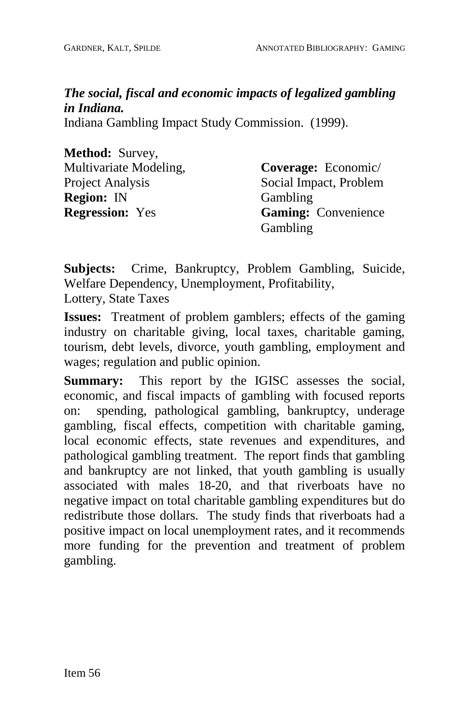*The social, fiscal and economic impacts of legalized gambling in Indiana.*

Indiana Gambling Impact Study Commission. (1999).

| Method: Survey,        |
|------------------------|
| Multivariate Modeling, |
| Project Analysis       |
| <b>Region: IN</b>      |
| <b>Regression:</b> Yes |

**Coverage:** Economic/ Social Impact, Problem Gambling **Gaming:** Convenience Gambling

**Subjects:** Crime, Bankruptcy, Problem Gambling, Suicide, Welfare Dependency, Unemployment, Profitability, Lottery, State Taxes

**Issues:** Treatment of problem gamblers; effects of the gaming industry on charitable giving, local taxes, charitable gaming, tourism, debt levels, divorce, youth gambling, employment and wages; regulation and public opinion.

**Summary:** This report by the IGISC assesses the social, economic, and fiscal impacts of gambling with focused reports on: spending, pathological gambling, bankruptcy, underage gambling, fiscal effects, competition with charitable gaming, local economic effects, state revenues and expenditures, and pathological gambling treatment. The report finds that gambling and bankruptcy are not linked, that youth gambling is usually associated with males 18-20, and that riverboats have no negative impact on total charitable gambling expenditures but do redistribute those dollars. The study finds that riverboats had a positive impact on local unemployment rates, and it recommends more funding for the prevention and treatment of problem gambling.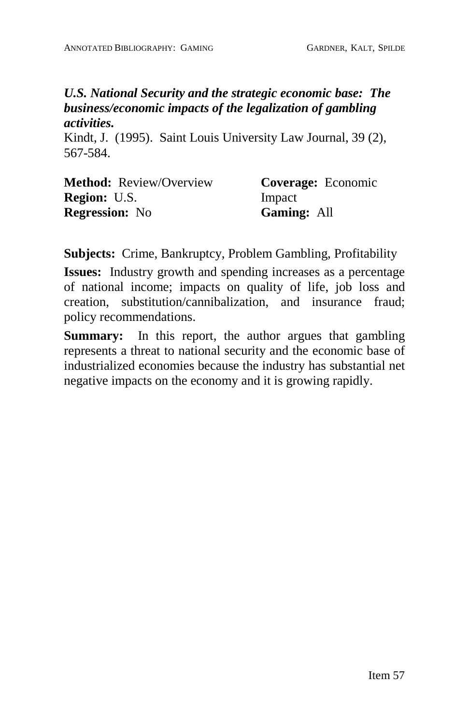#### *U.S. National Security and the strategic economic base: The business/economic impacts of the legalization of gambling activities.*

Kindt, J. (1995). Saint Louis University Law Journal,39 (2), 567-584.

| <b>Method:</b> Review/Overview | Coverage: Economic |
|--------------------------------|--------------------|
| <b>Region: U.S.</b>            | Impact             |
| <b>Regression:</b> No          | <b>Gaming: All</b> |

**Subjects:** Crime, Bankruptcy, Problem Gambling, Profitability

**Issues:** Industry growth and spending increases as a percentage of national income; impacts on quality of life, job loss and creation, substitution/cannibalization, and insurance fraud; policy recommendations.

**Summary:** In this report, the author argues that gambling represents a threat to national security and the economic base of industrialized economies because the industry has substantial net negative impacts on the economy and it is growing rapidly.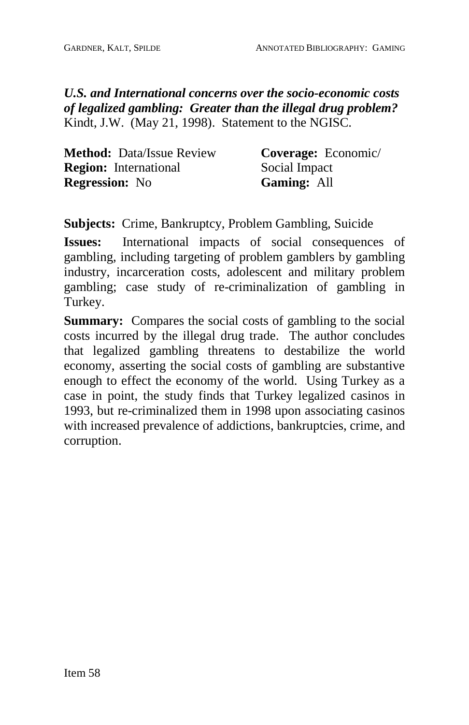*U.S. and International concerns over the socio-economic costs of legalized gambling: Greater than the illegal drug problem?* Kindt, J.W. (May 21, 1998). Statement to the NGISC.

| <b>Method:</b> Data/Issue Review | Coverage: Economic/ |
|----------------------------------|---------------------|
| <b>Region:</b> International     | Social Impact       |
| <b>Regression:</b> No            | <b>Gaming: All</b>  |

**Subjects:** Crime, Bankruptcy, Problem Gambling, Suicide

**Issues:** International impacts of social consequences of gambling, including targeting of problem gamblers by gambling industry, incarceration costs, adolescent and military problem gambling; case study of re-criminalization of gambling in Turkey.

**Summary:** Compares the social costs of gambling to the social costs incurred by the illegal drug trade. The author concludes that legalized gambling threatens to destabilize the world economy, asserting the social costs of gambling are substantive enough to effect the economy of the world. Using Turkey as a case in point, the study finds that Turkey legalized casinos in 1993, but re-criminalized them in 1998 upon associating casinos with increased prevalence of addictions, bankruptcies, crime, and corruption.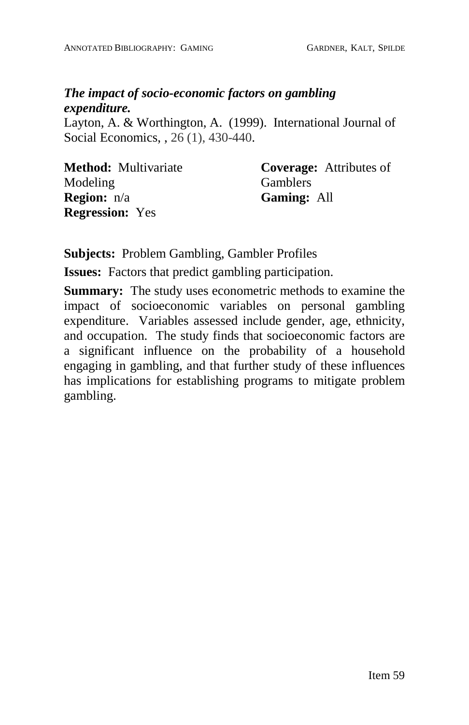# *The impact of socio-economic factors on gambling expenditure.*

Layton, A. & Worthington, A. (1999). International Journal of Social Economics, , 26 (1), 430-440.

| <b>Method:</b> Multivariate | <b>Coverage:</b> Attributes of |
|-----------------------------|--------------------------------|
| Modeling                    | <b>Gamblers</b>                |
| <b>Region:</b> n/a          | <b>Gaming: All</b>             |
| <b>Regression:</b> Yes      |                                |

**Subjects:** Problem Gambling, Gambler Profiles

**Issues:** Factors that predict gambling participation.

**Summary:** The study uses econometric methods to examine the impact of socioeconomic variables on personal gambling expenditure. Variables assessed include gender, age, ethnicity, and occupation. The study finds that socioeconomic factors are a significant influence on the probability of a household engaging in gambling, and that further study of these influences has implications for establishing programs to mitigate problem gambling.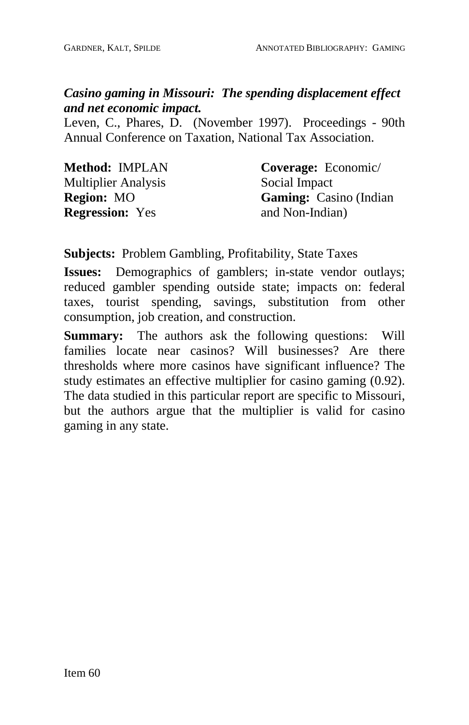# *Casino gaming in Missouri: The spending displacement effect and net economic impact.*

Leven, C., Phares, D. (November 1997). Proceedings - 90th Annual Conference on Taxation, National Tax Association.

| <b>Method: IMPLAN</b>      | Coverage: Economic/            |
|----------------------------|--------------------------------|
| <b>Multiplier Analysis</b> | Social Impact                  |
| <b>Region:</b> MO          | <b>Gaming:</b> Casino (Indian) |
| <b>Regression:</b> Yes     | and Non-Indian)                |

#### **Subjects:** Problem Gambling, Profitability, State Taxes

**Issues:** Demographics of gamblers; in-state vendor outlays; reduced gambler spending outside state; impacts on: federal taxes, tourist spending, savings, substitution from other consumption, job creation, and construction.

**Summary:** The authors ask the following questions: Will families locate near casinos? Will businesses? Are there thresholds where more casinos have significant influence? The study estimates an effective multiplier for casino gaming (0.92). The data studied in this particular report are specific to Missouri, but the authors argue that the multiplier is valid for casino gaming in any state.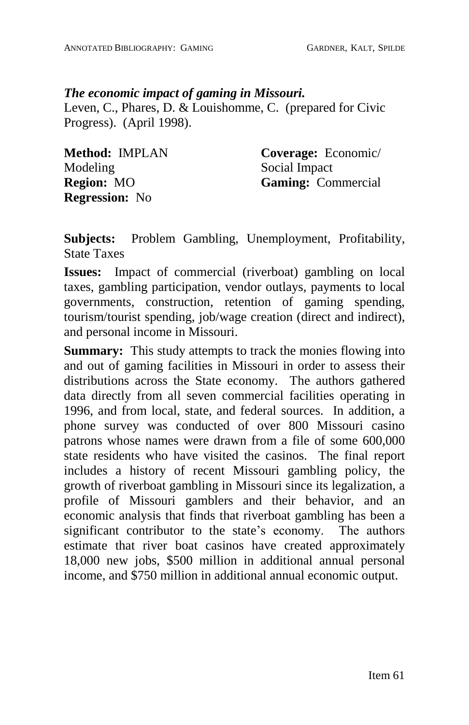### *The economic impact of gaming in Missouri.*

Leven, C., Phares, D. & Louishomme, C. (prepared for Civic Progress). (April 1998).

| Method: IMPLAN        | Coverage: Economic/       |
|-----------------------|---------------------------|
| Modeling              | Social Impact             |
| <b>Region: MO</b>     | <b>Gaming:</b> Commercial |
| <b>Regression:</b> No |                           |

**Subjects:** Problem Gambling, Unemployment, Profitability, State Taxes

**Issues:** Impact of commercial (riverboat) gambling on local taxes, gambling participation, vendor outlays, payments to local governments, construction, retention of gaming spending, tourism/tourist spending, job/wage creation (direct and indirect), and personal income in Missouri.

**Summary:** This study attempts to track the monies flowing into and out of gaming facilities in Missouri in order to assess their distributions across the State economy. The authors gathered data directly from all seven commercial facilities operating in 1996, and from local, state, and federal sources. In addition, a phone survey was conducted of over 800 Missouri casino patrons whose names were drawn from a file of some 600,000 state residents who have visited the casinos. The final report includes a history of recent Missouri gambling policy, the growth of riverboat gambling in Missouri since its legalization, a profile of Missouri gamblers and their behavior, and an economic analysis that finds that riverboat gambling has been a significant contributor to the state's economy. The authors estimate that river boat casinos have created approximately 18,000 new jobs, \$500 million in additional annual personal income, and \$750 million in additional annual economic output.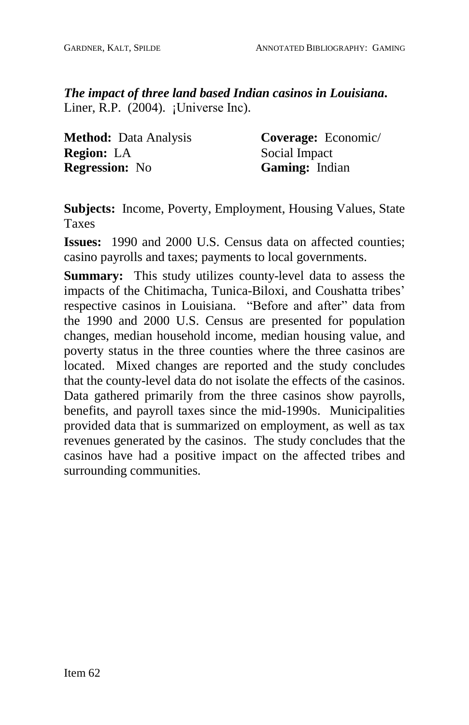*The impact of three land based Indian casinos in Louisiana***.** Liner, R.P.  $(2004)$ . ¡Universe Inc).

**Method:** Data Analysis **Region:** LA **Regression:** No

**Coverage:** Economic/ Social Impact **Gaming:** Indian

**Subjects:** Income, Poverty, Employment, Housing Values, State Taxes

**Issues:** 1990 and 2000 U.S. Census data on affected counties; casino payrolls and taxes; payments to local governments.

**Summary:** This study utilizes county-level data to assess the impacts of the Chitimacha, Tunica-Biloxi, and Coushatta tribes' respective casinos in Louisiana. "Before and after" data from the 1990 and 2000 U.S. Census are presented for population changes, median household income, median housing value, and poverty status in the three counties where the three casinos are located. Mixed changes are reported and the study concludes that the county-level data do not isolate the effects of the casinos. Data gathered primarily from the three casinos show payrolls, benefits, and payroll taxes since the mid-1990s. Municipalities provided data that is summarized on employment, as well as tax revenues generated by the casinos. The study concludes that the casinos have had a positive impact on the affected tribes and surrounding communities.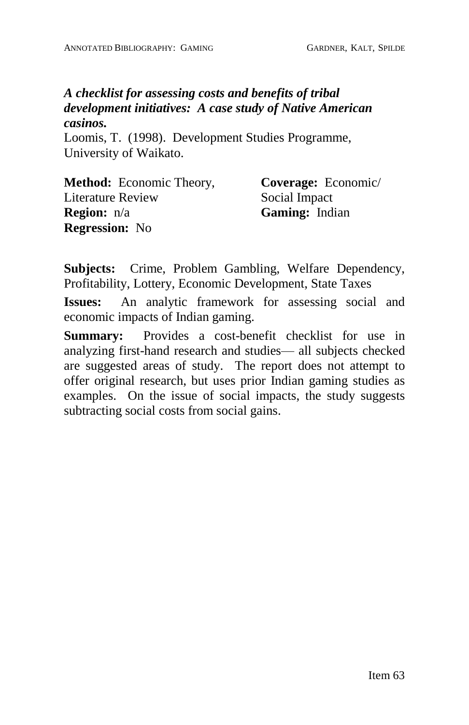#### *A checklist for assessing costs and benefits of tribal development initiatives: A case study of Native American casinos.*

Loomis, T. (1998). Development Studies Programme, University of Waikato.

| <b>Method:</b> Economic Theory, | Coverage: Economic/   |
|---------------------------------|-----------------------|
| Literature Review               | Social Impact         |
| <b>Region:</b> $n/a$            | <b>Gaming:</b> Indian |
| <b>Regression:</b> No           |                       |

**Subjects:** Crime, Problem Gambling, Welfare Dependency, Profitability, Lottery, Economic Development, State Taxes

**Issues:** An analytic framework for assessing social and economic impacts of Indian gaming.

**Summary:** Provides a cost-benefit checklist for use in analyzing first-hand research and studies— all subjects checked are suggested areas of study. The report does not attempt to offer original research, but uses prior Indian gaming studies as examples. On the issue of social impacts, the study suggests subtracting social costs from social gains.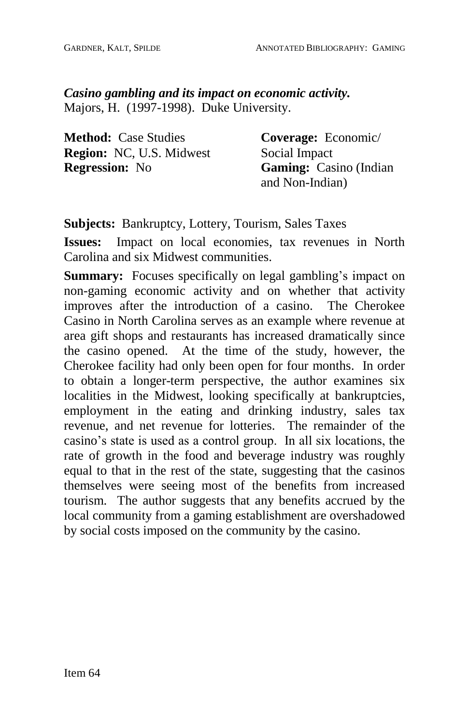*Casino gambling and its impact on economic activity.* Majors, H. (1997-1998). Duke University.

**Method:** Case Studies **Region:** NC, U.S. Midwest **Regression:** No

**Coverage:** Economic/ Social Impact **Gaming:** Casino (Indian and Non-Indian)

**Subjects:** Bankruptcy, Lottery, Tourism, Sales Taxes

**Issues:** Impact on local economies, tax revenues in North Carolina and six Midwest communities.

**Summary:** Focuses specifically on legal gambling's impact on non-gaming economic activity and on whether that activity improves after the introduction of a casino. The Cherokee Casino in North Carolina serves as an example where revenue at area gift shops and restaurants has increased dramatically since the casino opened. At the time of the study, however, the Cherokee facility had only been open for four months. In order to obtain a longer-term perspective, the author examines six localities in the Midwest, looking specifically at bankruptcies, employment in the eating and drinking industry, sales tax revenue, and net revenue for lotteries. The remainder of the casino's state is used as a control group. In all six locations, the rate of growth in the food and beverage industry was roughly equal to that in the rest of the state, suggesting that the casinos themselves were seeing most of the benefits from increased tourism. The author suggests that any benefits accrued by the local community from a gaming establishment are overshadowed by social costs imposed on the community by the casino.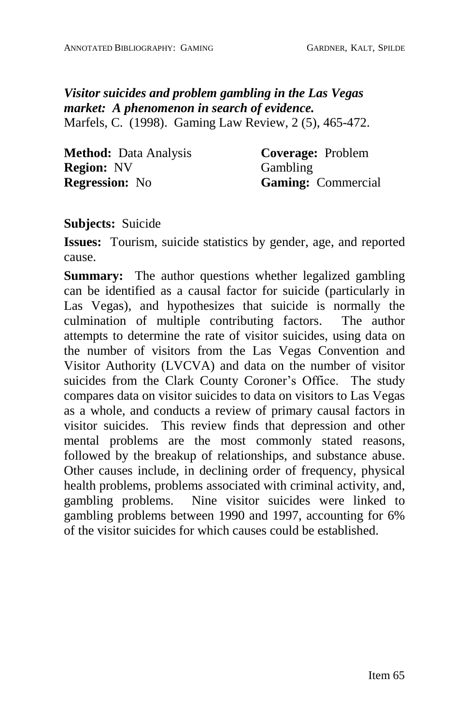#### *Visitor suicides and problem gambling in the Las Vegas market: A phenomenon in search of evidence.* Marfels, C. (1998). Gaming Law Review, 2 (5), 465-472.

| <b>Method:</b> Data Analysis |  |
|------------------------------|--|
| <b>Region: NV</b>            |  |
| <b>Regression:</b> No        |  |

**Coverage:** Problem Gambling **Gaming:** Commercial

**Subjects:** Suicide

**Issues:** Tourism, suicide statistics by gender, age, and reported cause.

**Summary:** The author questions whether legalized gambling can be identified as a causal factor for suicide (particularly in Las Vegas), and hypothesizes that suicide is normally the culmination of multiple contributing factors. The author attempts to determine the rate of visitor suicides, using data on the number of visitors from the Las Vegas Convention and Visitor Authority (LVCVA) and data on the number of visitor suicides from the Clark County Coroner's Office. The study compares data on visitor suicides to data on visitors to Las Vegas as a whole, and conducts a review of primary causal factors in visitor suicides. This review finds that depression and other mental problems are the most commonly stated reasons, followed by the breakup of relationships, and substance abuse. Other causes include, in declining order of frequency, physical health problems, problems associated with criminal activity, and, gambling problems. Nine visitor suicides were linked to gambling problems between 1990 and 1997, accounting for 6% of the visitor suicides for which causes could be established.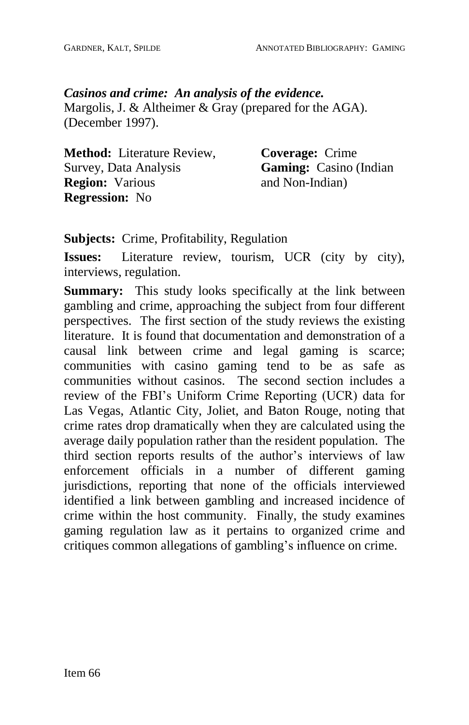*Casinos and crime: An analysis of the evidence.* Margolis, J. & Altheimer & Gray (prepared for the AGA). (December 1997).

| <b>Method:</b> Literature Review, | <b>Coverage:</b> Crime        |
|-----------------------------------|-------------------------------|
| Survey, Data Analysis             | <b>Gaming:</b> Casino (Indian |
| <b>Region:</b> Various            | and Non-Indian)               |
| <b>Regression:</b> No             |                               |

**Subjects:** Crime, Profitability, Regulation

**Issues:** Literature review, tourism, UCR (city by city), interviews, regulation.

**Summary:** This study looks specifically at the link between gambling and crime, approaching the subject from four different perspectives. The first section of the study reviews the existing literature. It is found that documentation and demonstration of a causal link between crime and legal gaming is scarce; communities with casino gaming tend to be as safe as communities without casinos. The second section includes a review of the FBI's Uniform Crime Reporting (UCR) data for Las Vegas, Atlantic City, Joliet, and Baton Rouge, noting that crime rates drop dramatically when they are calculated using the average daily population rather than the resident population. The third section reports results of the author's interviews of law enforcement officials in a number of different gaming jurisdictions, reporting that none of the officials interviewed identified a link between gambling and increased incidence of crime within the host community. Finally, the study examines gaming regulation law as it pertains to organized crime and critiques common allegations of gambling's influence on crime.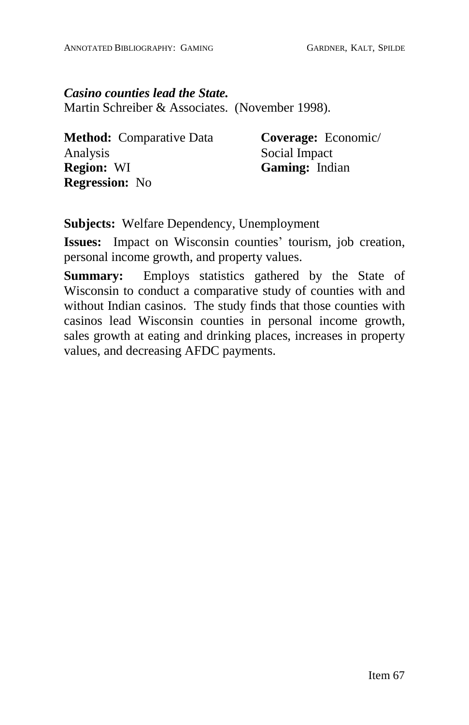*Casino counties lead the State.* Martin Schreiber & Associates. (November 1998).

**Method:** Comparative Data Analysis **Region:** WI **Regression:** No

**Coverage:** Economic/ Social Impact **Gaming:** Indian

**Subjects:** Welfare Dependency, Unemployment

**Issues:** Impact on Wisconsin counties' tourism, job creation, personal income growth, and property values.

**Summary:** Employs statistics gathered by the State of Wisconsin to conduct a comparative study of counties with and without Indian casinos. The study finds that those counties with casinos lead Wisconsin counties in personal income growth, sales growth at eating and drinking places, increases in property values, and decreasing AFDC payments.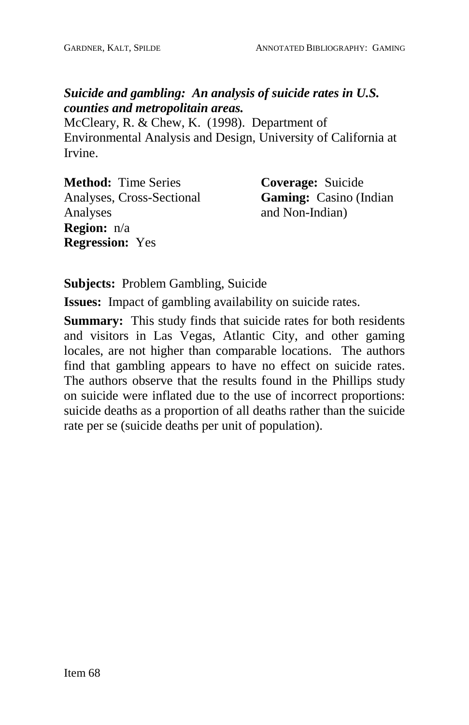# *Suicide and gambling: An analysis of suicide rates in U.S. counties and metropolitain areas.*

McCleary, R. & Chew, K. (1998). Department of Environmental Analysis and Design, University of California at Irvine.

**Method:** Time Series Analyses, Cross-Sectional Analyses **Region:** n/a **Regression:** Yes

**Coverage:** Suicide **Gaming:** Casino (Indian and Non-Indian)

**Subjects:** Problem Gambling, Suicide

**Issues:** Impact of gambling availability on suicide rates.

**Summary:** This study finds that suicide rates for both residents and visitors in Las Vegas, Atlantic City, and other gaming locales, are not higher than comparable locations. The authors find that gambling appears to have no effect on suicide rates. The authors observe that the results found in the Phillips study on suicide were inflated due to the use of incorrect proportions: suicide deaths as a proportion of all deaths rather than the suicide rate per se (suicide deaths per unit of population).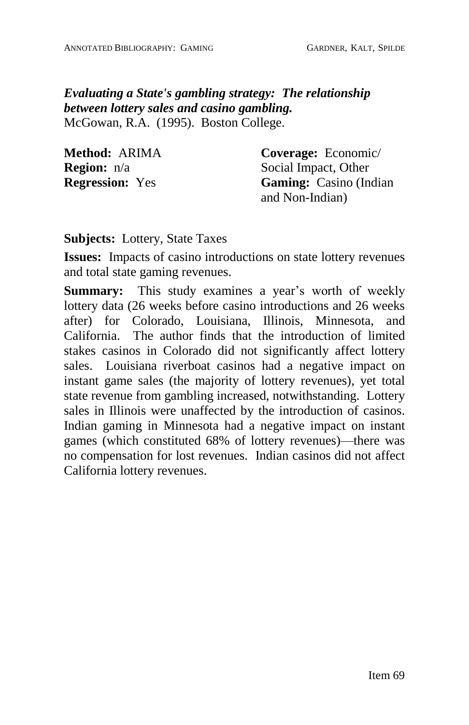*Evaluating a State's gambling strategy: The relationship between lottery sales and casino gambling.* McGowan, R.A. (1995). Boston College.

| Method: ARIMA          | Coverage: Economic/           |
|------------------------|-------------------------------|
| <b>Region:</b> $n/a$   | Social Impact, Other          |
| <b>Regression:</b> Yes | <b>Gaming:</b> Casino (Indian |
|                        | and Non-Indian)               |

**Subjects:** Lottery, State Taxes

**Issues:** Impacts of casino introductions on state lottery revenues and total state gaming revenues.

**Summary:** This study examines a year's worth of weekly lottery data (26 weeks before casino introductions and 26 weeks after) for Colorado, Louisiana, Illinois, Minnesota, and California. The author finds that the introduction of limited stakes casinos in Colorado did not significantly affect lottery sales. Louisiana riverboat casinos had a negative impact on instant game sales (the majority of lottery revenues), yet total state revenue from gambling increased, notwithstanding. Lottery sales in Illinois were unaffected by the introduction of casinos. Indian gaming in Minnesota had a negative impact on instant games (which constituted 68% of lottery revenues)—there was no compensation for lost revenues. Indian casinos did not affect California lottery revenues.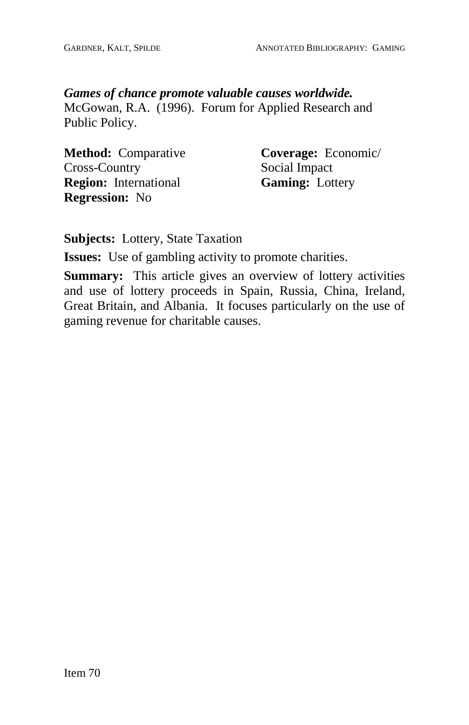#### *Games of chance promote valuable causes worldwide.*

McGowan, R.A. (1996). Forum for Applied Research and Public Policy.

**Method:** Comparative Cross-Country **Region:** International **Regression:** No

**Coverage:** Economic/ Social Impact **Gaming:** Lottery

**Subjects:** Lottery, State Taxation

**Issues:** Use of gambling activity to promote charities.

**Summary:** This article gives an overview of lottery activities and use of lottery proceeds in Spain, Russia, China, Ireland, Great Britain, and Albania. It focuses particularly on the use of gaming revenue for charitable causes.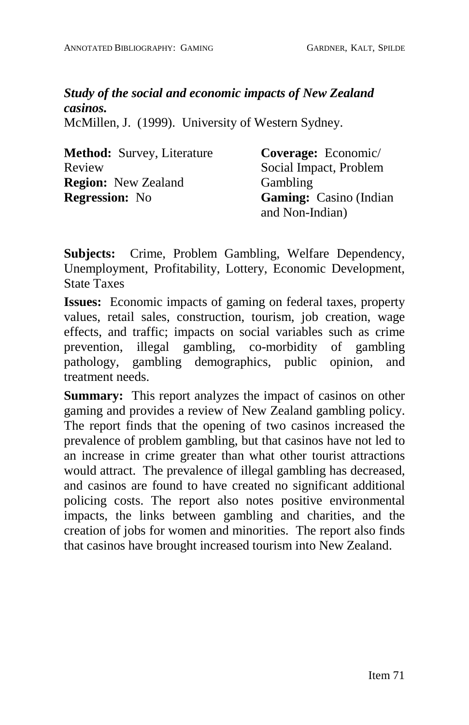# *Study of the social and economic impacts of New Zealand casinos.*

McMillen, J. (1999). University of Western Sydney.

| <b>Method:</b> Survey, Literature | Coverage: Economic/            |
|-----------------------------------|--------------------------------|
| Review                            | Social Impact, Problem         |
| <b>Region:</b> New Zealand        | Gambling                       |
| <b>Regression:</b> No             | <b>Gaming:</b> Casino (Indian) |
|                                   | and Non-Indian)                |

**Subjects:** Crime, Problem Gambling, Welfare Dependency, Unemployment, Profitability, Lottery, Economic Development, State Taxes

**Issues:** Economic impacts of gaming on federal taxes, property values, retail sales, construction, tourism, job creation, wage effects, and traffic; impacts on social variables such as crime prevention, illegal gambling, co-morbidity of gambling pathology, gambling demographics, public opinion, and treatment needs.

**Summary:** This report analyzes the impact of casinos on other gaming and provides a review of New Zealand gambling policy. The report finds that the opening of two casinos increased the prevalence of problem gambling, but that casinos have not led to an increase in crime greater than what other tourist attractions would attract. The prevalence of illegal gambling has decreased, and casinos are found to have created no significant additional policing costs. The report also notes positive environmental impacts, the links between gambling and charities, and the creation of jobs for women and minorities. The report also finds that casinos have brought increased tourism into New Zealand.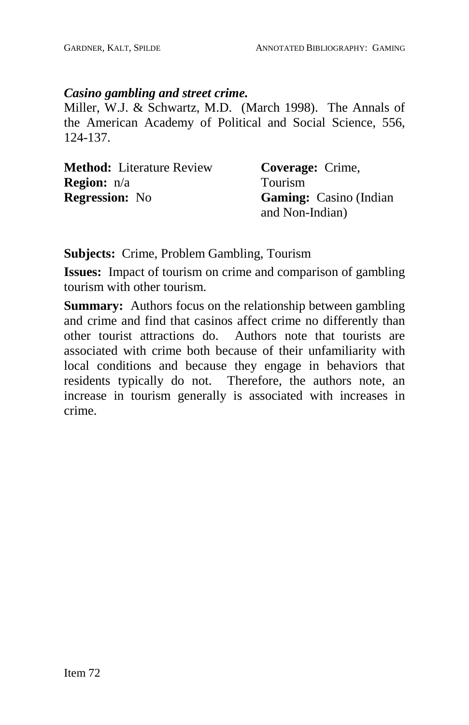#### *Casino gambling and street crime.*

Miller, W.J. & Schwartz, M.D. (March 1998). The Annals of the American Academy of Political and Social Science, 556, 124-137.

| <b>Method:</b> Literature Review | Coverage: Crime,               |
|----------------------------------|--------------------------------|
| <b>Region:</b> $n/a$             | <b>Tourism</b>                 |
| <b>Regression:</b> No            | <b>Gaming:</b> Casino (Indian) |
|                                  | and Non-Indian)                |

**Subjects:** Crime, Problem Gambling, Tourism

**Issues:** Impact of tourism on crime and comparison of gambling tourism with other tourism.

**Summary:** Authors focus on the relationship between gambling and crime and find that casinos affect crime no differently than other tourist attractions do. Authors note that tourists are associated with crime both because of their unfamiliarity with local conditions and because they engage in behaviors that residents typically do not. Therefore, the authors note, an increase in tourism generally is associated with increases in crime.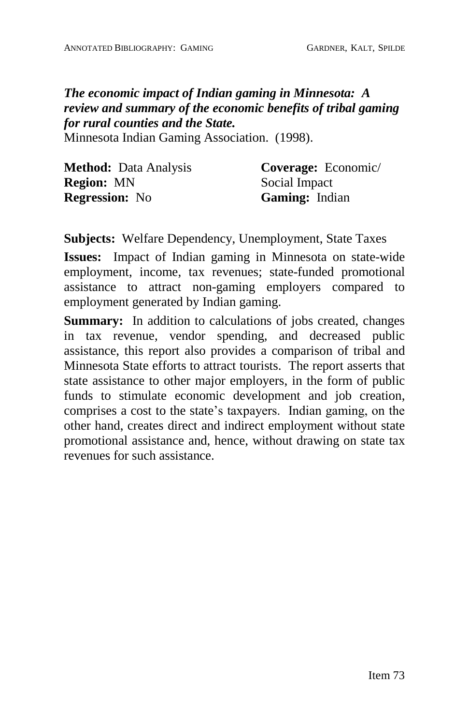*The economic impact of Indian gaming in Minnesota: A review and summary of the economic benefits of tribal gaming for rural counties and the State.*

Minnesota Indian Gaming Association. (1998).

| <b>Method:</b> Data Analysis | Coverage: Economic/   |
|------------------------------|-----------------------|
| <b>Region: MN</b>            | Social Impact         |
| <b>Regression:</b> No        | <b>Gaming:</b> Indian |

**Subjects:** Welfare Dependency, Unemployment, State Taxes

**Issues:** Impact of Indian gaming in Minnesota on state-wide employment, income, tax revenues; state-funded promotional assistance to attract non-gaming employers compared to employment generated by Indian gaming.

**Summary:** In addition to calculations of jobs created, changes in tax revenue, vendor spending, and decreased public assistance, this report also provides a comparison of tribal and Minnesota State efforts to attract tourists. The report asserts that state assistance to other major employers, in the form of public funds to stimulate economic development and job creation, comprises a cost to the state's taxpayers. Indian gaming, on the other hand, creates direct and indirect employment without state promotional assistance and, hence, without drawing on state tax revenues for such assistance.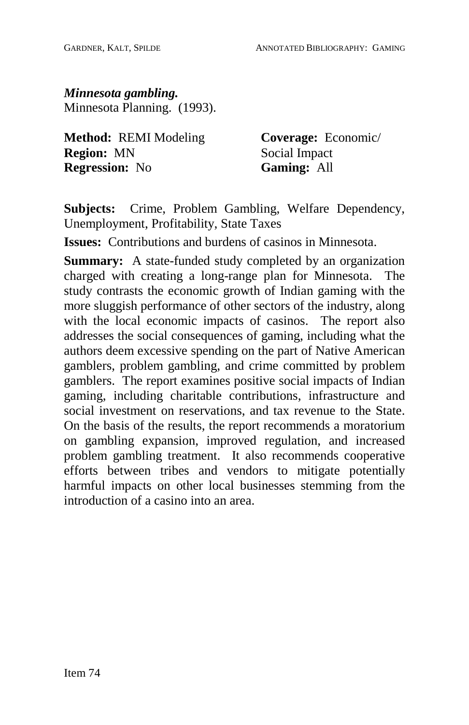*Minnesota gambling.* Minnesota Planning. (1993).

**Method:** REMI Modeling **Region:** MN **Regression:** No

**Coverage:** Economic/ Social Impact **Gaming:** All

**Subjects:** Crime, Problem Gambling, Welfare Dependency, Unemployment, Profitability, State Taxes

**Issues:** Contributions and burdens of casinos in Minnesota.

**Summary:** A state-funded study completed by an organization charged with creating a long-range plan for Minnesota. The study contrasts the economic growth of Indian gaming with the more sluggish performance of other sectors of the industry, along with the local economic impacts of casinos. The report also addresses the social consequences of gaming, including what the authors deem excessive spending on the part of Native American gamblers, problem gambling, and crime committed by problem gamblers. The report examines positive social impacts of Indian gaming, including charitable contributions, infrastructure and social investment on reservations, and tax revenue to the State. On the basis of the results, the report recommends a moratorium on gambling expansion, improved regulation, and increased problem gambling treatment. It also recommends cooperative efforts between tribes and vendors to mitigate potentially harmful impacts on other local businesses stemming from the introduction of a casino into an area.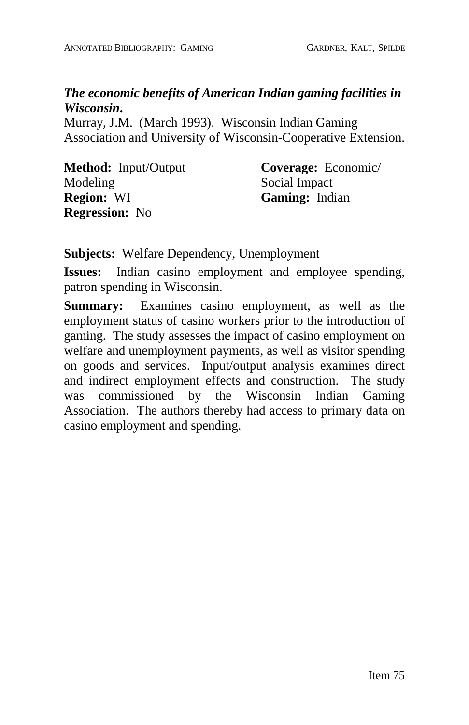# *The economic benefits of American Indian gaming facilities in Wisconsin***.**

Murray, J.M. (March 1993). Wisconsin Indian Gaming Association and University of Wisconsin-Cooperative Extension.

**Method:** Input/Output Modeling **Region:** WI **Regression:** No

**Coverage:** Economic/ Social Impact **Gaming:** Indian

**Subjects:** Welfare Dependency, Unemployment

**Issues:** Indian casino employment and employee spending, patron spending in Wisconsin.

**Summary:** Examines casino employment, as well as the employment status of casino workers prior to the introduction of gaming. The study assesses the impact of casino employment on welfare and unemployment payments, as well as visitor spending on goods and services. Input/output analysis examines direct and indirect employment effects and construction. The study was commissioned by the Wisconsin Indian Gaming Association. The authors thereby had access to primary data on casino employment and spending.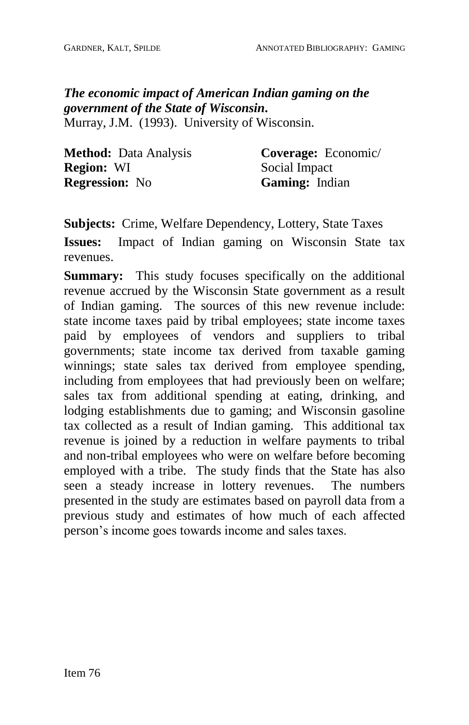# *The economic impact of American Indian gaming on the government of the State of Wisconsin***.**

Murray, J.M. (1993). University of Wisconsin.

| <b>Method:</b> Data Analysis | Coverage: Economic/   |
|------------------------------|-----------------------|
| <b>Region: WI</b>            | Social Impact         |
| <b>Regression:</b> No        | <b>Gaming:</b> Indian |

**Subjects:** Crime, Welfare Dependency, Lottery, State Taxes

**Issues:** Impact of Indian gaming on Wisconsin State tax revenues.

**Summary:** This study focuses specifically on the additional revenue accrued by the Wisconsin State government as a result of Indian gaming. The sources of this new revenue include: state income taxes paid by tribal employees; state income taxes paid by employees of vendors and suppliers to tribal governments; state income tax derived from taxable gaming winnings; state sales tax derived from employee spending, including from employees that had previously been on welfare; sales tax from additional spending at eating, drinking, and lodging establishments due to gaming; and Wisconsin gasoline tax collected as a result of Indian gaming. This additional tax revenue is joined by a reduction in welfare payments to tribal and non-tribal employees who were on welfare before becoming employed with a tribe. The study finds that the State has also seen a steady increase in lottery revenues. The numbers presented in the study are estimates based on payroll data from a previous study and estimates of how much of each affected person's income goes towards income and sales taxes.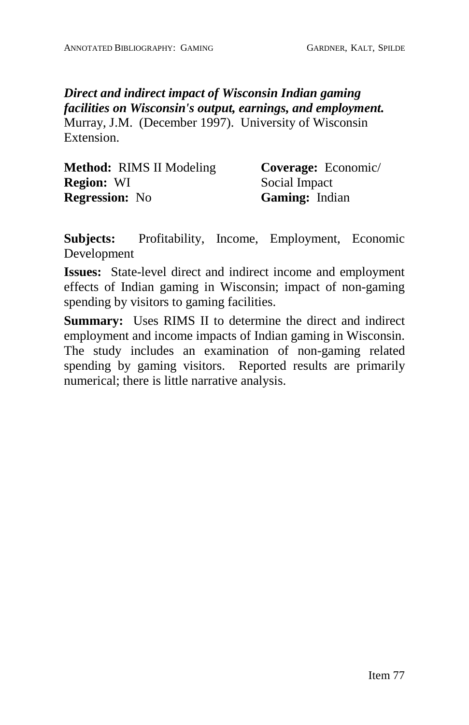*Direct and indirect impact of Wisconsin Indian gaming facilities on Wisconsin's output, earnings, and employment.* Murray, J.M. (December 1997). University of Wisconsin Extension.

| <b>Method:</b> RIMS II Modeling | <b>Coverage:</b> Economic/ |
|---------------------------------|----------------------------|
| <b>Region: WI</b>               | Social Impact              |
| <b>Regression:</b> No           | <b>Gaming:</b> Indian      |

**Subjects:** Profitability, Income, Employment, Economic Development

**Issues:** State-level direct and indirect income and employment effects of Indian gaming in Wisconsin; impact of non-gaming spending by visitors to gaming facilities.

**Summary:** Uses RIMS II to determine the direct and indirect employment and income impacts of Indian gaming in Wisconsin. The study includes an examination of non-gaming related spending by gaming visitors. Reported results are primarily numerical; there is little narrative analysis.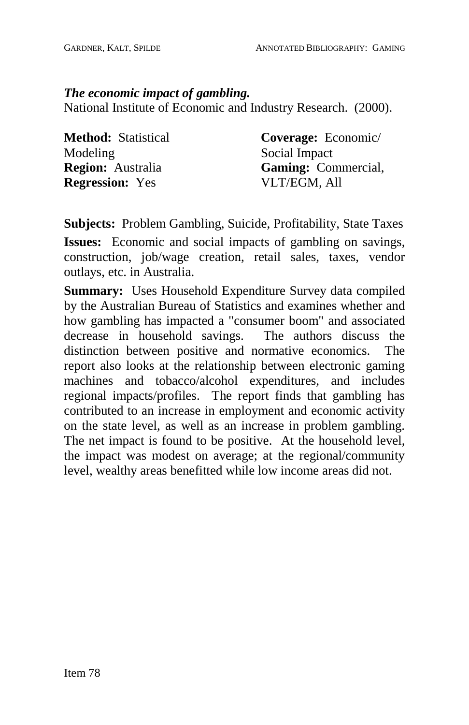*The economic impact of gambling.* National Institute of Economic and Industry Research. (2000).

**Method:** Statistical Modeling **Region:** Australia **Regression:** Yes

**Coverage:** Economic/ Social Impact **Gaming:** Commercial, VLT/EGM, All

**Subjects:** Problem Gambling, Suicide, Profitability, State Taxes **Issues:** Economic and social impacts of gambling on savings, construction, job/wage creation, retail sales, taxes, vendor outlays, etc. in Australia.

**Summary:** Uses Household Expenditure Survey data compiled by the Australian Bureau of Statistics and examines whether and how gambling has impacted a "consumer boom" and associated decrease in household savings. The authors discuss the distinction between positive and normative economics. The report also looks at the relationship between electronic gaming machines and tobacco/alcohol expenditures, and includes regional impacts/profiles. The report finds that gambling has contributed to an increase in employment and economic activity on the state level, as well as an increase in problem gambling. The net impact is found to be positive. At the household level, the impact was modest on average; at the regional/community level, wealthy areas benefitted while low income areas did not.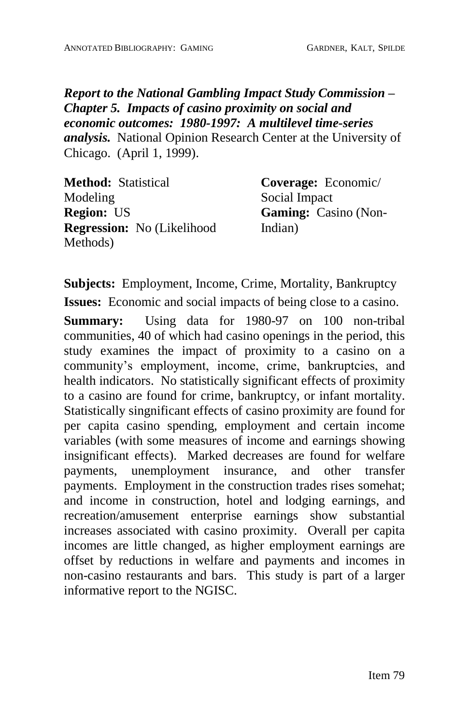*Report to the National Gambling Impact Study Commission ñ Chapter 5.Impacts of casino proximity on social and economic outcomes: 1980-1997: A multilevel time-series analysis.* National Opinion Research Center at the University of Chicago. (April 1, 1999).

**Method:** Statistical Modeling **Region:** US **Regression:** No (Likelihood Methods)

**Coverage:** Economic/ Social Impact **Gaming:** Casino (Non-Indian)

**Subjects:** Employment, Income, Crime, Mortality, Bankruptcy

**Issues:** Economic and social impacts of being close to a casino.

**Summary:** Using data for 1980-97 on 100 non-tribal communities, 40 of which had casino openings in the period, this study examines the impact of proximity to a casino on a community's employment, income, crime, bankruptcies, and health indicators. No statistically significant effects of proximity to a casino are found for crime, bankruptcy, or infant mortality. Statistically singnificant effects of casino proximity are found for per capita casino spending, employment and certain income variables (with some measures of income and earnings showing insignificant effects). Marked decreases are found for welfare payments, unemployment insurance, and other transfer payments. Employment in the construction trades rises somehat; and income in construction, hotel and lodging earnings, and recreation/amusement enterprise earnings show substantial increases associated with casino proximity. Overall per capita incomes are little changed, as higher employment earnings are offset by reductions in welfare and payments and incomes in non-casino restaurants and bars. This study is part of a larger informative report to the NGISC.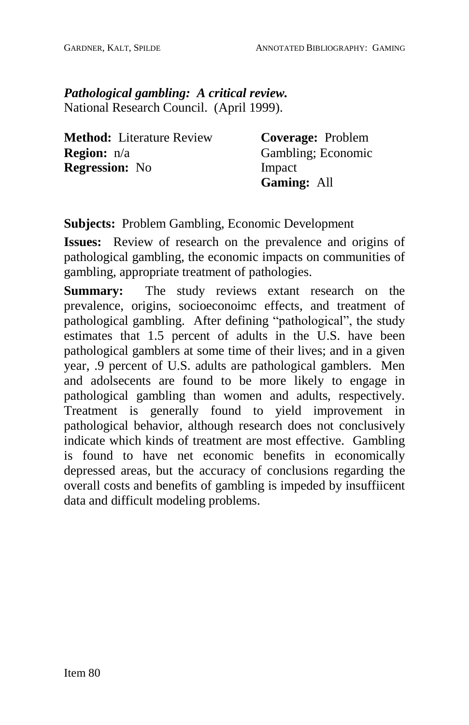*Pathological gambling: A critical review.* National Research Council. (April 1999).

| <b>Method:</b> Literature Review | Coverage: Problem  |
|----------------------------------|--------------------|
| <b>Region:</b> $n/a$             | Gambling; Economic |
| <b>Regression:</b> No            | Impact             |
|                                  | <b>Gaming: All</b> |

**Subjects:** Problem Gambling, Economic Development

**Issues:** Review of research on the prevalence and origins of pathological gambling, the economic impacts on communities of gambling, appropriate treatment of pathologies.

**Summary:** The study reviews extant research on the prevalence, origins, socioeconoimc effects, and treatment of pathological gambling. After defining "pathological", the study estimates that 1.5 percent of adults in the U.S. have been pathological gamblers at some time of their lives; and in a given year, .9 percent of U.S. adults are pathological gamblers. Men and adolsecents are found to be more likely to engage in pathological gambling than women and adults, respectively. Treatment is generally found to yield improvement in pathological behavior, although research does not conclusively indicate which kinds of treatment are most effective. Gambling is found to have net economic benefits in economically depressed areas, but the accuracy of conclusions regarding the overall costs and benefits of gambling is impeded by insuffiicent data and difficult modeling problems.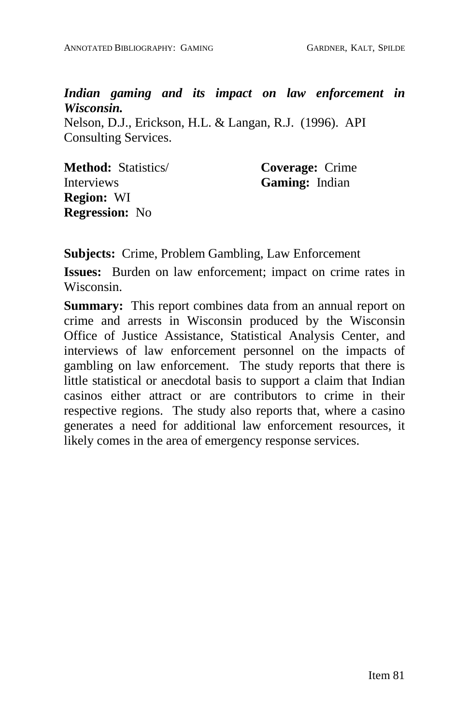*Indian gaming and its impact on law enforcement in Wisconsin.*

Nelson, D.J., Erickson, H.L. & Langan, R.J. (1996). API Consulting Services.

**Method:** Statistics/ **Interviews Region:** WI **Regression:** No

**Coverage:** Crime **Gaming:** Indian

**Subjects:** Crime, Problem Gambling, Law Enforcement

**Issues:** Burden on law enforcement; impact on crime rates in Wisconsin.

**Summary:** This report combines data from an annual report on crime and arrests in Wisconsin produced by the Wisconsin Office of Justice Assistance, Statistical Analysis Center, and interviews of law enforcement personnel on the impacts of gambling on law enforcement. The study reports that there is little statistical or anecdotal basis to support a claim that Indian casinos either attract or are contributors to crime in their respective regions. The study also reports that, where a casino generates a need for additional law enforcement resources, it likely comes in the area of emergency response services.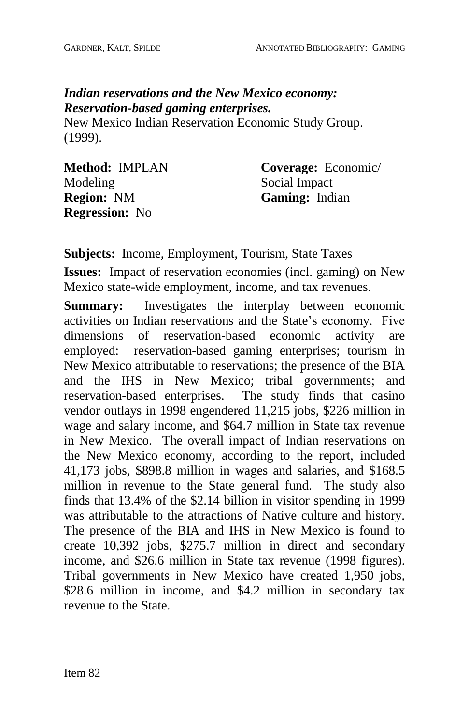# *Indian reservations and the New Mexico economy: Reservation-based gaming enterprises.*

New Mexico Indian Reservation Economic Study Group. (1999).

| Method: IMPLAN        |  |
|-----------------------|--|
| Modeling              |  |
| <b>Region: NM</b>     |  |
| <b>Regression:</b> No |  |

**Coverage:** Economic/ Social Impact **Gaming:** Indian

**Subjects:** Income, Employment, Tourism, State Taxes

**Issues:** Impact of reservation economies (incl. gaming) on New Mexico state-wide employment, income, and tax revenues.

**Summary:** Investigates the interplay between economic activities on Indian reservations and the State's economy. Five dimensions of reservation-based economic activity are employed: reservation-based gaming enterprises; tourism in New Mexico attributable to reservations; the presence of the BIA and the IHS in New Mexico; tribal governments; and reservation-based enterprises. The study finds that casino vendor outlays in 1998 engendered 11,215 jobs, \$226 million in wage and salary income, and \$64.7 million in State tax revenue in New Mexico. The overall impact of Indian reservations on the New Mexico economy, according to the report, included 41,173 jobs, \$898.8 million in wages and salaries, and \$168.5 million in revenue to the State general fund. The study also finds that 13.4% of the \$2.14 billion in visitor spending in 1999 was attributable to the attractions of Native culture and history. The presence of the BIA and IHS in New Mexico is found to create 10,392 jobs, \$275.7 million in direct and secondary income, and \$26.6 million in State tax revenue (1998 figures). Tribal governments in New Mexico have created 1,950 jobs, \$28.6 million in income, and \$4.2 million in secondary tax revenue to the State.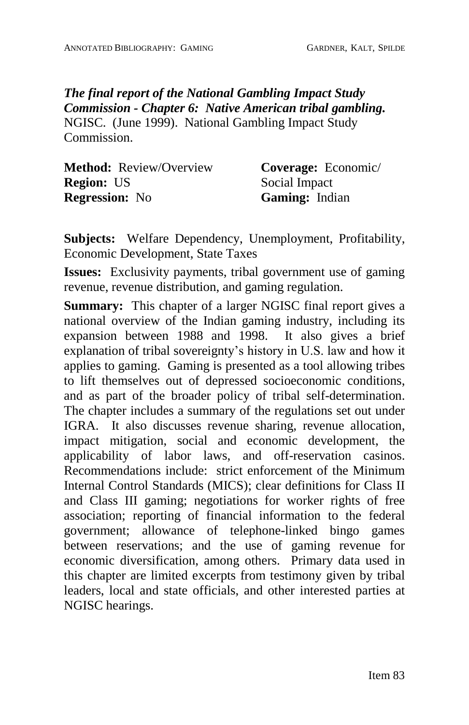*The final report of the National Gambling Impact Study Commission - Chapter 6: Native American tribal gambling.* NGISC. (June 1999). National Gambling Impact Study Commission.

| <b>Method:</b> Review/Overview | Coverage: Economic/ |
|--------------------------------|---------------------|
| <b>Region: US</b>              | Social Impact       |
| <b>Regression:</b> No          | Gaming: Indian      |

**Subjects:** Welfare Dependency, Unemployment, Profitability, Economic Development, State Taxes

**Issues:** Exclusivity payments, tribal government use of gaming revenue, revenue distribution, and gaming regulation.

**Summary:** This chapter of a larger NGISC final report gives a national overview of the Indian gaming industry, including its expansion between 1988 and 1998. It also gives a brief explanation of tribal sovereignty's history in U.S. law and how it applies to gaming. Gaming is presented as a tool allowing tribes to lift themselves out of depressed socioeconomic conditions, and as part of the broader policy of tribal self-determination. The chapter includes a summary of the regulations set out under IGRA. It also discusses revenue sharing, revenue allocation, impact mitigation, social and economic development, the applicability of labor laws, and off-reservation casinos. Recommendations include: strict enforcement of the Minimum Internal Control Standards (MICS); clear definitions for Class II and Class III gaming; negotiations for worker rights of free association; reporting of financial information to the federal government; allowance of telephone-linked bingo games between reservations; and the use of gaming revenue for economic diversification, among others. Primary data used in this chapter are limited excerpts from testimony given by tribal leaders, local and state officials, and other interested parties at NGISC hearings.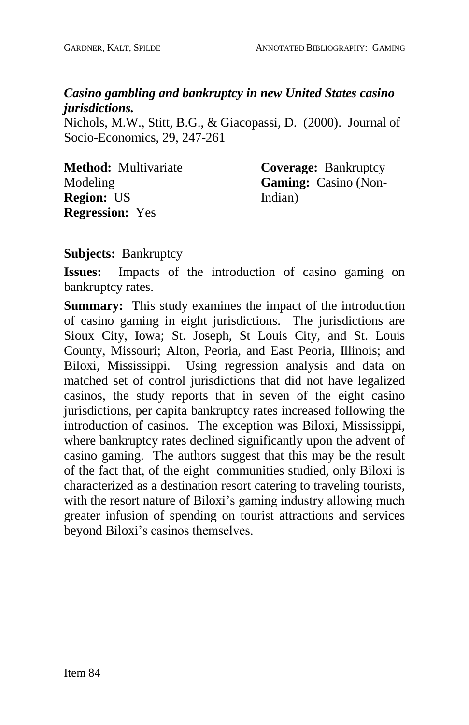## *Casino gambling and bankruptcy in new United States casino jurisdictions.*

Nichols, M.W., Stitt, B.G., & Giacopassi, D. (2000). Journal of Socio-Economics, 29, 247-261

| <b>Method:</b> Multivariate | <b>Coverage: Bankruptcy</b> |
|-----------------------------|-----------------------------|
| Modeling                    | <b>Gaming:</b> Casino (Non- |
| <b>Region: US</b>           | Indian)                     |
| <b>Regression:</b> Yes      |                             |

## **Subjects:** Bankruptcy

**Issues:** Impacts of the introduction of casino gaming on bankruptcy rates.

**Summary:** This study examines the impact of the introduction of casino gaming in eight jurisdictions. The jurisdictions are Sioux City, Iowa; St. Joseph, St Louis City, and St. Louis County, Missouri; Alton, Peoria, and East Peoria, Illinois; and Biloxi, Mississippi. Using regression analysis and data on matched set of control jurisdictions that did not have legalized casinos, the study reports that in seven of the eight casino jurisdictions, per capita bankruptcy rates increased following the introduction of casinos. The exception was Biloxi, Mississippi, where bankruptcy rates declined significantly upon the advent of casino gaming. The authors suggest that this may be the result of the fact that, of the eight communities studied, only Biloxi is characterized as a destination resort catering to traveling tourists, with the resort nature of Biloxi's gaming industry allowing much greater infusion of spending on tourist attractions and services beyond Biloxi's casinos themselves.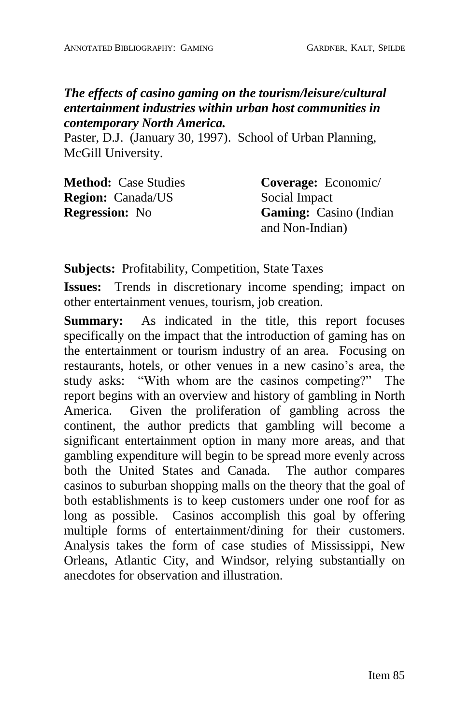## *The effects of casino gaming on the tourism/leisure/cultural entertainment industries within urban host communities in contemporary North America.*

Paster, D.J. (January 30, 1997). School of Urban Planning, McGill University.

| <b>Method:</b> Case Studies | Coverage: Economic/            |
|-----------------------------|--------------------------------|
| <b>Region:</b> Canada/US    | Social Impact                  |
| <b>Regression:</b> No       | <b>Gaming:</b> Casino (Indian) |
|                             | and Non-Indian)                |

**Subjects:** Profitability, Competition, State Taxes

**Issues:** Trends in discretionary income spending; impact on other entertainment venues, tourism, job creation.

**Summary:** As indicated in the title, this report focuses specifically on the impact that the introduction of gaming has on the entertainment or tourism industry of an area. Focusing on restaurants, hotels, or other venues in a new casino's area, the study asks: "With whom are the casinos competing?" The report begins with an overview and history of gambling in North America. Given the proliferation of gambling across the continent, the author predicts that gambling will become a significant entertainment option in many more areas, and that gambling expenditure will begin to be spread more evenly across both the United States and Canada. The author compares casinos to suburban shopping malls on the theory that the goal of both establishments is to keep customers under one roof for as long as possible. Casinos accomplish this goal by offering multiple forms of entertainment/dining for their customers. Analysis takes the form of case studies of Mississippi, New Orleans, Atlantic City, and Windsor, relying substantially on anecdotes for observation and illustration.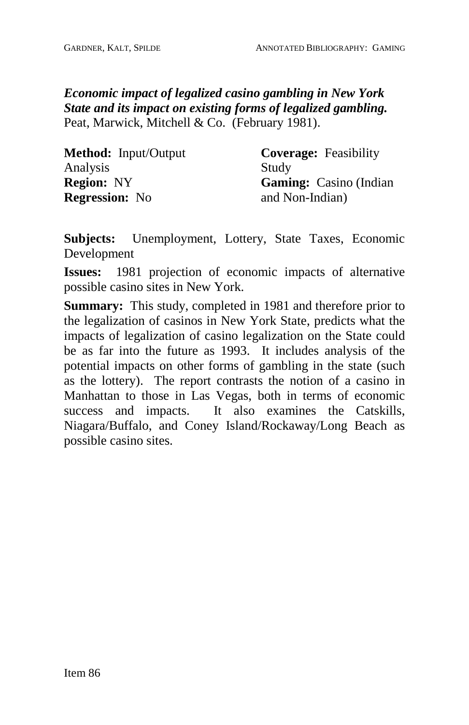*Economic impact of legalized casino gambling in New York State and its impact on existing forms of legalized gambling.* Peat, Marwick, Mitchell & Co. (February 1981).

| <b>Method:</b> Input/Output | <b>Coverage:</b> Feasibility  |
|-----------------------------|-------------------------------|
| Analysis                    | Study                         |
| <b>Region:</b> NY           | <b>Gaming:</b> Casino (Indian |
| <b>Regression:</b> No       | and Non-Indian)               |

**Subjects:** Unemployment, Lottery, State Taxes, Economic Development

**Issues:** 1981 projection of economic impacts of alternative possible casino sites in New York.

**Summary:** This study, completed in 1981 and therefore prior to the legalization of casinos in New York State, predicts what the impacts of legalization of casino legalization on the State could be as far into the future as 1993. It includes analysis of the potential impacts on other forms of gambling in the state (such as the lottery). The report contrasts the notion of a casino in Manhattan to those in Las Vegas, both in terms of economic success and impacts. It also examines the Catskills, Niagara/Buffalo, and Coney Island/Rockaway/Long Beach as possible casino sites.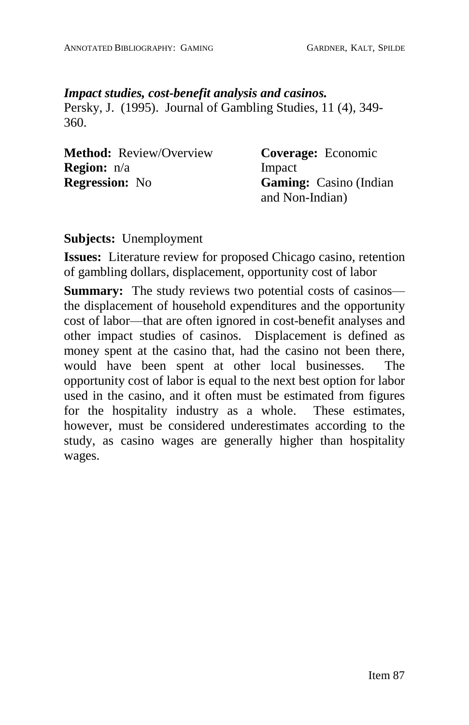#### *Impact studies, cost-benefit analysis and casinos.*

Persky, J. (1995). Journal of Gambling Studies, 11 (4), 349- 360.

| <b>Method:</b> Review/Overview | <b>Coverage:</b> Economic      |
|--------------------------------|--------------------------------|
| <b>Region:</b> n/a             | Impact                         |
| <b>Regression:</b> No          | <b>Gaming:</b> Casino (Indian) |
|                                | and Non-Indian)                |

#### **Subjects:** Unemployment

**Issues:** Literature review for proposed Chicago casino, retention of gambling dollars, displacement, opportunity cost of labor

**Summary:** The study reviews two potential costs of casinos the displacement of household expenditures and the opportunity cost of labor—that are often ignored in cost-benefit analyses and other impact studies of casinos. Displacement is defined as money spent at the casino that, had the casino not been there, would have been spent at other local businesses. The opportunity cost of labor is equal to the next best option for labor used in the casino, and it often must be estimated from figures for the hospitality industry as a whole. These estimates, however, must be considered underestimates according to the study, as casino wages are generally higher than hospitality wages.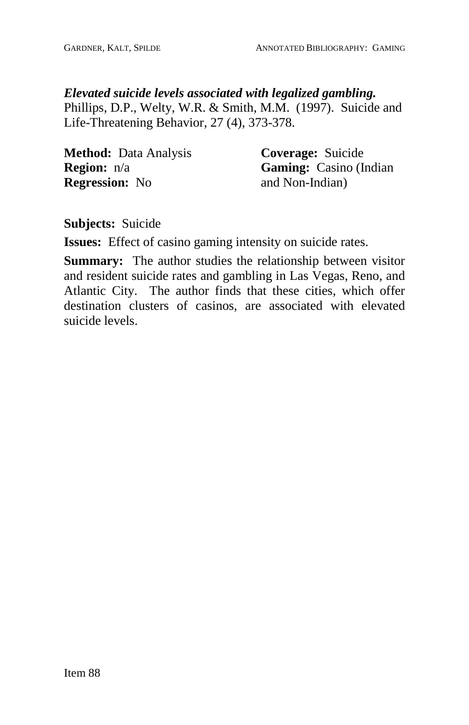## *Elevated suicide levels associated with legalized gambling.*

Phillips, D.P., Welty, W.R. & Smith, M.M. (1997). Suicide and Life-Threatening Behavior, 27 (4), 373-378.

| <b>Method:</b> Data Analysis | <b>Coverage:</b> Suicide      |
|------------------------------|-------------------------------|
| <b>Region:</b> n/a           | <b>Gaming:</b> Casino (Indian |
| <b>Regression:</b> No        | and Non-Indian)               |

**Subjects:** Suicide

**Issues:** Effect of casino gaming intensity on suicide rates.

**Summary:** The author studies the relationship between visitor and resident suicide rates and gambling in Las Vegas, Reno, and Atlantic City. The author finds that these cities, which offer destination clusters of casinos, are associated with elevated suicide levels.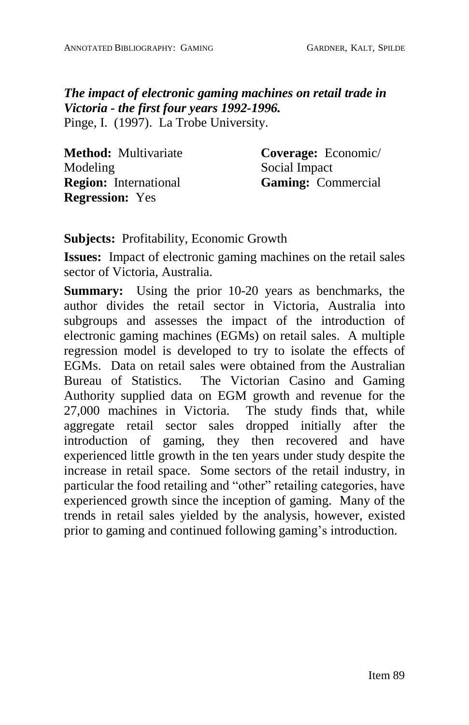*The impact of electronic gaming machines on retail trade in Victoria - the first four years 1992-1996.* Pinge, I. (1997). La Trobe University.

| Method: Multivariate         | Coverage: Economic/       |
|------------------------------|---------------------------|
| Modeling                     | Social Impact             |
| <b>Region:</b> International | <b>Gaming:</b> Commercial |
| <b>Regression:</b> Yes       |                           |

**Subjects:** Profitability, Economic Growth

**Issues:** Impact of electronic gaming machines on the retail sales sector of Victoria, Australia.

**Summary:** Using the prior 10-20 years as benchmarks, the author divides the retail sector in Victoria, Australia into subgroups and assesses the impact of the introduction of electronic gaming machines (EGMs) on retail sales. A multiple regression model is developed to try to isolate the effects of EGMs. Data on retail sales were obtained from the Australian Bureau of Statistics. The Victorian Casino and Gaming Authority supplied data on EGM growth and revenue for the 27,000 machines in Victoria. The study finds that, while aggregate retail sector sales dropped initially after the introduction of gaming, they then recovered and have experienced little growth in the ten years under study despite the increase in retail space. Some sectors of the retail industry, in particular the food retailing and "other" retailing categories, have experienced growth since the inception of gaming. Many of the trends in retail sales yielded by the analysis, however, existed prior to gaming and continued following gaming's introduction.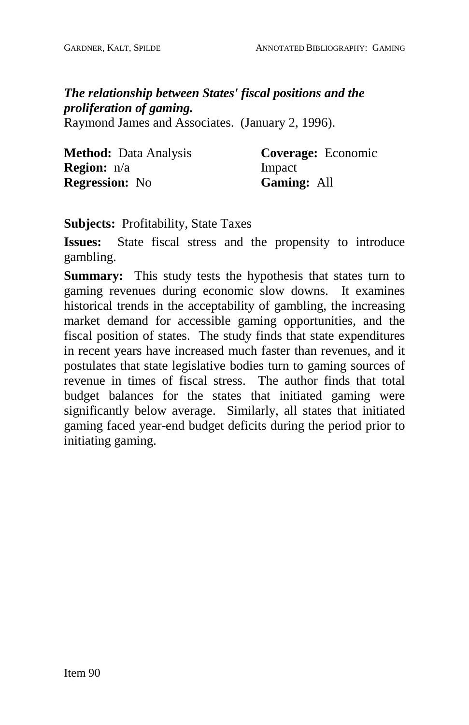*The relationship between States' fiscal positions and the proliferation of gaming.*

Raymond James and Associates. (January 2, 1996).

| <b>Method:</b> Data Analysis | Coverage: Economic |
|------------------------------|--------------------|
| <b>Region:</b> n/a           | Impact             |
| <b>Regression:</b> No        | <b>Gaming: All</b> |

**Subjects:** Profitability, State Taxes

**Issues:** State fiscal stress and the propensity to introduce gambling.

**Summary:** This study tests the hypothesis that states turn to gaming revenues during economic slow downs. It examines historical trends in the acceptability of gambling, the increasing market demand for accessible gaming opportunities, and the fiscal position of states. The study finds that state expenditures in recent years have increased much faster than revenues, and it postulates that state legislative bodies turn to gaming sources of revenue in times of fiscal stress. The author finds that total budget balances for the states that initiated gaming were significantly below average. Similarly, all states that initiated gaming faced year-end budget deficits during the period prior to initiating gaming.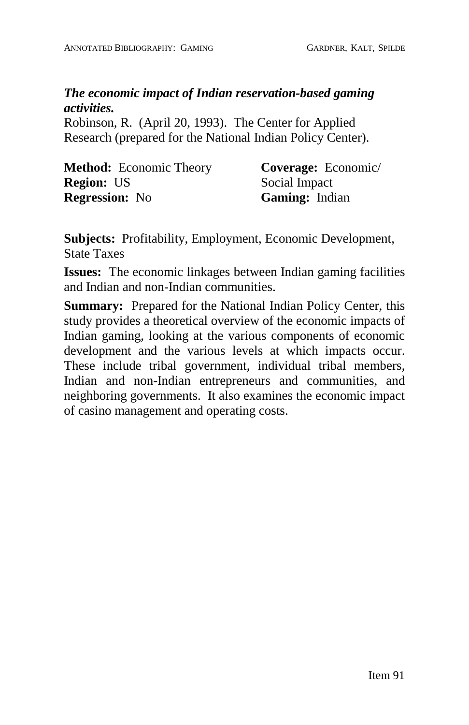## *The economic impact of Indian reservation-based gaming activities.*

Robinson, R. (April 20, 1993). The Center for Applied Research (prepared for the National Indian Policy Center).

| <b>Method:</b> Economic Theory | Coverage: Economic/   |
|--------------------------------|-----------------------|
| <b>Region: US</b>              | Social Impact         |
| <b>Regression:</b> No          | <b>Gaming:</b> Indian |

**Subjects:** Profitability, Employment, Economic Development, State Taxes

**Issues:** The economic linkages between Indian gaming facilities and Indian and non-Indian communities.

**Summary:** Prepared for the National Indian Policy Center, this study provides a theoretical overview of the economic impacts of Indian gaming, looking at the various components of economic development and the various levels at which impacts occur. These include tribal government, individual tribal members, Indian and non-Indian entrepreneurs and communities, and neighboring governments. It also examines the economic impact of casino management and operating costs.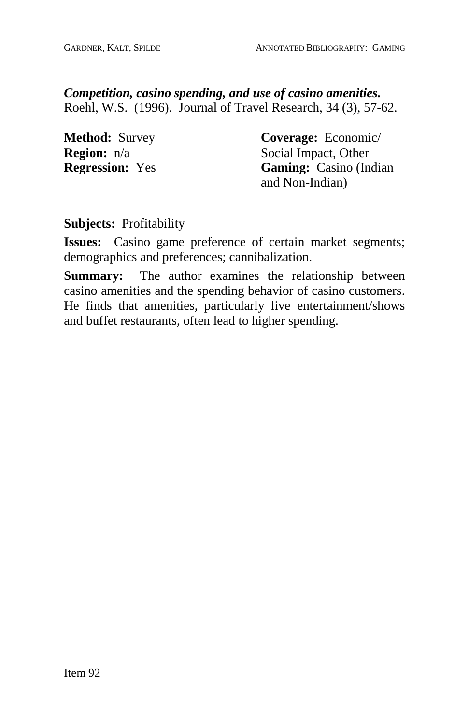*Competition, casino spending, and use of casino amenities.* Roehl, W.S. (1996). Journal of Travel Research, 34 (3), 57-62.

**Method:** Survey **Region:** n/a **Regression:** Yes **Coverage:** Economic/ Social Impact, Other **Gaming:** Casino (Indian and Non-Indian)

### **Subjects:** Profitability

**Issues:** Casino game preference of certain market segments; demographics and preferences; cannibalization.

**Summary:** The author examines the relationship between casino amenities and the spending behavior of casino customers. He finds that amenities, particularly live entertainment/shows and buffet restaurants, often lead to higher spending.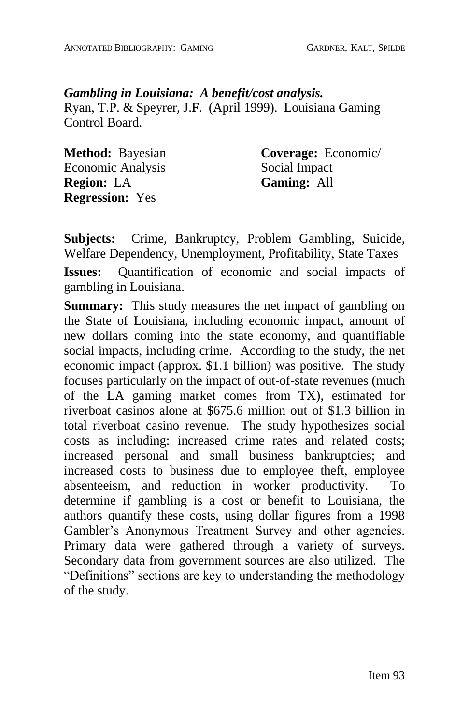## *Gambling in Louisiana: A benefit/cost analysis.* Ryan, T.P. & Speyrer, J.F. (April 1999). Louisiana Gaming Control Board.

**Method:** Bayesian Economic Analysis **Region:** LA **Regression:** Yes

**Coverage:** Economic/ Social Impact **Gaming:** All

**Subjects:** Crime, Bankruptcy, Problem Gambling, Suicide, Welfare Dependency, Unemployment, Profitability, State Taxes

**Issues:** Quantification of economic and social impacts of gambling in Louisiana.

**Summary:** This study measures the net impact of gambling on the State of Louisiana, including economic impact, amount of new dollars coming into the state economy, and quantifiable social impacts, including crime. According to the study, the net economic impact (approx. \$1.1 billion) was positive. The study focuses particularly on the impact of out-of-state revenues (much of the LA gaming market comes from TX), estimated for riverboat casinos alone at \$675.6 million out of \$1.3 billion in total riverboat casino revenue. The study hypothesizes social costs as including: increased crime rates and related costs; increased personal and small business bankruptcies; and increased costs to business due to employee theft, employee absenteeism, and reduction in worker productivity. To determine if gambling is a cost or benefit to Louisiana, the authors quantify these costs, using dollar figures from a 1998 Gambler's Anonymous Treatment Survey and other agencies. Primary data were gathered through a variety of surveys. Secondary data from government sources are also utilized. The ìDefinitionsî sections are key to understanding the methodology of the study.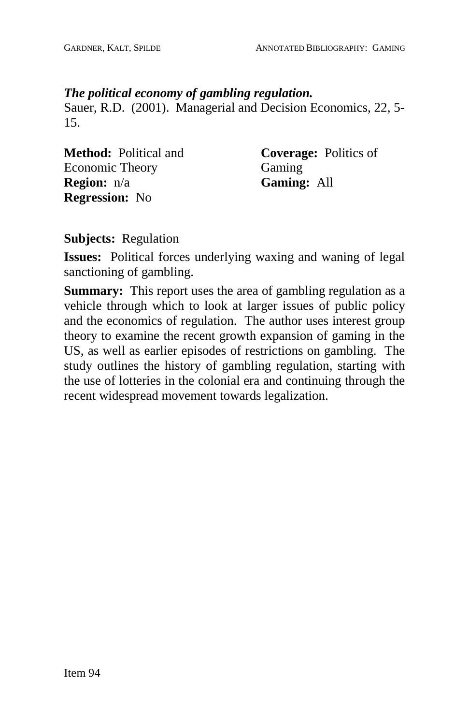#### *The political economy of gambling regulation.*

Sauer, R.D. (2001). Managerial and Decision Economics, 22, 5- 15.

**Method:** Political and Economic Theory **Region:** n/a **Regression:** No

**Coverage:** Politics of Gaming **Gaming:** All

**Subjects:** Regulation

**Issues:** Political forces underlying waxing and waning of legal sanctioning of gambling.

**Summary:** This report uses the area of gambling regulation as a vehicle through which to look at larger issues of public policy and the economics of regulation. The author uses interest group theory to examine the recent growth expansion of gaming in the US, as well as earlier episodes of restrictions on gambling. The study outlines the history of gambling regulation, starting with the use of lotteries in the colonial era and continuing through the recent widespread movement towards legalization.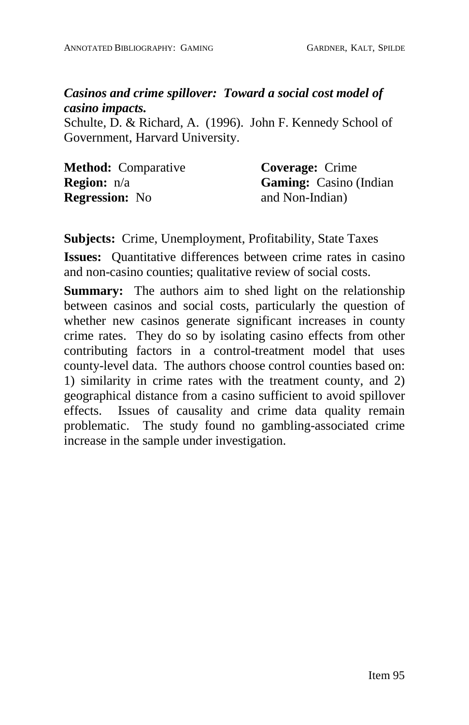## *Casinos and crime spillover: Toward a social cost model of casino impacts.*

Schulte, D. & Richard, A. (1996). John F. Kennedy School of Government, Harvard University.

| <b>Method:</b> Comparative | <b>Coverage:</b> Crime        |
|----------------------------|-------------------------------|
| <b>Region:</b> $n/a$       | <b>Gaming:</b> Casino (Indian |
| <b>Regression:</b> No      | and Non-Indian)               |

**Subjects:** Crime, Unemployment, Profitability, State Taxes

**Issues:** Quantitative differences between crime rates in casino and non-casino counties; qualitative review of social costs.

**Summary:** The authors aim to shed light on the relationship between casinos and social costs, particularly the question of whether new casinos generate significant increases in county crime rates. They do so by isolating casino effects from other contributing factors in a control-treatment model that uses county-level data. The authors choose control counties based on: 1) similarity in crime rates with the treatment county, and 2) geographical distance from a casino sufficient to avoid spillover effects. Issues of causality and crime data quality remain problematic. The study found no gambling-associated crime increase in the sample under investigation.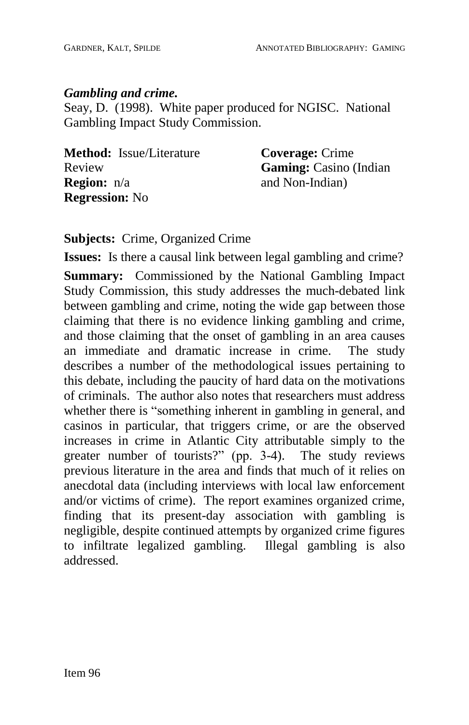#### *Gambling and crime.*

Seay, D. (1998). White paper produced for NGISC. National Gambling Impact Study Commission.

| <b>Method:</b> Issue/Literature | <b>Coverage:</b> Crime         |
|---------------------------------|--------------------------------|
| Review                          | <b>Gaming:</b> Casino (Indian) |
| <b>Region:</b> n/a              | and Non-Indian)                |
| <b>Regression:</b> No           |                                |

**Subjects:** Crime, Organized Crime

**Issues:** Is there a causal link between legal gambling and crime?

**Summary:** Commissioned by the National Gambling Impact Study Commission, this study addresses the much-debated link between gambling and crime, noting the wide gap between those claiming that there is no evidence linking gambling and crime, and those claiming that the onset of gambling in an area causes an immediate and dramatic increase in crime. The study describes a number of the methodological issues pertaining to this debate, including the paucity of hard data on the motivations of criminals. The author also notes that researchers must address whether there is "something inherent in gambling in general, and casinos in particular, that triggers crime, or are the observed increases in crime in Atlantic City attributable simply to the greater number of tourists?" (pp. 3-4). The study reviews previous literature in the area and finds that much of it relies on anecdotal data (including interviews with local law enforcement and/or victims of crime). The report examines organized crime, finding that its present-day association with gambling is negligible, despite continued attempts by organized crime figures to infiltrate legalized gambling. Illegal gambling is also addressed.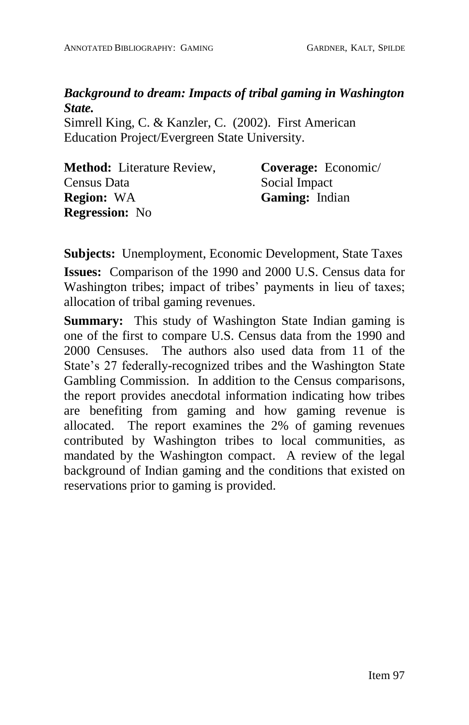## *Background to dream: Impacts of tribal gaming in Washington State.*

Simrell King, C. & Kanzler, C. (2002). First American Education Project/Evergreen State University.

| <b>Method:</b> Literature Review, | Coverage: Economic/   |
|-----------------------------------|-----------------------|
| Census Data                       | Social Impact         |
| <b>Region: WA</b>                 | <b>Gaming:</b> Indian |
| <b>Regression:</b> No             |                       |

**Subjects:** Unemployment, Economic Development, State Taxes **Issues:** Comparison of the 1990 and 2000 U.S. Census data for Washington tribes; impact of tribes' payments in lieu of taxes; allocation of tribal gaming revenues.

**Summary:** This study of Washington State Indian gaming is one of the first to compare U.S. Census data from the 1990 and 2000 Censuses. The authors also used data from 11 of the State's 27 federally-recognized tribes and the Washington State Gambling Commission. In addition to the Census comparisons, the report provides anecdotal information indicating how tribes are benefiting from gaming and how gaming revenue is allocated. The report examines the 2% of gaming revenues contributed by Washington tribes to local communities, as mandated by the Washington compact. A review of the legal background of Indian gaming and the conditions that existed on reservations prior to gaming is provided.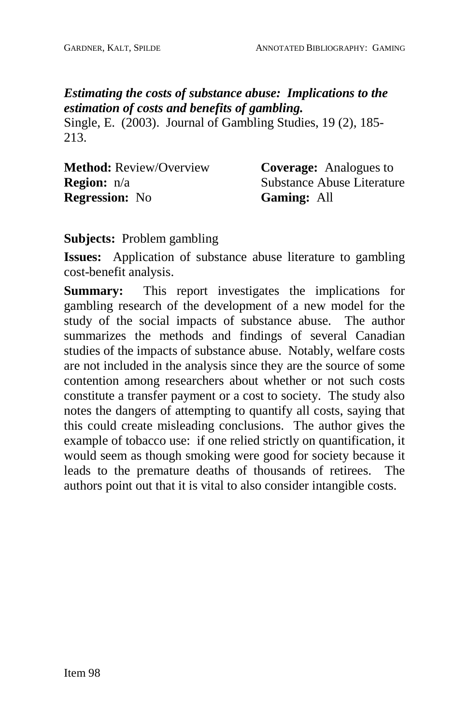# *Estimating the costs of substance abuse: Implications to the estimation of costs and benefits of gambling.*

Single, E. (2003). Journal of Gambling Studies, 19 (2), 185- 213.

| <b>Method:</b> Review/Overview | <b>Coverage:</b> Analogues to |
|--------------------------------|-------------------------------|
| <b>Region:</b> $n/a$           | Substance Abuse Literature    |
| <b>Regression:</b> No          | <b>Gaming: All</b>            |

**Subjects:** Problem gambling

**Issues:** Application of substance abuse literature to gambling cost-benefit analysis.

**Summary:** This report investigates the implications for gambling research of the development of a new model for the study of the social impacts of substance abuse. The author summarizes the methods and findings of several Canadian studies of the impacts of substance abuse. Notably, welfare costs are not included in the analysis since they are the source of some contention among researchers about whether or not such costs constitute a transfer payment or a cost to society. The study also notes the dangers of attempting to quantify all costs, saying that this could create misleading conclusions. The author gives the example of tobacco use: if one relied strictly on quantification, it would seem as though smoking were good for society because it leads to the premature deaths of thousands of retirees. The authors point out that it is vital to also consider intangible costs.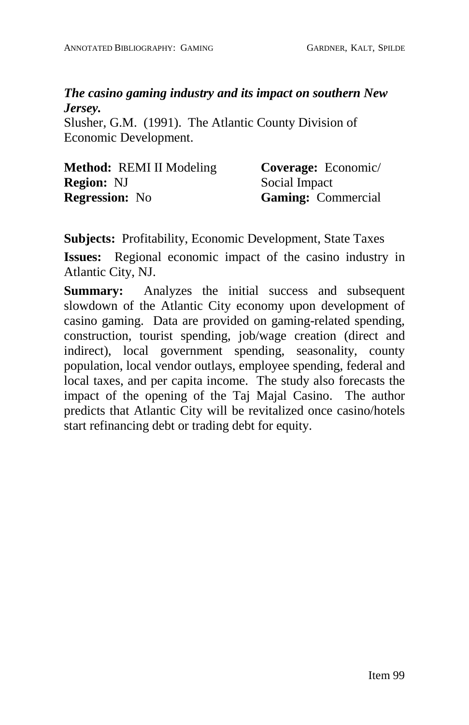## *The casino gaming industry and its impact on southern New Jersey.*

Slusher, G.M. (1991). The Atlantic County Division of Economic Development.

| <b>Method:</b> REMI II Modeling | Coverage: Economic/       |
|---------------------------------|---------------------------|
| <b>Region: NJ</b>               | Social Impact             |
| <b>Regression:</b> No           | <b>Gaming:</b> Commercial |

**Subjects:** Profitability, Economic Development, State Taxes

**Issues:** Regional economic impact of the casino industry in Atlantic City, NJ.

**Summary:** Analyzes the initial success and subsequent slowdown of the Atlantic City economy upon development of casino gaming. Data are provided on gaming-related spending, construction, tourist spending, job/wage creation (direct and indirect), local government spending, seasonality, county population, local vendor outlays, employee spending, federal and local taxes, and per capita income. The study also forecasts the impact of the opening of the Taj Majal Casino. The author predicts that Atlantic City will be revitalized once casino/hotels start refinancing debt or trading debt for equity.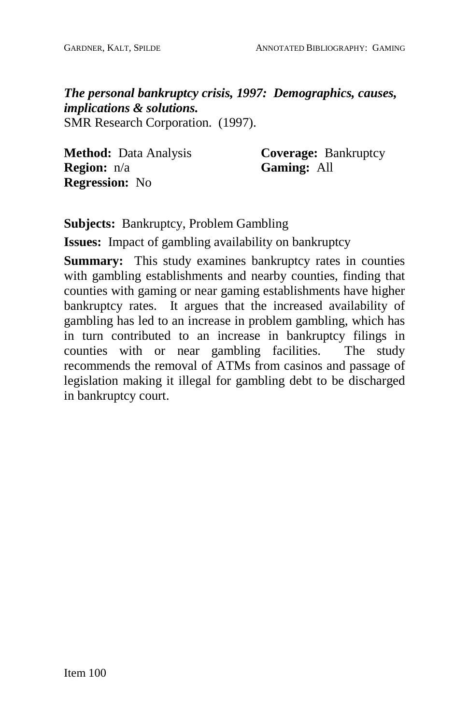*The personal bankruptcy crisis, 1997: Demographics, causes, implications & solutions.* SMR Research Corporation. (1997).

**Method:** Data Analysis **Region:** n/a **Regression:** No

**Coverage:** Bankruptcy **Gaming:** All

**Subjects:** Bankruptcy, Problem Gambling

**Issues:** Impact of gambling availability on bankruptcy

**Summary:** This study examines bankruptcy rates in counties with gambling establishments and nearby counties, finding that counties with gaming or near gaming establishments have higher bankruptcy rates. It argues that the increased availability of gambling has led to an increase in problem gambling, which has in turn contributed to an increase in bankruptcy filings in counties with or near gambling facilities. The study recommends the removal of ATMs from casinos and passage of legislation making it illegal for gambling debt to be discharged in bankruptcy court.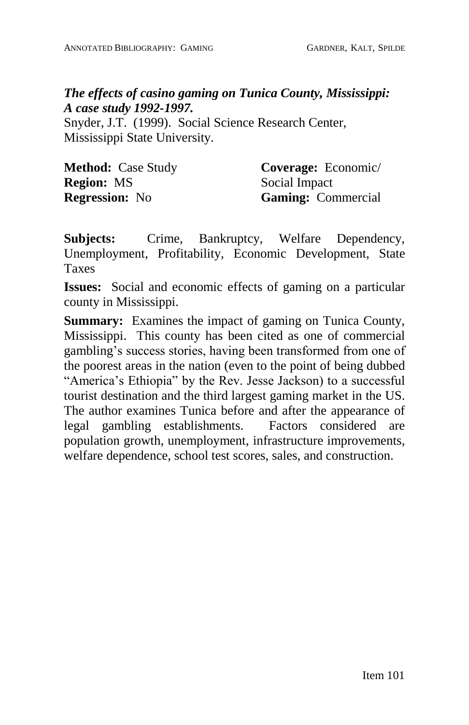## *The effects of casino gaming on Tunica County, Mississippi: A case study 1992-1997.*

Snyder, J.T. (1999). Social Science Research Center, Mississippi State University.

| <b>Method:</b> Case Study | Coverage: Economic/       |
|---------------------------|---------------------------|
| <b>Region: MS</b>         | Social Impact             |
| <b>Regression:</b> No     | <b>Gaming:</b> Commercial |

**Subjects:** Crime, Bankruptcy, Welfare Dependency, Unemployment, Profitability, Economic Development, State Taxes

**Issues:** Social and economic effects of gaming on a particular county in Mississippi.

**Summary:** Examines the impact of gaming on Tunica County, Mississippi. This county has been cited as one of commercial gambling's success stories, having been transformed from one of the poorest areas in the nation (even to the point of being dubbed "America's Ethiopia" by the Rev. Jesse Jackson) to a successful tourist destination and the third largest gaming market in the US. The author examines Tunica before and after the appearance of legal gambling establishments. Factors considered are population growth, unemployment, infrastructure improvements, welfare dependence, school test scores, sales, and construction.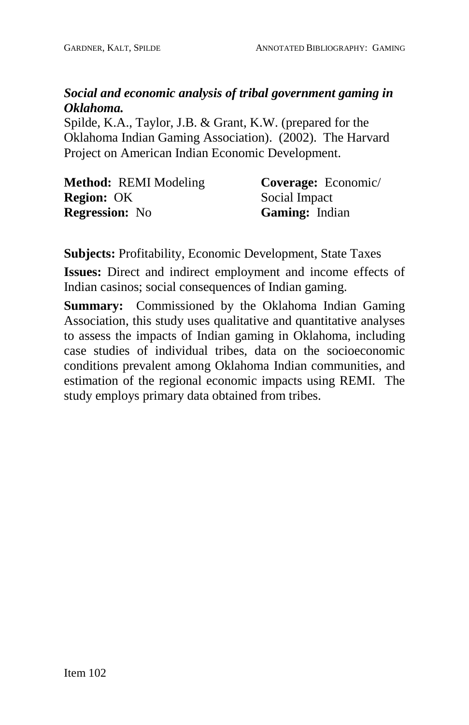# *Social and economic analysis of tribal government gaming in Oklahoma.*

Spilde, K.A., Taylor, J.B. & Grant, K.W. (prepared for the Oklahoma Indian Gaming Association). (2002). The Harvard Project on American Indian Economic Development.

| <b>Method: REMI Modeling</b> | Coverage: Economic/ |
|------------------------------|---------------------|
| <b>Region: OK</b>            | Social Impact       |
| <b>Regression:</b> No        | Gaming: Indian      |

**Subjects:** Profitability, Economic Development, State Taxes

**Issues:** Direct and indirect employment and income effects of Indian casinos; social consequences of Indian gaming.

**Summary:** Commissioned by the Oklahoma Indian Gaming Association, this study uses qualitative and quantitative analyses to assess the impacts of Indian gaming in Oklahoma, including case studies of individual tribes, data on the socioeconomic conditions prevalent among Oklahoma Indian communities, and estimation of the regional economic impacts using REMI. The study employs primary data obtained from tribes.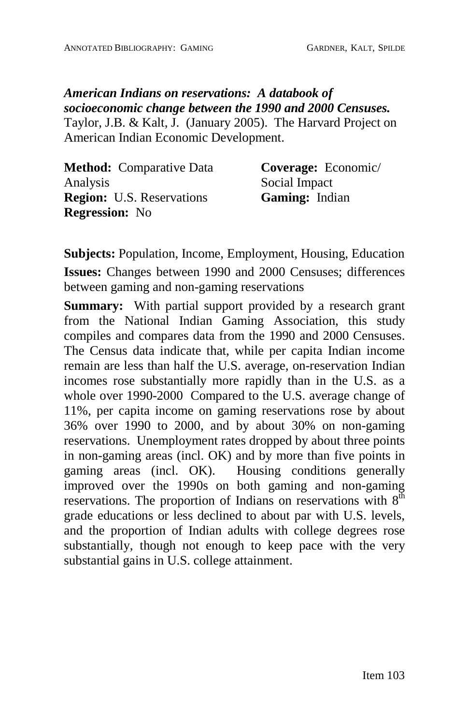*American Indians on reservations: A databook of socioeconomic change between the 1990 and 2000 Censuses.* Taylor, J.B. & Kalt, J. (January 2005). The Harvard Project on American Indian Economic Development.

| <b>Method:</b> Comparative Data  | Coverage: Economic/   |
|----------------------------------|-----------------------|
| Analysis                         | Social Impact         |
| <b>Region:</b> U.S. Reservations | <b>Gaming:</b> Indian |
| <b>Regression:</b> No            |                       |

**Subjects:** Population, Income, Employment, Housing, Education **Issues:** Changes between 1990 and 2000 Censuses; differences between gaming and non-gaming reservations

**Summary:** With partial support provided by a research grant from the National Indian Gaming Association, this study compiles and compares data from the 1990 and 2000 Censuses. The Census data indicate that, while per capita Indian income remain are less than half the U.S. average, on-reservation Indian incomes rose substantially more rapidly than in the U.S. as a whole over 1990-2000 Compared to the U.S. average change of 11%, per capita income on gaming reservations rose by about 36% over 1990 to 2000, and by about 30% on non-gaming reservations. Unemployment rates dropped by about three points in non-gaming areas (incl. OK) and by more than five points in gaming areas (incl. OK). Housing conditions generally improved over the 1990s on both gaming and non-gaming reservations. The proportion of Indians on reservations with  $8<sup>th</sup>$ grade educations or less declined to about par with U.S. levels, and the proportion of Indian adults with college degrees rose substantially, though not enough to keep pace with the very substantial gains in U.S. college attainment.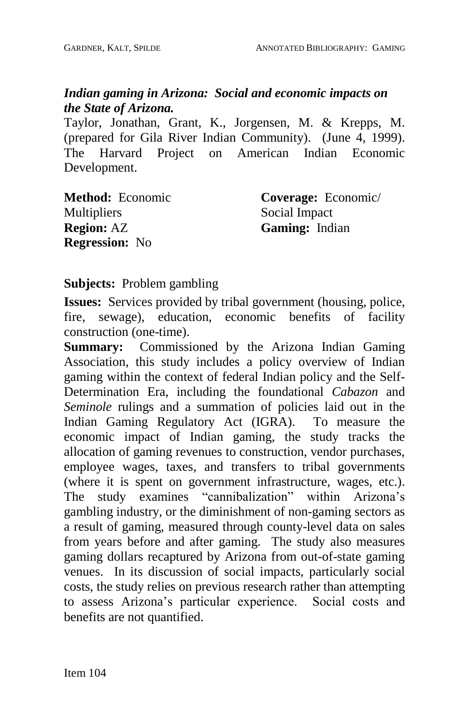## *Indian gaming in Arizona: Social and economic impacts on the State of Arizona.*

Taylor, Jonathan, Grant, K., Jorgensen, M. & Krepps, M. (prepared for Gila River Indian Community). (June 4, 1999). The Harvard Project on American Indian Economic Development.

| <b>Method:</b> Economic | Coverage: Economic/   |
|-------------------------|-----------------------|
| <b>Multipliers</b>      | Social Impact         |
| <b>Region:</b> AZ       | <b>Gaming:</b> Indian |
| <b>Regression:</b> No   |                       |

**Subjects:** Problem gambling

**Issues:** Services provided by tribal government (housing, police, fire, sewage), education, economic benefits of facility construction (one-time).

**Summary:** Commissioned by the Arizona Indian Gaming Association, this study includes a policy overview of Indian gaming within the context of federal Indian policy and the Self- Determination Era, including the foundational *Cabazon* and *Seminole* rulings and a summation of policies laid out in the Indian Gaming Regulatory Act (IGRA). To measure the economic impact of Indian gaming, the study tracks the allocation of gaming revenues to construction, vendor purchases, employee wages, taxes, and transfers to tribal governments (where it is spent on government infrastructure, wages, etc.). The study examines "cannibalization" within Arizona's gambling industry, or the diminishment of non-gaming sectors as a result of gaming, measured through county-level data on sales from years before and after gaming. The study also measures gaming dollars recaptured by Arizona from out-of-state gaming venues. In its discussion of social impacts, particularly social costs, the study relies on previous research rather than attempting to assess Arizonaís particular experience. Social costs and benefits are not quantified.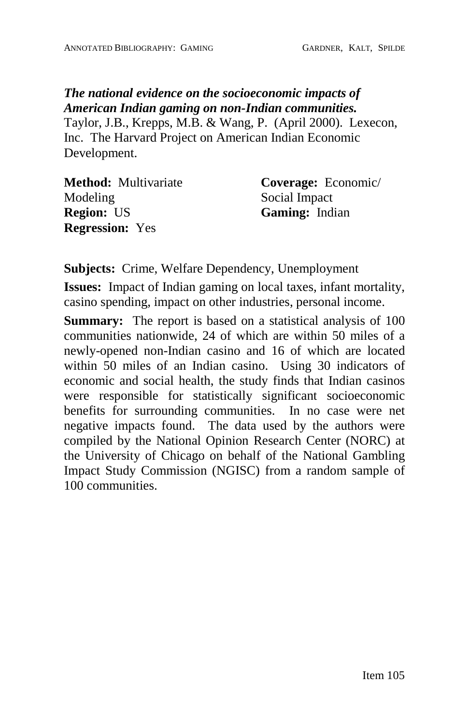*The national evidence on the socioeconomic impacts of American Indian gaming on non-Indian communities.* Taylor, J.B., Krepps, M.B. & Wang, P.(April 2000). Lexecon, Inc. The Harvard Project on American Indian Economic Development.

**Method:** Multivariate Modeling **Region:** US **Regression:** Yes **Coverage:** Economic/ Social Impact **Gaming:** Indian

**Subjects:** Crime, Welfare Dependency, Unemployment

**Issues:** Impact of Indian gaming on local taxes, infant mortality, casino spending, impact on other industries, personal income.

**Summary:** The report is based on a statistical analysis of 100 communities nationwide, 24 of which are within 50 miles of a newly-opened non-Indian casino and 16 of which are located within 50 miles of an Indian casino. Using 30 indicators of economic and social health, the study finds that Indian casinos were responsible for statistically significant socioeconomic benefits for surrounding communities. In no case were net negative impacts found. The data used by the authors were compiled by the National Opinion Research Center (NORC) at the University of Chicago on behalf of the National Gambling Impact Study Commission (NGISC) from a random sample of 100 communities.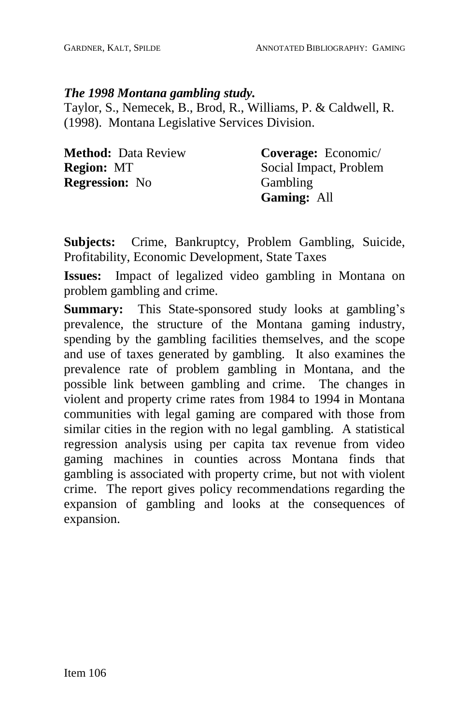#### *The 1998 Montana gambling study.*

Taylor, S., Nemecek, B., Brod, R., Williams, P. & Caldwell, R. (1998). Montana Legislative Services Division.

| <b>Method: Data Review</b> | Coverage: Economic/    |
|----------------------------|------------------------|
| <b>Region: MT</b>          | Social Impact, Problem |
| <b>Regression:</b> No      | Gambling               |
|                            | <b>Gaming: All</b>     |

**Subjects:** Crime, Bankruptcy, Problem Gambling, Suicide, Profitability, Economic Development, State Taxes

**Issues:** Impact of legalized video gambling in Montana on problem gambling and crime.

**Summary:** This State-sponsored study looks at gambling's prevalence, the structure of the Montana gaming industry, spending by the gambling facilities themselves, and the scope and use of taxes generated by gambling. It also examines the prevalence rate of problem gambling in Montana, and the possible link between gambling and crime. The changes in violent and property crime rates from 1984 to 1994 in Montana communities with legal gaming are compared with those from similar cities in the region with no legal gambling. A statistical regression analysis using per capita tax revenue from video gaming machines in counties across Montana finds that gambling is associated with property crime, but not with violent crime. The report gives policy recommendations regarding the expansion of gambling and looks at the consequences of expansion.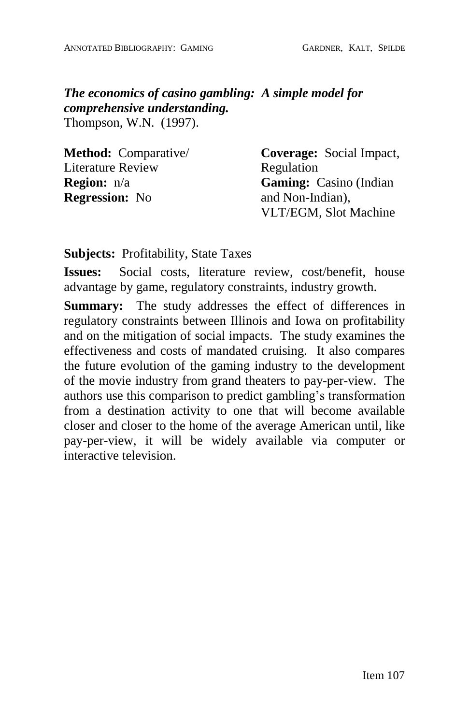*The economics of casino gambling: A simple model for comprehensive understanding.* Thompson, W.N. (1997).

| <b>Method:</b> Comparative/ | <b>Coverage:</b> Social Impact, |
|-----------------------------|---------------------------------|
| Literature Review           | Regulation                      |
| <b>Region:</b> n/a          | <b>Gaming:</b> Casino (Indian)  |
| <b>Regression:</b> No       | and Non-Indian),                |
|                             | VLT/EGM, Slot Machine           |

#### **Subjects:** Profitability, State Taxes

**Issues:** Social costs, literature review, cost/benefit, house advantage by game, regulatory constraints, industry growth.

**Summary:** The study addresses the effect of differences in regulatory constraints between Illinois and Iowa on profitability and on the mitigation of social impacts. The study examines the effectiveness and costs of mandated cruising. It also compares the future evolution of the gaming industry to the development of the movie industry from grand theaters to pay-per-view. The authors use this comparison to predict gambling's transformation from a destination activity to one that will become available closer and closer to the home of the average American until, like pay-per-view, it will be widely available via computer or interactive television.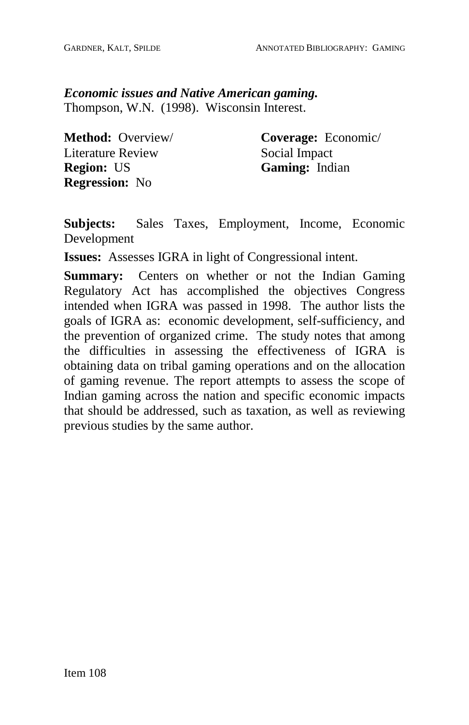*Economic issues and Native American gaming.* Thompson, W.N. (1998). Wisconsin Interest.

**Method:** Overview/ Literature Review **Region:** US **Regression:** No

**Coverage:** Economic/ Social Impact **Gaming:** Indian

**Subjects:** Sales Taxes, Employment, Income, Economic Development

**Issues:** Assesses IGRA in light of Congressional intent.

**Summary:** Centers on whether or not the Indian Gaming Regulatory Act has accomplished the objectives Congress intended when IGRA was passed in 1998. The author lists the goals of IGRA as: economic development, self-sufficiency, and the prevention of organized crime. The study notes that among the difficulties in assessing the effectiveness of IGRA is obtaining data on tribal gaming operations and on the allocation of gaming revenue. The report attempts to assess the scope of Indian gaming across the nation and specific economic impacts that should be addressed, such as taxation, as well as reviewing previous studies by the same author.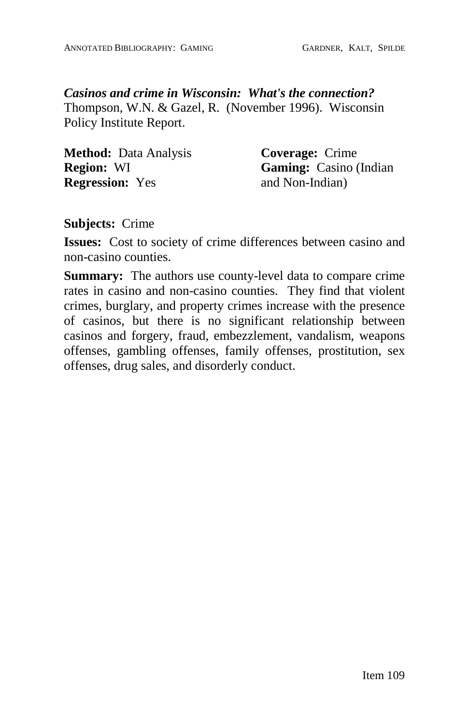*Casinos and crime in Wisconsin: What's the connection?* Thompson, W.N. & Gazel, R. (November 1996). Wisconsin Policy Institute Report.

| <b>Method:</b> Data Analysis | <b>Coverage:</b> Crime        |
|------------------------------|-------------------------------|
| <b>Region: WI</b>            | <b>Gaming:</b> Casino (Indian |
| <b>Regression:</b> Yes       | and Non-Indian)               |

**Subjects:** Crime

**Issues:** Cost to society of crime differences between casino and non-casino counties.

**Summary:** The authors use county-level data to compare crime rates in casino and non-casino counties. They find that violent crimes, burglary, and property crimes increase with the presence of casinos, but there is no significant relationship between casinos and forgery, fraud, embezzlement, vandalism, weapons offenses, gambling offenses, family offenses, prostitution, sex offenses, drug sales, and disorderly conduct.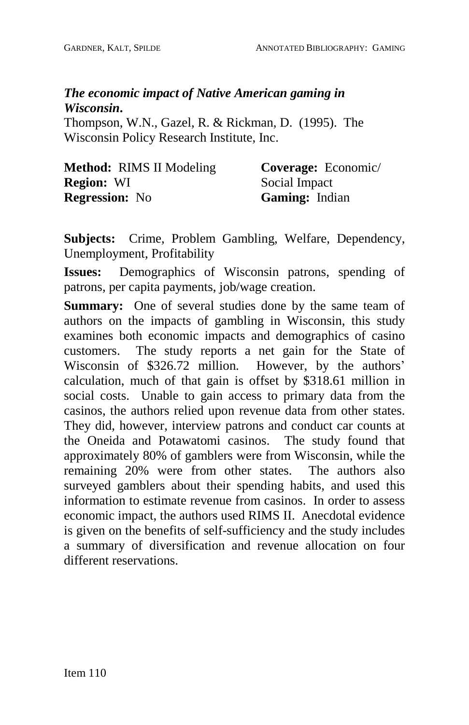# *The economic impact of Native American gaming in Wisconsin***.**

Thompson, W.N., Gazel, R. & Rickman, D. (1995). The Wisconsin Policy Research Institute, Inc.

| <b>Method:</b> RIMS II Modeling | <b>Coverage:</b> Economic/ |
|---------------------------------|----------------------------|
| <b>Region: WI</b>               | Social Impact              |
| <b>Regression:</b> No           | <b>Gaming:</b> Indian      |

**Subjects:** Crime, Problem Gambling, Welfare, Dependency, Unemployment, Profitability

**Issues:** Demographics of Wisconsin patrons, spending of patrons, per capita payments, job/wage creation.

**Summary:** One of several studies done by the same team of authors on the impacts of gambling in Wisconsin, this study examines both economic impacts and demographics of casino customers. The study reports a net gain for the State of Wisconsin of \$326.72 million. However, by the authors' calculation, much of that gain is offset by \$318.61 million in social costs. Unable to gain access to primary data from the casinos, the authors relied upon revenue data from other states. They did, however, interview patrons and conduct car counts at the Oneida and Potawatomi casinos. The study found that approximately 80% of gamblers were from Wisconsin, while the remaining 20% were from other states. The authors also surveyed gamblers about their spending habits, and used this information to estimate revenue from casinos. In order to assess economic impact, the authors used RIMS II. Anecdotal evidence is given on the benefits of self-sufficiency and the study includes a summary of diversification and revenue allocation on four different reservations.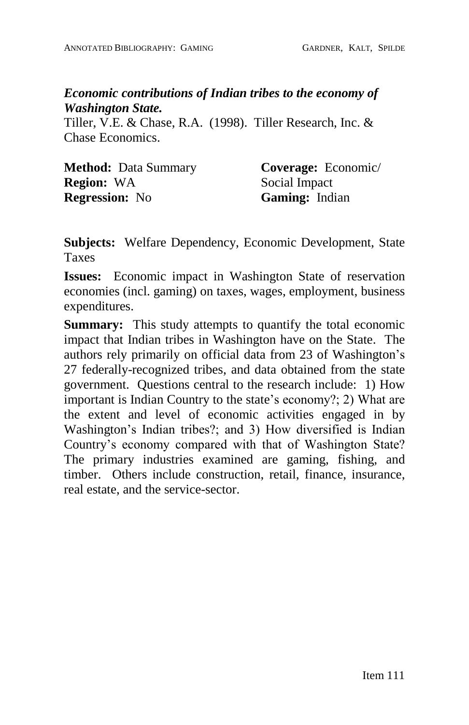## *Economic contributions of Indian tribes to the economy of Washington State.*

Tiller, V.E. & Chase, R.A. (1998). Tiller Research, Inc. & Chase Economics.

| <b>Method:</b> Data Summary | Coverage: Economic/   |
|-----------------------------|-----------------------|
| <b>Region:</b> WA           | Social Impact         |
| <b>Regression:</b> No       | <b>Gaming:</b> Indian |

**Subjects:** Welfare Dependency, Economic Development, State Taxes

**Issues:** Economic impact in Washington State of reservation economies (incl. gaming) on taxes, wages, employment, business expenditures.

**Summary:** This study attempts to quantify the total economic impact that Indian tribes in Washington have on the State. The authors rely primarily on official data from 23 of Washington's 27 federally-recognized tribes, and data obtained from the state government. Questions central to the research include: 1) How important is Indian Country to the state's economy?; 2) What are the extent and level of economic activities engaged in by Washington's Indian tribes?; and 3) How diversified is Indian Country's economy compared with that of Washington State? The primary industries examined are gaming, fishing, and timber. Others include construction, retail, finance, insurance, real estate, and the service-sector.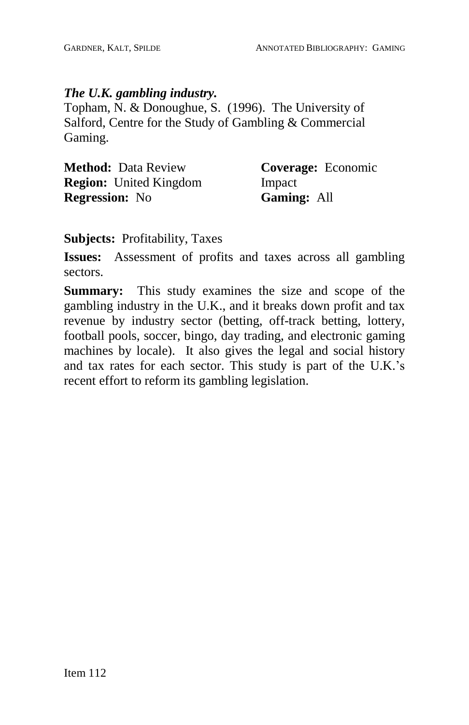## *The U.K. gambling industry.*

Topham, N. & Donoughue, S. (1996). The University of Salford, Centre for the Study of Gambling & Commercial Gaming.

| <b>Method: Data Review</b>    | Coverage: Economic |
|-------------------------------|--------------------|
| <b>Region:</b> United Kingdom | Impact             |
| <b>Regression:</b> No         | <b>Gaming: All</b> |

**Subjects:** Profitability, Taxes

**Issues:** Assessment of profits and taxes across all gambling sectors.

**Summary:** This study examines the size and scope of the gambling industry in the U.K., and it breaks down profit and tax revenue by industry sector (betting, off-track betting, lottery, football pools, soccer, bingo, day trading, and electronic gaming machines by locale). It also gives the legal and social history and tax rates for each sector. This study is part of the U.K.'s recent effort to reform its gambling legislation.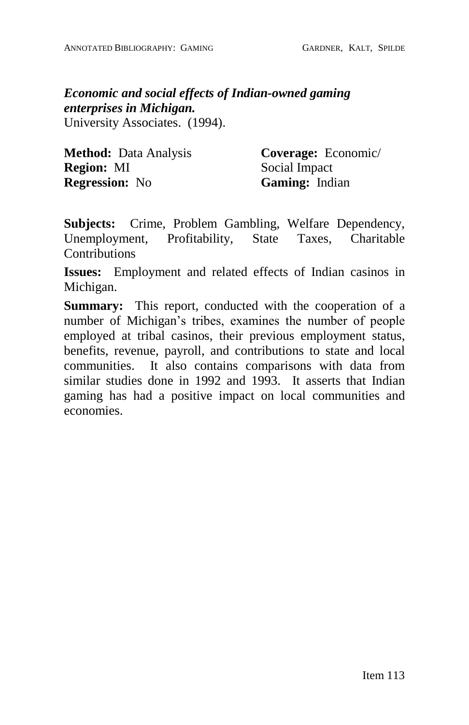*Economic and social effects of Indian-owned gaming enterprises in Michigan.* University Associates. (1994).

**Method:** Data Analysis **Region:** MI **Regression:** No

**Coverage:** Economic/ Social Impact **Gaming:** Indian

**Subjects:** Crime, Problem Gambling, Welfare Dependency, Unemployment, Profitability, State Taxes, Charitable **Contributions** 

**Issues:** Employment and related effects of Indian casinos in Michigan.

**Summary:** This report, conducted with the cooperation of a number of Michigan's tribes, examines the number of people employed at tribal casinos, their previous employment status, benefits, revenue, payroll, and contributions to state and local communities. It also contains comparisons with data from similar studies done in 1992 and 1993. It asserts that Indian gaming has had a positive impact on local communities and economies.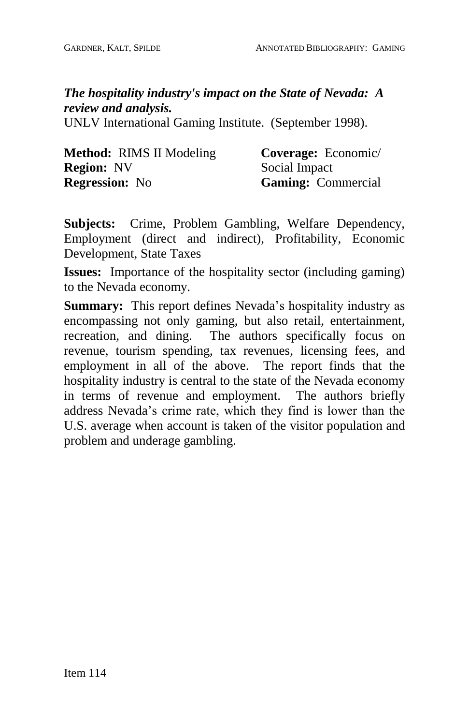*The hospitality industry's impact on the State of Nevada: A review and analysis.*

UNLV International Gaming Institute. (September 1998).

| <b>Method:</b> RIMS II Modeling | Coverage: Economic/       |
|---------------------------------|---------------------------|
| <b>Region: NV</b>               | Social Impact             |
| <b>Regression:</b> No           | <b>Gaming:</b> Commercial |

**Subjects:** Crime, Problem Gambling, Welfare Dependency, Employment (direct and indirect), Profitability, Economic Development, State Taxes

**Issues:** Importance of the hospitality sector (including gaming) to the Nevada economy.

**Summary:** This report defines Nevada's hospitality industry as encompassing not only gaming, but also retail, entertainment, recreation, and dining. The authors specifically focus on revenue, tourism spending, tax revenues, licensing fees, and employment in all of the above. The report finds that the hospitality industry is central to the state of the Nevada economy in terms of revenue and employment. The authors briefly address Nevada's crime rate, which they find is lower than the U.S. average when account is taken of the visitor population and problem and underage gambling.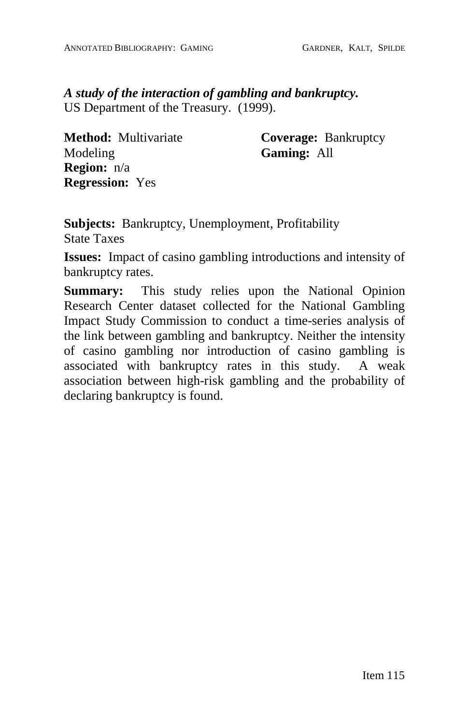*A study of the interaction of gambling and bankruptcy.* US Department of the Treasury. (1999).

**Method:** Multivariate Modeling **Region:** n/a **Regression:** Yes

**Coverage:** Bankruptcy **Gaming:** All

**Subjects:** Bankruptcy, Unemployment, Profitability State Taxes

**Issues:** Impact of casino gambling introductions and intensity of bankruptcy rates.

**Summary:** This study relies upon the National Opinion Research Center dataset collected for the National Gambling Impact Study Commission to conduct a time-series analysis of the link between gambling and bankruptcy. Neither the intensity of casino gambling nor introduction of casino gambling is associated with bankruptcy rates in this study. A weak association between high-risk gambling and the probability of declaring bankruptcy is found.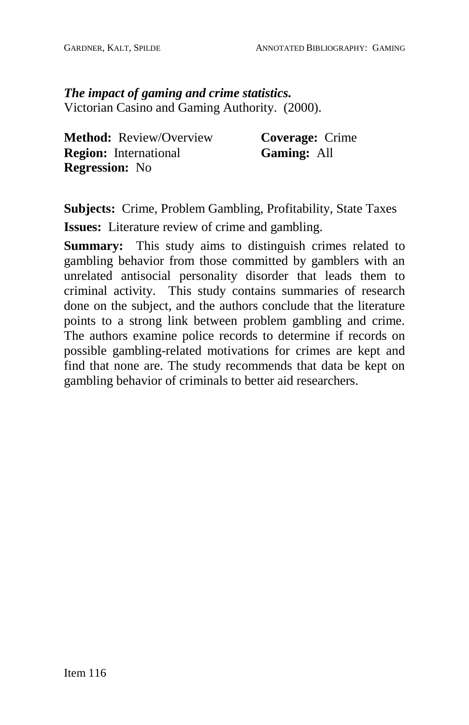*The impact of gaming and crime statistics.* Victorian Casino and Gaming Authority. (2000).

**Method:** Review/Overview **Region:** International **Regression:** No

**Coverage:** Crime **Gaming:** All

**Subjects:** Crime, Problem Gambling, Profitability, State Taxes **Issues:** Literature review of crime and gambling.

**Summary:** This study aims to distinguish crimes related to gambling behavior from those committed by gamblers with an unrelated antisocial personality disorder that leads them to criminal activity. This study contains summaries of research done on the subject, and the authors conclude that the literature points to a strong link between problem gambling and crime. The authors examine police records to determine if records on possible gambling-related motivations for crimes are kept and find that none are. The study recommends that data be kept on gambling behavior of criminals to better aid researchers.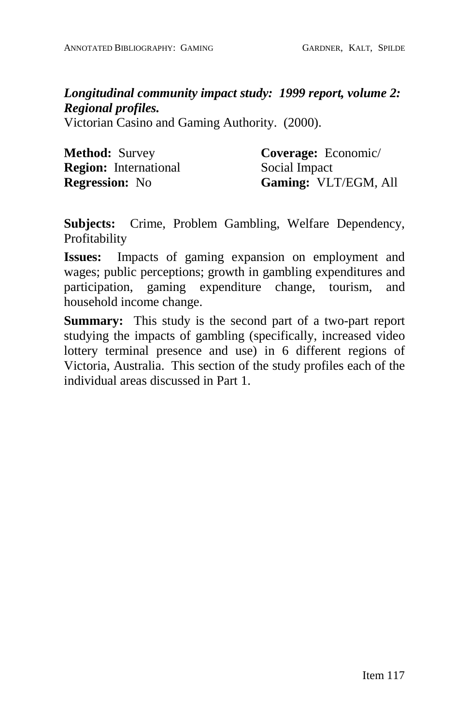*Longitudinal community impact study: 1999 report, volume 2: Regional profiles.*

Victorian Casino and Gaming Authority. (2000).

| <b>Method: Survey</b>        | Coverage: Economic/  |
|------------------------------|----------------------|
| <b>Region:</b> International | Social Impact        |
| <b>Regression:</b> No        | Gaming: VLT/EGM, All |

**Subjects:** Crime, Problem Gambling, Welfare Dependency, Profitability

**Issues:** Impacts of gaming expansion on employment and wages; public perceptions; growth in gambling expenditures and participation, gaming expenditure change, tourism, and household income change.

**Summary:** This study is the second part of a two-part report studying the impacts of gambling (specifically, increased video lottery terminal presence and use) in 6 different regions of Victoria, Australia. This section of the study profiles each of the individual areas discussed in Part 1.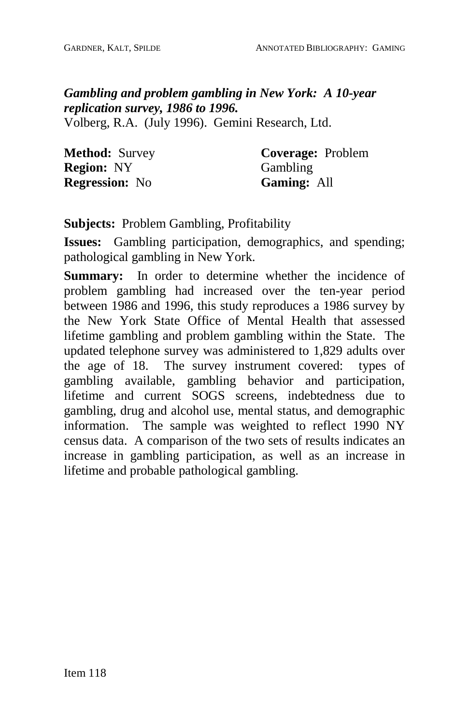## *Gambling and problem gambling in New York: A 10-year replication survey, 1986 to 1996.*

Volberg, R.A. (July 1996). Gemini Research, Ltd.

| <b>Method: Survey</b> | <b>Coverage: Problem</b> |
|-----------------------|--------------------------|
| <b>Region: NY</b>     | Gambling                 |
| <b>Regression:</b> No | <b>Gaming: All</b>       |

**Subjects:** Problem Gambling, Profitability

**Issues:** Gambling participation, demographics, and spending; pathological gambling in New York.

**Summary:** In order to determine whether the incidence of problem gambling had increased over the ten-year period between 1986 and 1996, this study reproduces a 1986 survey by the New York State Office of Mental Health that assessed lifetime gambling and problem gambling within the State. The updated telephone survey was administered to 1,829 adults over the age of 18. The survey instrument covered: types of gambling available, gambling behavior and participation, lifetime and current SOGS screens, indebtedness due to gambling, drug and alcohol use, mental status, and demographic information. The sample was weighted to reflect 1990 NY census data. A comparison of the two sets of results indicates an increase in gambling participation, as well as an increase in lifetime and probable pathological gambling.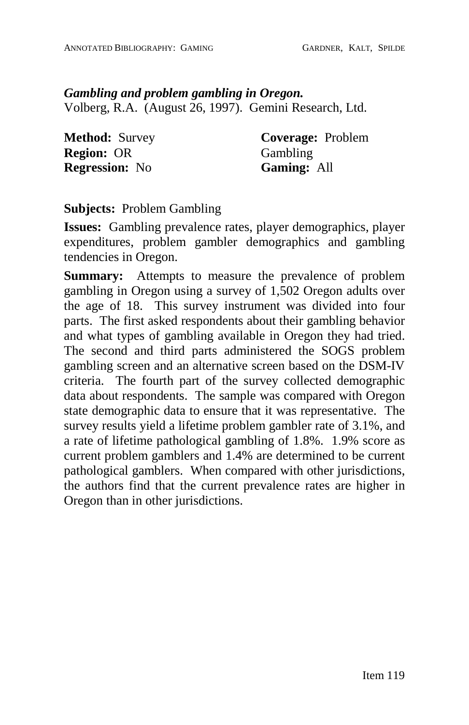*Gambling and problem gambling in Oregon.* Volberg, R.A. (August 26, 1997). Gemini Research, Ltd.

**Method:** Survey **Region:** OR **Regression:** No

**Coverage:** Problem **Gambling Gaming:** All

**Subjects:** Problem Gambling

**Issues:** Gambling prevalence rates, player demographics, player expenditures, problem gambler demographics and gambling tendencies in Oregon.

**Summary:** Attempts to measure the prevalence of problem gambling in Oregon using a survey of 1,502 Oregon adults over the age of 18. This survey instrument was divided into four parts. The first asked respondents about their gambling behavior and what types of gambling available in Oregon they had tried. The second and third parts administered the SOGS problem gambling screen and an alternative screen based on the DSM-IV criteria. The fourth part of the survey collected demographic data about respondents. The sample was compared with Oregon state demographic data to ensure that it was representative. The survey results yield a lifetime problem gambler rate of 3.1%, and a rate of lifetime pathological gambling of 1.8%. 1.9% score as current problem gamblers and 1.4% are determined to be current pathological gamblers. When compared with other jurisdictions, the authors find that the current prevalence rates are higher in Oregon than in other jurisdictions.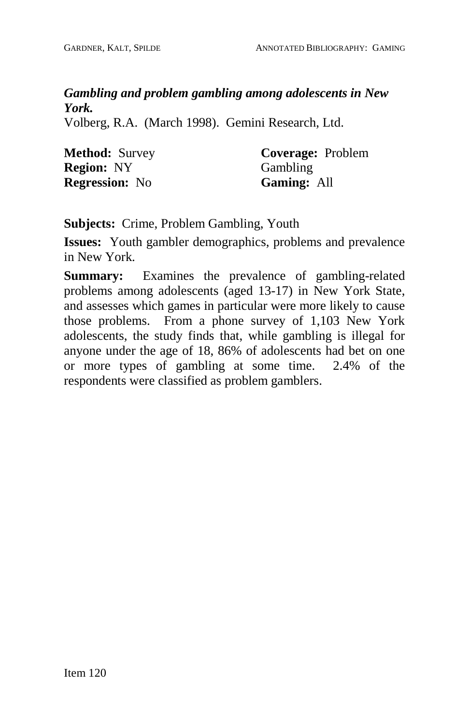# *Gambling and problem gambling among adolescents in New York.*

Volberg, R.A. (March 1998). Gemini Research, Ltd.

| <b>Method: Survey</b> | <b>Coverage: Problem</b> |
|-----------------------|--------------------------|
| <b>Region: NY</b>     | Gambling                 |
| <b>Regression:</b> No | <b>Gaming: All</b>       |

**Subjects:** Crime, Problem Gambling, Youth

**Issues:** Youth gambler demographics, problems and prevalence in New York.

**Summary:** Examines the prevalence of gambling-related problems among adolescents (aged 13-17) in New York State, and assesses which games in particular were more likely to cause those problems. From a phone survey of 1,103 New York adolescents, the study finds that, while gambling is illegal for anyone under the age of 18, 86% of adolescents had bet on one or more types of gambling at some time. 2.4% of the respondents were classified as problem gamblers.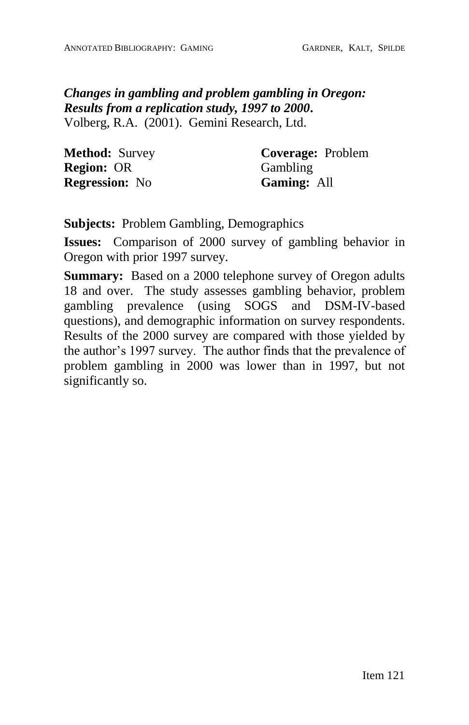## *Changes in gambling and problem gambling in Oregon: Results from a replication study, 1997 to 2000***.** Volberg, R.A. (2001). Gemini Research, Ltd.

| <b>Method: Survey</b> | <b>Coverage:</b> Problem |
|-----------------------|--------------------------|
| <b>Region: OR</b>     | Gambling                 |
| <b>Regression:</b> No | <b>Gaming: All</b>       |

**Subjects:** Problem Gambling, Demographics

**Issues:** Comparison of 2000 survey of gambling behavior in Oregon with prior 1997 survey.

**Summary:** Based on a 2000 telephone survey of Oregon adults 18 and over. The study assesses gambling behavior, problem gambling prevalence (using SOGS and DSM-IV-based questions), and demographic information on survey respondents. Results of the 2000 survey are compared with those yielded by the author's 1997 survey. The author finds that the prevalence of problem gambling in 2000 was lower than in 1997, but not significantly so.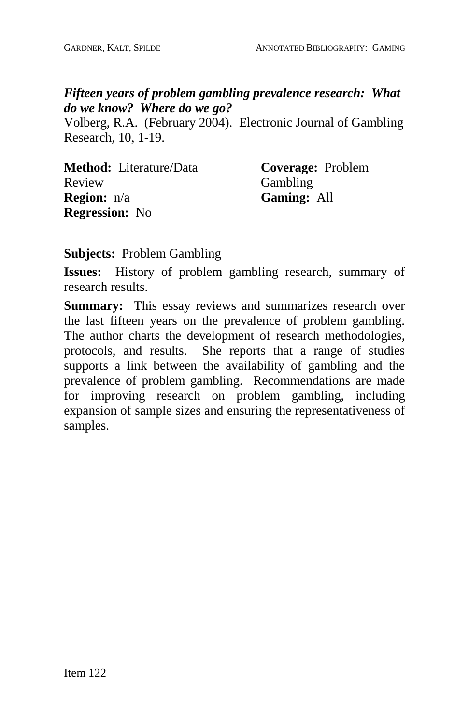#### *Fifteen years of problem gambling prevalence research: What do we know? Where do we go?*

Volberg, R.A. (February 2004). Electronic Journal of Gambling Research, 10, 1-19.

| <b>Method:</b> Literature/Data | Coverage: Problem  |
|--------------------------------|--------------------|
| Review                         | Gambling           |
| <b>Region:</b> n/a             | <b>Gaming: All</b> |
| <b>Regression:</b> No          |                    |

#### **Subjects:** Problem Gambling

**Issues:** History of problem gambling research, summary of research results.

**Summary:** This essay reviews and summarizes research over the last fifteen years on the prevalence of problem gambling. The author charts the development of research methodologies, protocols, and results. She reports that a range of studies supports a link between the availability of gambling and the prevalence of problem gambling. Recommendations are made for improving research on problem gambling, including expansion of sample sizes and ensuring the representativeness of samples.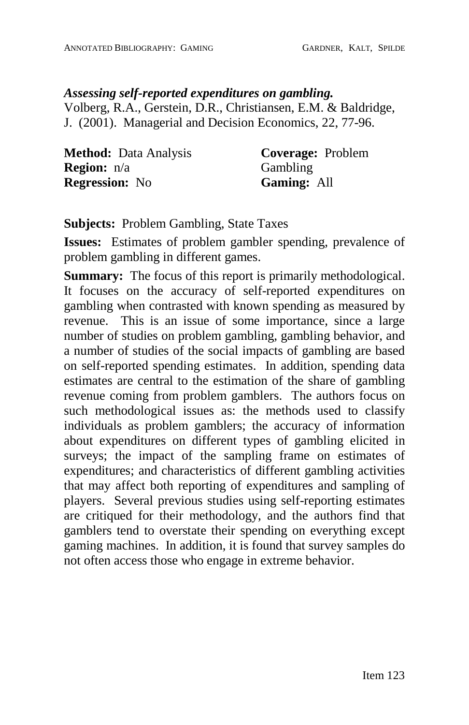### *Assessing self-reported expenditures on gambling.* Volberg, R.A., Gerstein, D.R., Christiansen, E.M. & Baldridge, J. (2001). Managerial and Decision Economics, 22, 77-96.

| <b>Method:</b> Data Analysis | <b>Coverage:</b> Problem |
|------------------------------|--------------------------|
| <b>Region:</b> n/a           | Gambling                 |
| <b>Regression:</b> No        | <b>Gaming: All</b>       |

**Subjects:** Problem Gambling, State Taxes

**Issues:** Estimates of problem gambler spending, prevalence of problem gambling in different games.

**Summary:** The focus of this report is primarily methodological. It focuses on the accuracy of self-reported expenditures on gambling when contrasted with known spending as measured by revenue. This is an issue of some importance, since a large number of studies on problem gambling, gambling behavior, and a number of studies of the social impacts of gambling are based on self-reported spending estimates. In addition, spending data estimates are central to the estimation of the share of gambling revenue coming from problem gamblers. The authors focus on such methodological issues as: the methods used to classify individuals as problem gamblers; the accuracy of information about expenditures on different types of gambling elicited in surveys; the impact of the sampling frame on estimates of expenditures; and characteristics of different gambling activities that may affect both reporting of expenditures and sampling of players. Several previous studies using self-reporting estimates are critiqued for their methodology, and the authors find that gamblers tend to overstate their spending on everything except gaming machines. In addition, it is found that survey samples do not often access those who engage in extreme behavior.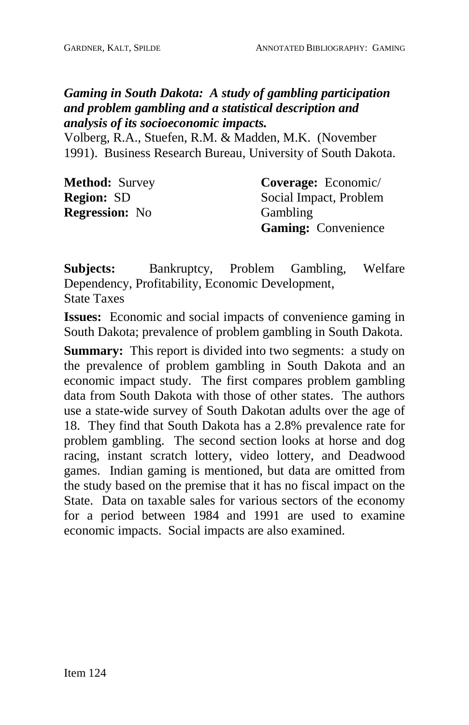# *Gaming in South Dakota: A study of gambling participation and problem gambling and a statistical description and analysis of its socioeconomic impacts.*

Volberg, R.A., Stuefen, R.M. & Madden, M.K. (November 1991). Business Research Bureau, University of South Dakota.

| <b>Method: Survey</b> | Coverage: Economic/        |
|-----------------------|----------------------------|
| <b>Region: SD</b>     | Social Impact, Problem     |
| <b>Regression:</b> No | Gambling                   |
|                       | <b>Gaming:</b> Convenience |

**Subjects:** Bankruptcy, Problem Gambling, Welfare Dependency, Profitability, Economic Development, State Taxes

**Issues:** Economic and social impacts of convenience gaming in South Dakota; prevalence of problem gambling in South Dakota.

**Summary:** This report is divided into two segments: a study on the prevalence of problem gambling in South Dakota and an economic impact study. The first compares problem gambling data from South Dakota with those of other states. The authors use a state-wide survey of South Dakotan adults over the age of 18. They find that South Dakota has a 2.8% prevalence rate for problem gambling. The second section looks at horse and dog racing, instant scratch lottery, video lottery, and Deadwood games. Indian gaming is mentioned, but data are omitted from the study based on the premise that it has no fiscal impact on the State. Data on taxable sales for various sectors of the economy for a period between 1984 and 1991 are used to examine economic impacts. Social impacts are also examined.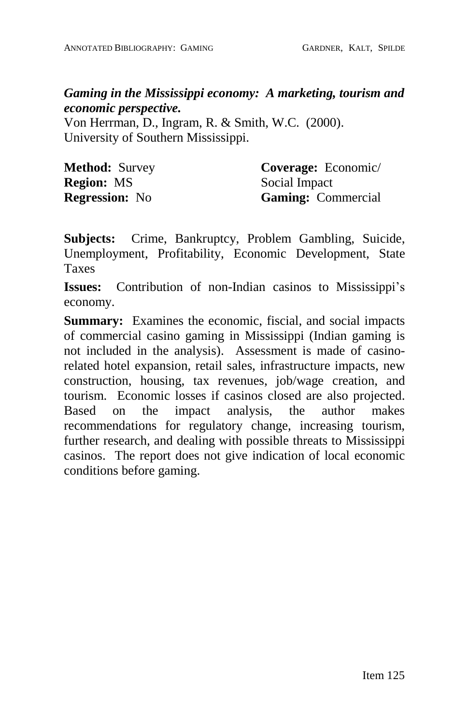*Gaming in the Mississippi economy: A marketing, tourism and economic perspective.*

Von Herrman, D., Ingram, R. & Smith, W.C. (2000). University of Southern Mississippi.

| <b>Method: Survey</b> | Coverage: Economic/       |
|-----------------------|---------------------------|
| <b>Region: MS</b>     | Social Impact             |
| <b>Regression:</b> No | <b>Gaming:</b> Commercial |

**Subjects:** Crime, Bankruptcy, Problem Gambling, Suicide, Unemployment, Profitability, Economic Development, State Taxes

**Issues:** Contribution of non-Indian casinos to Mississippi's economy.

**Summary:** Examines the economic, fiscial, and social impacts of commercial casino gaming in Mississippi (Indian gaming is not included in the analysis). Assessment is made of casinorelated hotel expansion, retail sales, infrastructure impacts, new construction, housing, tax revenues, job/wage creation, and tourism. Economic losses if casinos closed are also projected. Based on the impact analysis, the author makes recommendations for regulatory change, increasing tourism, further research, and dealing with possible threats to Mississippi casinos. The report does not give indication of local economic conditions before gaming.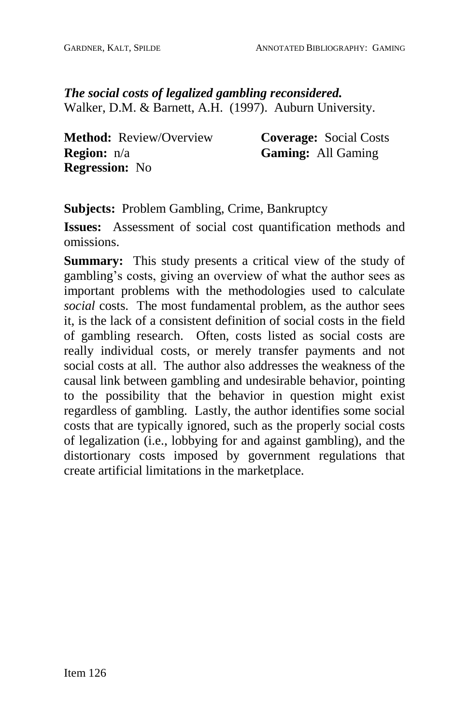*The social costs of legalized gambling reconsidered.* Walker, D.M. & Barnett, A.H. (1997). Auburn University.

**Method:** Review/Overview **Region:** n/a **Regression:** No

**Coverage:** Social Costs **Gaming:** All Gaming

**Subjects:** Problem Gambling, Crime, Bankruptcy

**Issues:** Assessment of social cost quantification methods and omissions.

**Summary:** This study presents a critical view of the study of gambling's costs, giving an overview of what the author sees as important problems with the methodologies used to calculate *social* costs. The most fundamental problem, as the author sees it, is the lack of a consistent definition of social costs in the field of gambling research. Often, costs listed as social costs are really individual costs, or merely transfer payments and not social costs at all. The author also addresses the weakness of the causal link between gambling and undesirable behavior, pointing to the possibility that the behavior in question might exist regardless of gambling. Lastly, the author identifies some social costs that are typically ignored, such as the properly social costs of legalization (i.e., lobbying for and against gambling), and the distortionary costs imposed by government regulations that create artificial limitations in the marketplace.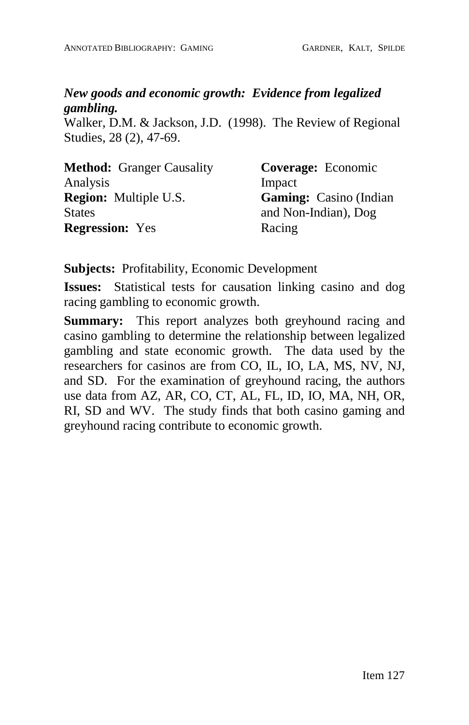# *New goods and economic growth: Evidence from legalized gambling.*

Walker, D.M. & Jackson, J.D. (1998). The Review of Regional Studies, 28 (2), 47-69.

| <b>Method:</b> Granger Causality | Coverage: Economic            |
|----------------------------------|-------------------------------|
| Analysis                         | Impact                        |
| <b>Region:</b> Multiple U.S.     | <b>Gaming:</b> Casino (Indian |
| <b>States</b>                    | and Non-Indian), Dog          |
| <b>Regression:</b> Yes           | Racing                        |

**Subjects:** Profitability, Economic Development

**Issues:** Statistical tests for causation linking casino and dog racing gambling to economic growth.

**Summary:** This report analyzes both greyhound racing and casino gambling to determine the relationship between legalized gambling and state economic growth. The data used by the researchers for casinos are from CO, IL, IO, LA, MS, NV, NJ, and SD. For the examination of greyhound racing, the authors use data from AZ, AR,CO, CT, AL, FL, ID, IO, MA, NH, OR, RI, SD and WV. The study finds that both casino gaming and greyhound racing contribute to economic growth.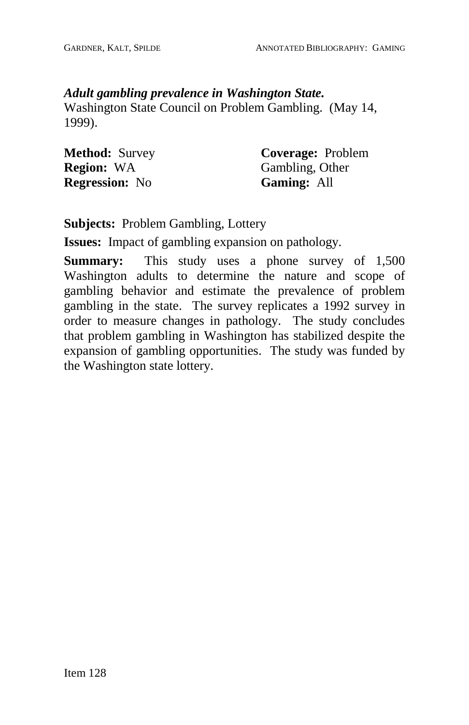#### *Adult gambling prevalence in Washington State.*

Washington State Council on Problem Gambling. (May 14, 1999).

| <b>Method: Survey</b> |  |
|-----------------------|--|
| <b>Region: WA</b>     |  |
| <b>Regression:</b> No |  |

**Coverage:** Problem Gambling, Other **Gaming:** All

**Subjects:** Problem Gambling, Lottery

**Issues:** Impact of gambling expansion on pathology.

**Summary:** This study uses a phone survey of 1,500 Washington adults to determine the nature and scope of gambling behavior and estimate the prevalence of problem gambling in the state. The survey replicates a 1992 survey in order to measure changes in pathology. The study concludes that problem gambling in Washington has stabilized despite the expansion of gambling opportunities. The study was funded by the Washington state lottery.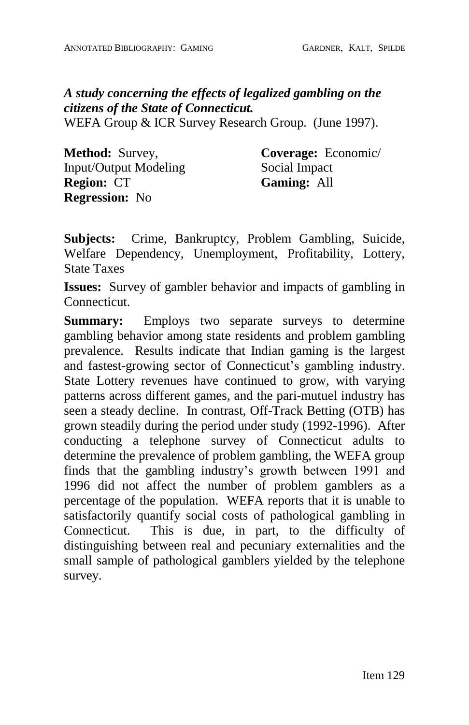*A study concerning the effects of legalized gambling on the citizens of the State of Connecticut.*

WEFA Group & ICR Survey Research Group. (June 1997).

**Method:** Survey, Input/Output Modeling **Region:** CT **Regression:** No

**Coverage:** Economic/ Social Impact **Gaming:** All

**Subjects:** Crime, Bankruptcy, Problem Gambling, Suicide, Welfare Dependency, Unemployment, Profitability, Lottery, State Taxes

**Issues:** Survey of gambler behavior and impacts of gambling in Connecticut.

**Summary:** Employs two separate surveys to determine gambling behavior among state residents and problem gambling prevalence. Results indicate that Indian gaming is the largest and fastest-growing sector of Connecticut's gambling industry. State Lottery revenues have continued to grow, with varying patterns across different games, and the pari-mutuel industry has seen a steady decline. In contrast, Off-Track Betting (OTB) has grown steadily during the period under study (1992-1996). After conducting a telephone survey of Connecticut adults to determine the prevalence of problem gambling, the WEFA group finds that the gambling industry's growth between 1991 and 1996 did not affect the number of problem gamblers as a percentage of the population. WEFA reports that it is unable to satisfactorily quantify social costs of pathological gambling in Connecticut. This is due, in part, to the difficulty of distinguishing between real and pecuniary externalities and the small sample of pathological gamblers yielded by the telephone survey.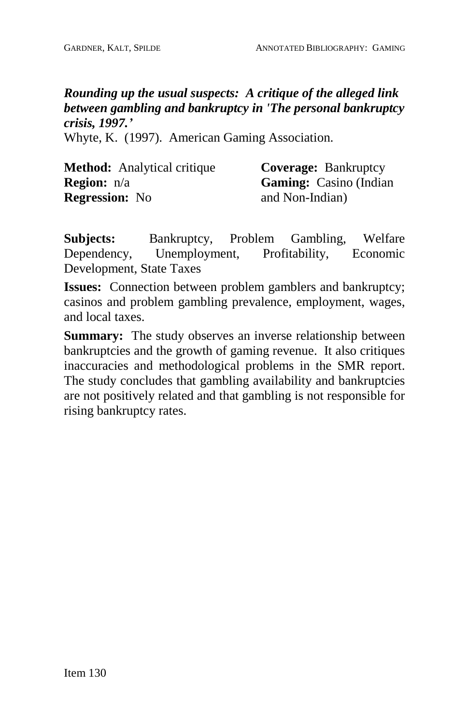# *Rounding up the usual suspects: A critique of the alleged link between gambling and bankruptcy in 'The personal bankruptcy crisis, 1997.í*

Whyte, K. (1997). American Gaming Association.

| <b>Method:</b> Analytical critique | <b>Coverage: Bankruptcy</b>   |
|------------------------------------|-------------------------------|
| <b>Region:</b> n/a                 | <b>Gaming:</b> Casino (Indian |
| <b>Regression:</b> No              | and Non-Indian)               |

**Subjects:** Bankruptcy, Problem Gambling, Welfare Dependency, Unemployment, Profitability, Economic Development, State Taxes

**Issues:** Connection between problem gamblers and bankruptcy; casinos and problem gambling prevalence, employment, wages, and local taxes.

**Summary:** The study observes an inverse relationship between bankruptcies and the growth of gaming revenue. It also critiques inaccuracies and methodological problems in the SMR report. The study concludes that gambling availability and bankruptcies are not positively related and that gambling is not responsible for rising bankruptcy rates.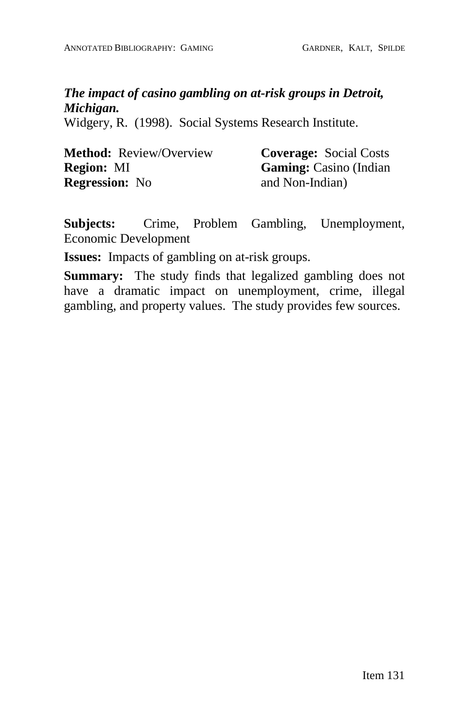# *The impact of casino gambling on at-risk groups in Detroit, Michigan.*

Widgery, R. (1998). Social Systems Research Institute.

| <b>Method:</b> Review/Overview | <b>Coverage: Social Costs</b> |
|--------------------------------|-------------------------------|
| <b>Region: MI</b>              | <b>Gaming:</b> Casino (Indian |
| <b>Regression:</b> No          | and Non-Indian)               |

**Subjects:** Crime, Problem Gambling, Unemployment, Economic Development

**Issues:** Impacts of gambling on at-risk groups.

**Summary:** The study finds that legalized gambling does not have a dramatic impact on unemployment, crime, illegal gambling, and property values. The study provides few sources.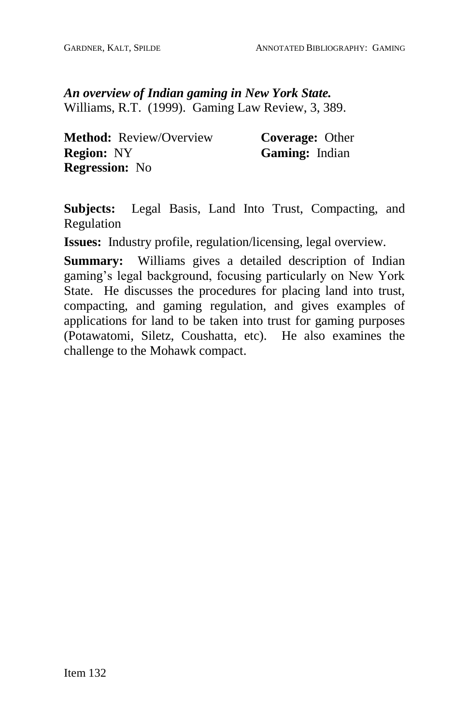*An overview of Indian gaming in New York State.* Williams, R.T. (1999). Gaming Law Review, 3, 389.

**Method:** Review/Overview **Region:** NY **Regression:** No

**Coverage:** Other **Gaming:** Indian

**Subjects:** Legal Basis, Land Into Trust, Compacting, and Regulation

**Issues:** Industry profile, regulation/licensing, legal overview.

**Summary:** Williams gives a detailed description of Indian gaming's legal background, focusing particularly on New York State. He discusses the procedures for placing land into trust, compacting, and gaming regulation, and gives examples of applications for land to be taken into trust for gaming purposes (Potawatomi, Siletz, Coushatta, etc). He also examines the challenge to the Mohawk compact.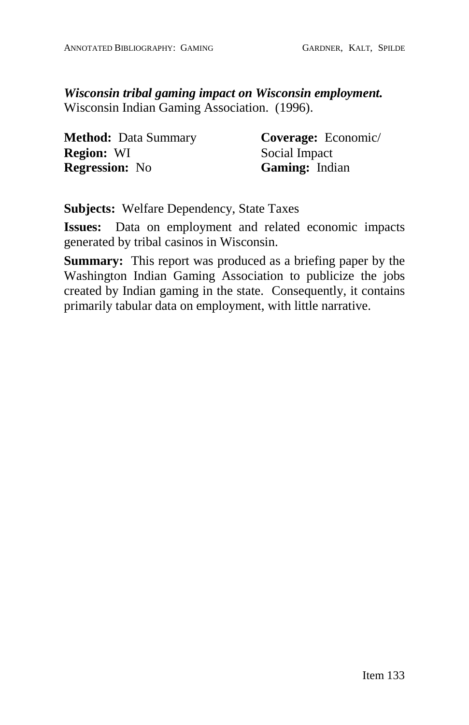*Wisconsin tribal gaming impact on Wisconsin employment.* Wisconsin Indian Gaming Association. (1996).

**Method:** Data Summary **Region:** WI **Regression:** No

**Coverage:** Economic/ Social Impact **Gaming:** Indian

**Subjects:** Welfare Dependency, State Taxes

**Issues:** Data on employment and related economic impacts generated by tribal casinos in Wisconsin.

**Summary:** This report was produced as a briefing paper by the Washington Indian Gaming Association to publicize the jobs created by Indian gaming in the state. Consequently, it contains primarily tabular data on employment, with little narrative.